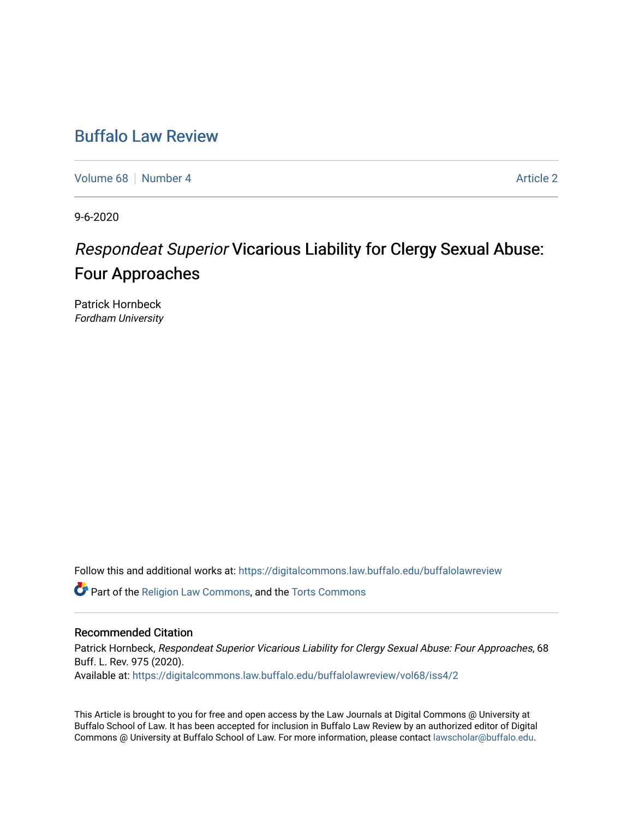## [Buffalo Law Review](https://digitalcommons.law.buffalo.edu/buffalolawreview)

[Volume 68](https://digitalcommons.law.buffalo.edu/buffalolawreview/vol68) [Number 4](https://digitalcommons.law.buffalo.edu/buffalolawreview/vol68/iss4) [Article 2](https://digitalcommons.law.buffalo.edu/buffalolawreview/vol68/iss4/2) Article 2

9-6-2020

# Respondeat Superior Vicarious Liability for Clergy Sexual Abuse: Four Approaches

Patrick Hornbeck Fordham University

Follow this and additional works at: [https://digitalcommons.law.buffalo.edu/buffalolawreview](https://digitalcommons.law.buffalo.edu/buffalolawreview?utm_source=digitalcommons.law.buffalo.edu%2Fbuffalolawreview%2Fvol68%2Fiss4%2F2&utm_medium=PDF&utm_campaign=PDFCoverPages) 

**C** Part of the [Religion Law Commons](http://network.bepress.com/hgg/discipline/872?utm_source=digitalcommons.law.buffalo.edu%2Fbuffalolawreview%2Fvol68%2Fiss4%2F2&utm_medium=PDF&utm_campaign=PDFCoverPages), and the [Torts Commons](http://network.bepress.com/hgg/discipline/913?utm_source=digitalcommons.law.buffalo.edu%2Fbuffalolawreview%2Fvol68%2Fiss4%2F2&utm_medium=PDF&utm_campaign=PDFCoverPages)

#### Recommended Citation

Patrick Hornbeck, Respondeat Superior Vicarious Liability for Clergy Sexual Abuse: Four Approaches, 68 Buff. L. Rev. 975 (2020). Available at: [https://digitalcommons.law.buffalo.edu/buffalolawreview/vol68/iss4/2](https://digitalcommons.law.buffalo.edu/buffalolawreview/vol68/iss4/2?utm_source=digitalcommons.law.buffalo.edu%2Fbuffalolawreview%2Fvol68%2Fiss4%2F2&utm_medium=PDF&utm_campaign=PDFCoverPages) 

This Article is brought to you for free and open access by the Law Journals at Digital Commons @ University at Buffalo School of Law. It has been accepted for inclusion in Buffalo Law Review by an authorized editor of Digital Commons @ University at Buffalo School of Law. For more information, please contact [lawscholar@buffalo.edu](mailto:lawscholar@buffalo.edu).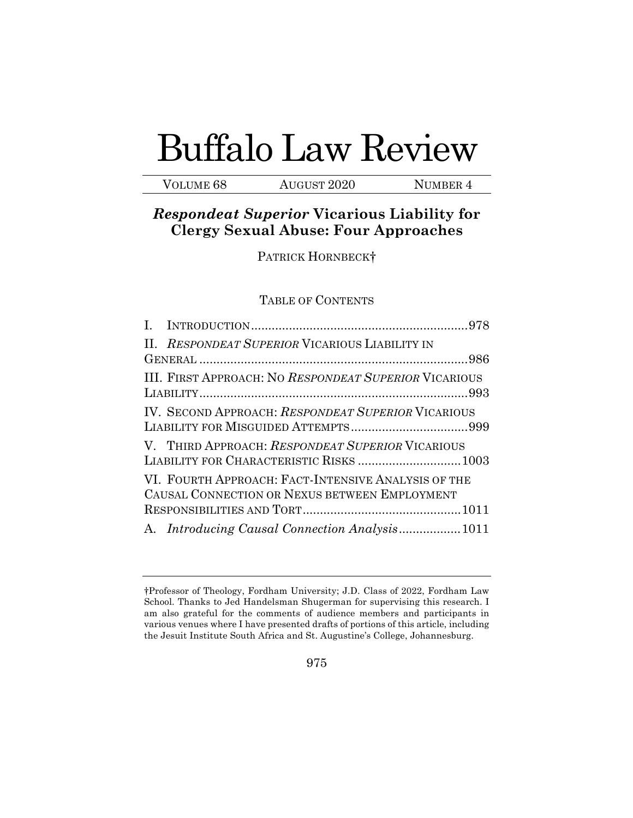# Buffalo Law Review

VOLUME 68 AUGUST 2020 NUMBER 4

### *Respondeat Superior* **Vicarious Liability for Clergy Sexual Abuse: Four Approaches**

PATRICK HORNBECK†

#### TABLE OF CONTENTS

|                                                                                                      | II. RESPONDEAT SUPERIOR VICARIOUS LIABILITY IN        |  |  |
|------------------------------------------------------------------------------------------------------|-------------------------------------------------------|--|--|
|                                                                                                      |                                                       |  |  |
|                                                                                                      | III. FIRST APPROACH: NO RESPONDEAT SUPERIOR VICARIOUS |  |  |
|                                                                                                      | IV. SECOND APPROACH: RESPONDEAT SUPERIOR VICARIOUS    |  |  |
|                                                                                                      | V. THIRD APPROACH: RESPONDEAT SUPERIOR VICARIOUS      |  |  |
| VI. FOURTH APPROACH: FACT-INTENSIVE ANALYSIS OF THE<br>CAUSAL CONNECTION OR NEXUS BETWEEN EMPLOYMENT |                                                       |  |  |
|                                                                                                      |                                                       |  |  |
|                                                                                                      |                                                       |  |  |

 †Professor of Theology, Fordham University; J.D. Class of 2022, Fordham Law School. Thanks to Jed Handelsman Shugerman for supervising this research. I am also grateful for the comments of audience members and participants in various venues where I have presented drafts of portions of this article, including the Jesuit Institute South Africa and St. Augustine's College, Johannesburg.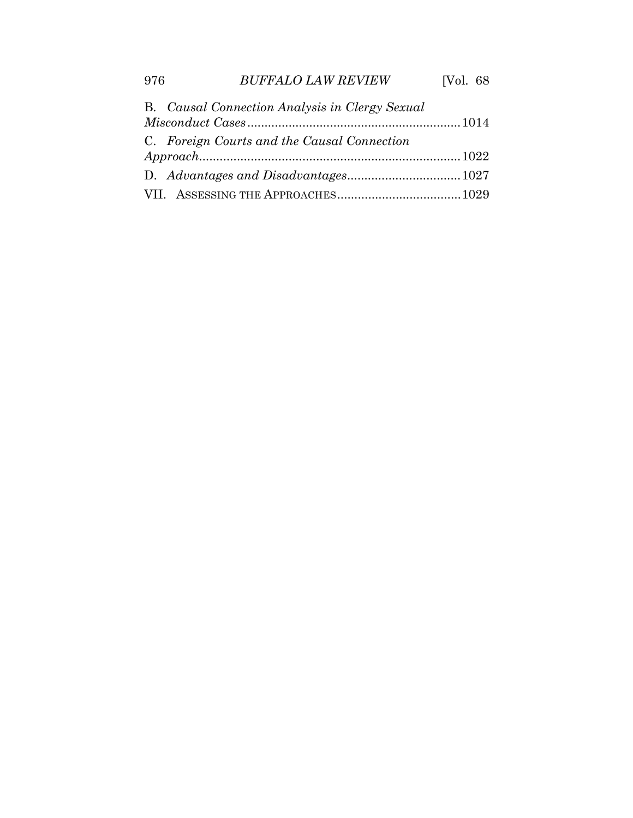| B. Causal Connection Analysis in Clergy Sexual |  |
|------------------------------------------------|--|
|                                                |  |
| C. Foreign Courts and the Causal Connection    |  |
|                                                |  |
|                                                |  |
|                                                |  |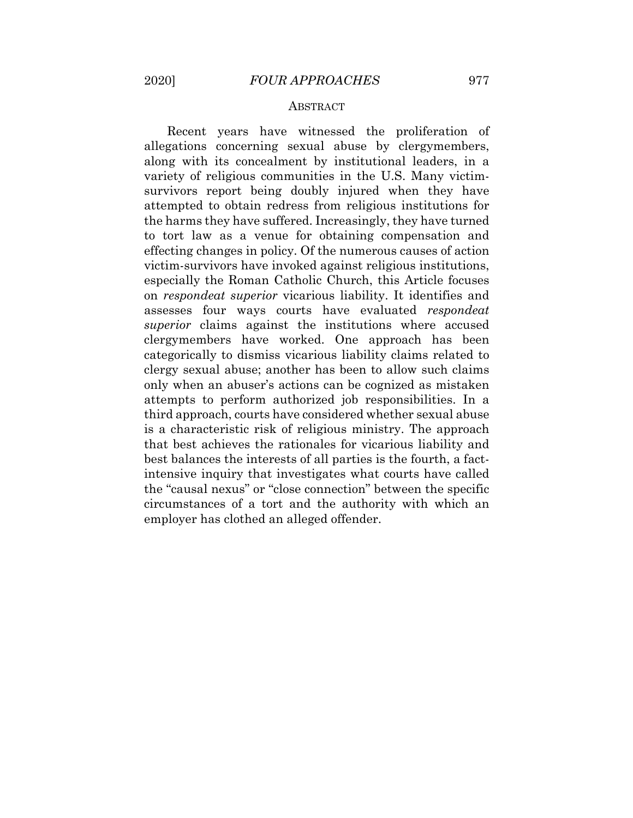#### **ABSTRACT**

 Recent years have witnessed the proliferation of allegations concerning sexual abuse by clergymembers, along with its concealment by institutional leaders, in a variety of religious communities in the U.S. Many victim- survivors report being doubly injured when they have attempted to obtain redress from religious institutions for the harms they have suffered. Increasingly, they have turned to tort law as a venue for obtaining compensation and effecting changes in policy. Of the numerous causes of action victim-survivors have invoked against religious institutions, especially the Roman Catholic Church, this Article focuses on *respondeat superior* vicarious liability. It identifies and assesses four ways courts have evaluated *respondeat*  clergymembers have worked. One approach has been categorically to dismiss vicarious liability claims related to clergy sexual abuse; another has been to allow such claims only when an abuser's actions can be cognized as mistaken attempts to perform authorized job responsibilities. In a third approach, courts have considered whether sexual abuse is a characteristic risk of religious ministry. The approach that best achieves the rationales for vicarious liability and best balances the interests of all parties is the fourth, a fact- intensive inquiry that investigates what courts have called the "causal nexus" or "close connection" between the specific circumstances of a tort and the authority with which an employer has clothed an alleged offender. *superior* claims against the institutions where accused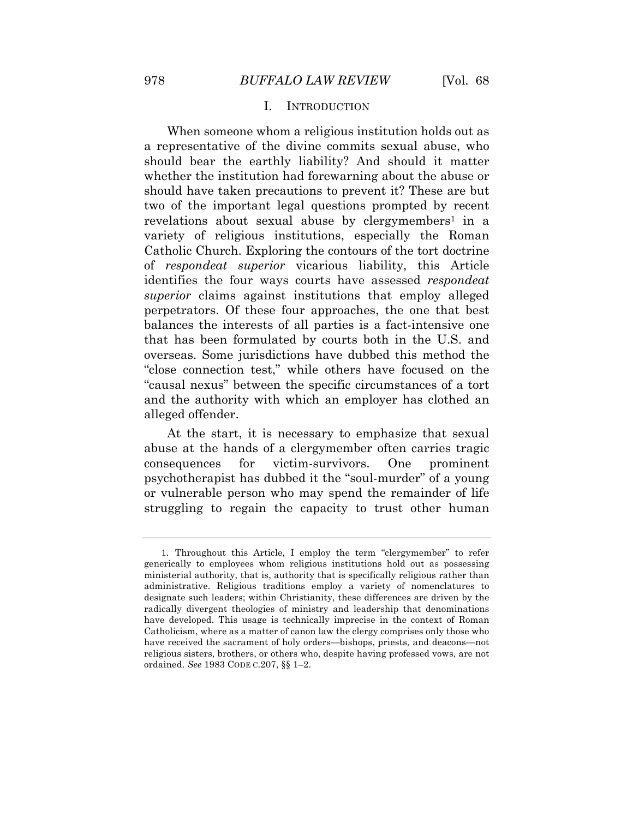#### I. INTRODUCTION

<span id="page-4-0"></span> When someone whom a religious institution holds out as a representative of the divine commits sexual abuse, who should bear the earthly liability? And should it matter whether the institution had forewarning about the abuse or should have taken precautions to prevent it? These are but two of the important legal questions prompted by recent revelations about sexual abuse by clergymembers<sup>1</sup> in a Catholic Church. Exploring the contours of the tort doctrine of *respondeat superior* vicarious liability, this Article identifies the four ways courts have assessed *respondeat superior* claims against institutions that employ alleged perpetrators. Of these four approaches, the one that best balances the interests of all parties is a fact-intensive one that has been formulated by courts both in the U.S. and overseas. Some jurisdictions have dubbed this method the "close connection test," while others have focused on the "causal nexus" between the specific circumstances of a tort and the authority with which an employer has clothed an alleged offender. variety of religious institutions, especially the Roman

 At the start, it is necessary to emphasize that sexual abuse at the hands of a clergymember often carries tragic consequences psychotherapist has dubbed it the "soul-murder" of a young or vulnerable person who may spend the remainder of life struggling to regain the capacity to trust other human for victim-survivors. One prominent

 generically to employees whom religious institutions hold out as possessing ministerial authority, that is, authority that is specifically religious rather than administrative. Religious traditions employ a variety of nomenclatures to designate such leaders; within Christianity, these differences are driven by the radically divergent theologies of ministry and leadership that denominations have developed. This usage is technically imprecise in the context of Roman Catholicism, where as a matter of canon law the clergy comprises only those who have received the sacrament of holy orders—bishops, priests, and deacons—not religious sisters, brothers, or others who, despite having professed vows, are not ordained. *See* 1983 CODE C.207, §§ 1–2. 1. Throughout this Article, I employ the term "clergymember" to refer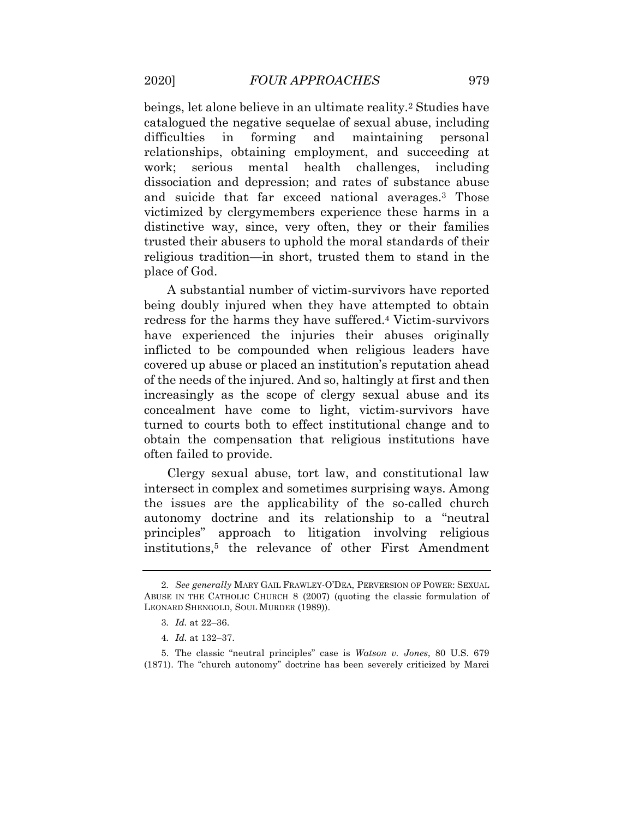beings, let alone believe in an ultimate reality.<sup>2</sup> Studies have catalogued the negative sequelae of sexual abuse, including difficulties relationships, obtaining employment, and succeeding at work: dissociation and depression; and rates of substance abuse and suicide that far exceed national averages.3 Those victimized by clergymembers experience these harms in a distinctive way, since, very often, they or their families trusted their abusers to uphold the moral standards of their religious tradition—in short, trusted them to stand in the in forming and maintaining personal serious mental health challenges, including place of God.

 A substantial number of victim-survivors have reported being doubly injured when they have attempted to obtain redress for the harms they have suffered.<sup>4</sup> Victim-survivors have experienced the injuries their abuses originally inflicted to be compounded when religious leaders have covered up abuse or placed an institution's reputation ahead of the needs of the injured. And so, haltingly at first and then increasingly as the scope of clergy sexual abuse and its turned to courts both to effect institutional change and to obtain the compensation that religious institutions have often failed to provide. concealment have come to light, victim-survivors have

 Clergy sexual abuse, tort law, and constitutional law intersect in complex and sometimes surprising ways. Among the issues are the applicability of the so-called church autonomy doctrine and its relationship to a "neutral principles" approach to litigation involving religious institutions,5 the relevance of other First Amendment

<sup>2</sup>*. See generally* MARY GAIL FRAWLEY-O'DEA, PERVERSION OF POWER: SEXUAL ABUSE IN THE CATHOLIC CHURCH 8 (2007) (quoting the classic formulation of LEONARD SHENGOLD, SOUL MURDER (1989)).

<sup>3</sup>*. Id.* at 22–36.

<sup>4</sup>*. Id.* at 132–37.

<sup>5.</sup> The classic "neutral principles" case is *Watson v. Jones*, 80 U.S. 679 (1871). The "church autonomy" doctrine has been severely criticized by Marci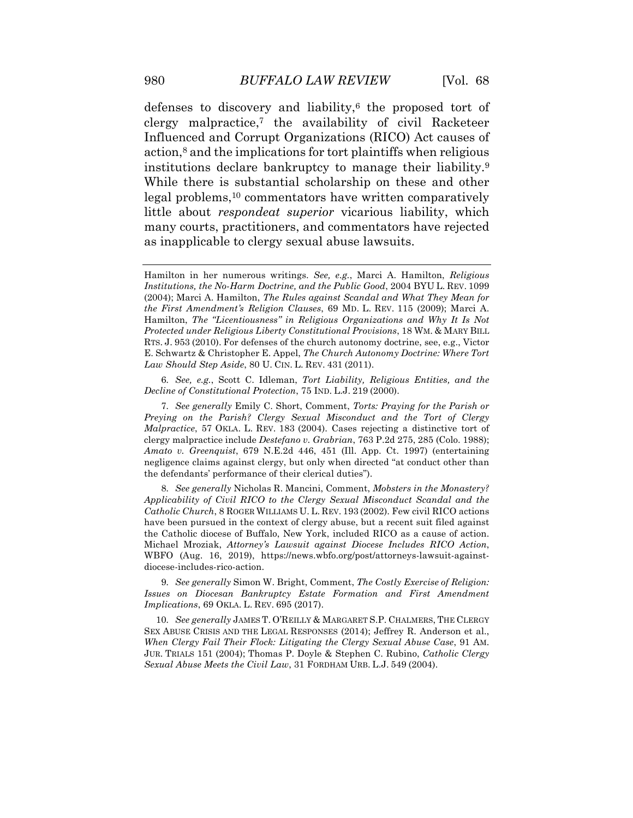defenses to discovery and liability, $6$  the proposed tort of clergy malpractice,7 the availability of civil Racketeer Influenced and Corrupt Organizations (RICO) Act causes of action,<sup>8</sup> and the implications for tort plaintiffs when religious institutions declare bankruptcy to manage their liability.9 While there is substantial scholarship on these and other little about *respondeat superior* vicarious liability, which many courts, practitioners, and commentators have rejected as inapplicable to clergy sexual abuse lawsuits. legal problems,<sup>10</sup> commentators have written comparatively

 *Decline of Constitutional Protection*, 75 IND. L.J. 219 (2000). 6*. See, e.g.*, Scott C. Idleman, *Tort Liability, Religious Entities, and the* 

 *Applicability of Civil RICO to the Clergy Sexual Misconduct Scandal and the Catholic Church*, 8 ROGER WILLIAMS U. L. REV. 193 (2002). Few civil RICO actions have been pursued in the context of clergy abuse, but a recent suit filed against the Catholic diocese of Buffalo, New York, included RICO as a cause of action. Michael Mroziak, *Attorney's Lawsuit against Diocese Includes RICO Action*, WBFO (Aug. 16, 2019), <https://news.wbfo.org/post/attorneys-lawsuit-against>-8*. See generally* Nicholas R. Mancini, Comment, *Mobsters in the Monastery?*  diocese-includes-rico-action.

 *Issues on Diocesan Bankruptcy Estate Formation and First Amendment Implications*, 69 OKLA. L. REV. 695 (2017). 9*. See generally* Simon W. Bright, Comment, *The Costly Exercise of Religion:* 

 SEX ABUSE CRISIS AND THE LEGAL RESPONSES (2014); Jeffrey R. Anderson et al.,  *When Clergy Fail Their Flock: Litigating the Clergy Sexual Abuse Case*, 91 AM. JUR. TRIALS 151 (2004); Thomas P. Doyle & Stephen C. Rubino, *Catholic Clergy Sexual Abuse Meets the Civil Law*, 31 FORDHAM URB. L.J. 549 (2004). 10*. See generally* JAMES T. O'REILLY & MARGARET S.P. CHALMERS, THE CLERGY

 Hamilton in her numerous writings. *See, e.g.*, Marci A. Hamilton, *Religious Institutions, the No-Harm Doctrine, and the Public Good*, 2004 BYU L. REV. 1099 (2004); Marci A. Hamilton, *The Rules against Scandal and What They Mean for the First Amendment's Religion Clauses*, 69 MD. L. REV. 115 (2009); Marci A.  Hamilton, *The "Licentiousness" in Religious Organizations and Why It Is Not Protected under Religious Liberty Constitutional Provisions*, 18 WM. & MARY BILL RTS. J. 953 (2010). For defenses of the church autonomy doctrine, see, e.g., Victor E. Schwartz & Christopher E. Appel, *The Church Autonomy Doctrine: Where Tort Law Should Step Aside*, 80 U. CIN. L. REV. 431 (2011).

 *Preying on the Parish? Clergy Sexual Misconduct and the Tort of Clergy Malpractice*, 57 OKLA. L. REV. 183 (2004). Cases rejecting a distinctive tort of clergy malpractice include *Destefano v. Grabrian*, 763 P.2d 275, 285 (Colo. 1988);  *Amato v. Greenquist*, 679 N.E.2d 446, 451 (Ill. App. Ct. 1997) (entertaining negligence claims against clergy, but only when directed "at conduct other than the defendants' performance of their clerical duties"). 7*. See generally* Emily C. Short, Comment, *Torts: Praying for the Parish or*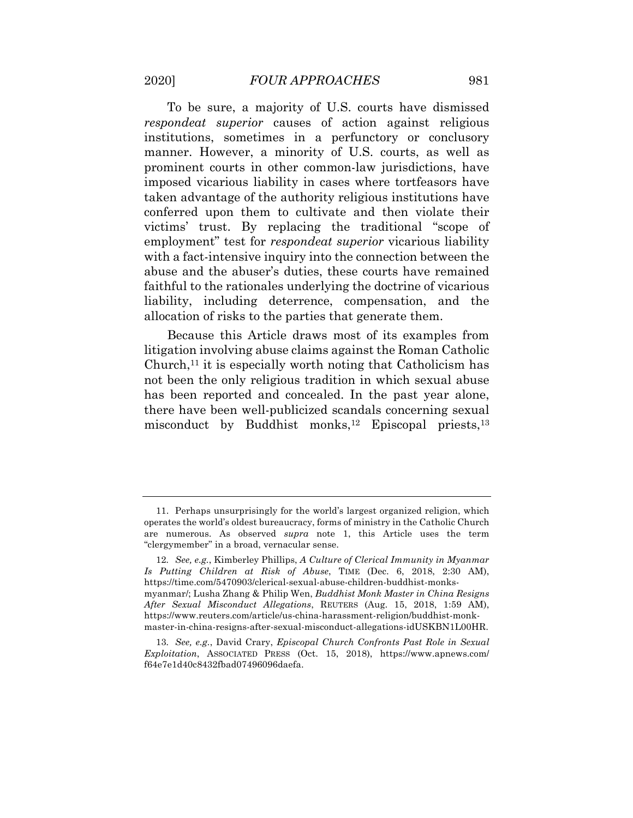To be sure, a majority of U.S. courts have dismissed *respondeat superior* causes of action against religious institutions, sometimes in a perfunctory or conclusory manner. However, a minority of U.S. courts, as well as prominent courts in other common-law jurisdictions, have imposed vicarious liability in cases where tortfeasors have taken advantage of the authority religious institutions have conferred upon them to cultivate and then violate their victims' trust. By replacing the traditional "scope of employment" test for *respondeat superior* vicarious liability with a fact-intensive inquiry into the connection between the abuse and the abuser's duties, these courts have remained liability, including deterrence, compensation, and the allocation of risks to the parties that generate them. faithful to the rationales underlying the doctrine of vicarious

 Because this Article draws most of its examples from litigation involving abuse claims against the Roman Catholic Church, $11$  it is especially worth noting that Catholicism has not been the only religious tradition in which sexual abuse has been reported and concealed. In the past year alone, there have been well-publicized scandals concerning sexual misconduct by Buddhist monks,<sup>12</sup> Episcopal priests,<sup>13</sup>

 operates the world's oldest bureaucracy, forms of ministry in the Catholic Church are numerous. As observed *supra* note 1, this Article uses the term "clergymember" in a broad, vernacular sense. 11. Perhaps unsurprisingly for the world's largest organized religion, which

 *Is Putting Children at Risk of Abuse*, TIME (Dec. 6, 2018, 2:30 AM), myanmar/; Lusha Zhang & Philip Wen, *Buddhist Monk Master in China Resigns After Sexual Misconduct Allegations*, REUTERS (Aug. 15, 2018, 1:59 AM), 12*. See, e.g.*, Kimberley Phillips, *A Culture of Clerical Immunity in Myanmar*  <https://time.com/5470903/clerical-sexual-abuse-children-buddhist-monks><https://www.reuters.com/article/us-china-harassment-religion/buddhist-monk>master-in-china-resigns-after-sexual-misconduct-allegations-idUSKBN1L00HR.

 *Exploitation*, ASSOCIATED PRESS (Oct. 15, 2018), [https://www.apnews.com/](https://www.apnews.com) 13*. See, e.g.*, David Crary, *Episcopal Church Confronts Past Role in Sexual*  f64e7e1d40c8432fbad07496096daefa.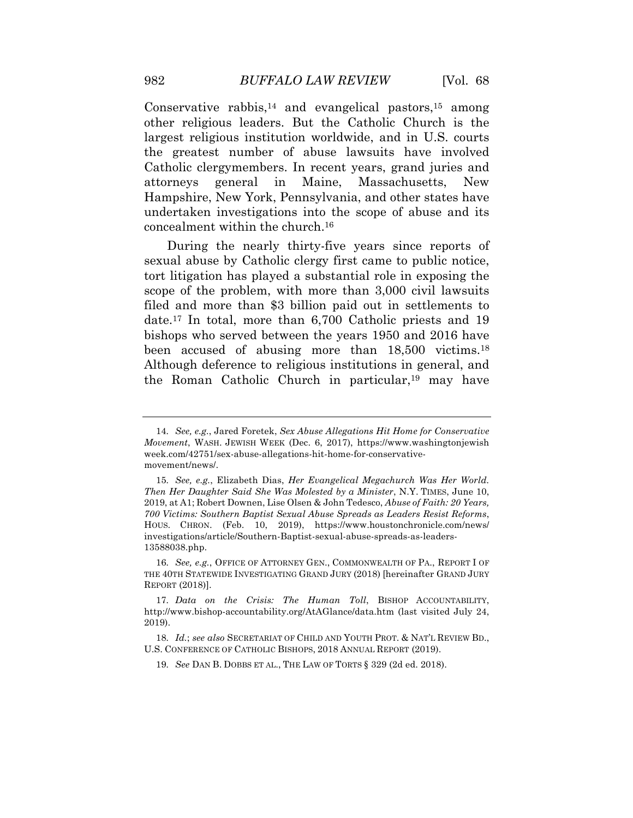Conservative rabbis,<sup>14</sup> and evangelical pastors,<sup>15</sup> among other religious leaders. But the Catholic Church is the largest religious institution worldwide, and in U.S. courts the greatest number of abuse lawsuits have involved Catholic clergymembers. In recent years, grand juries and attorneys Hampshire, New York, Pennsylvania, and other states have undertaken investigations into the scope of abuse and its concealment within the [church.16](https://church.16)  general in Maine, Massachusetts, New

 sexual abuse by Catholic clergy first came to public notice, tort litigation has played a substantial role in exposing the scope of the problem, with more than 3,000 civil lawsuits filed and more than \$3 billion paid out in settlements to date.17 In total, more than 6,700 Catholic priests and 19 bishops who served between the years 1950 and 2016 have been accused of abusing more than 18,500 [victims.18](https://victims.18)  Although deference to religious institutions in general, and the Roman Catholic Church in particular,19 may have During the nearly thirty-five years since reports of

 THE 40TH STATEWIDE INVESTIGATING GRAND JURY (2018) [hereinafter GRAND JURY REPORT (2018)]. 16*. See, e.g.*, OFFICE OF ATTORNEY GEN., COMMONWEALTH OF PA., REPORT I OF

 *Movement*, WASH. JEWISH WEEK (Dec. 6, 2017), <https://www.washingtonjewish> 14*. See, e.g.*, Jared Foretek, *Sex Abuse Allegations Hit Home for Conservative*  [week.com/42751/sex-abuse-allegations-hit-home-for-conservative](https://week.com/42751/sex-abuse-allegations-hit-home-for-conservative)movement/news/.

 *Then Her Daughter Said She Was Molested by a Minister*, N.Y. TIMES, June 10, 2019, at A1; Robert Downen, Lise Olsen & John Tedesco, *Abuse of Faith: 20 Years, 700 Victims: Southern Baptist Sexual Abuse Spreads as Leaders Resist Reforms*, HOUS. CHRON. (Feb. 10, 2019), [https://www.houstonchronicle.com/news/](https://www.houstonchronicle.com/news) 15*. See, e.g.*, Elizabeth Dias, *Her Evangelical Megachurch Was Her World.*  investigations/article/Southern-Baptist-sexual-abuse-spreads-as-leaders-13588038.php.

 <http://www.bishop-accountability.org/AtAGlance/data.htm> (last visited July 24, 17*. Data on the Crisis: The Human Toll*, BISHOP ACCOUNTABILITY, 2019).

 U.S. CONFERENCE OF CATHOLIC BISHOPS, 2018 ANNUAL REPORT (2019). 18*. Id.*; *see also* SECRETARIAT OF CHILD AND YOUTH PROT. & NAT'L REVIEW BD.,

<sup>19</sup>*. See* DAN B. DOBBS ET AL., THE LAW OF TORTS § 329 (2d ed. 2018).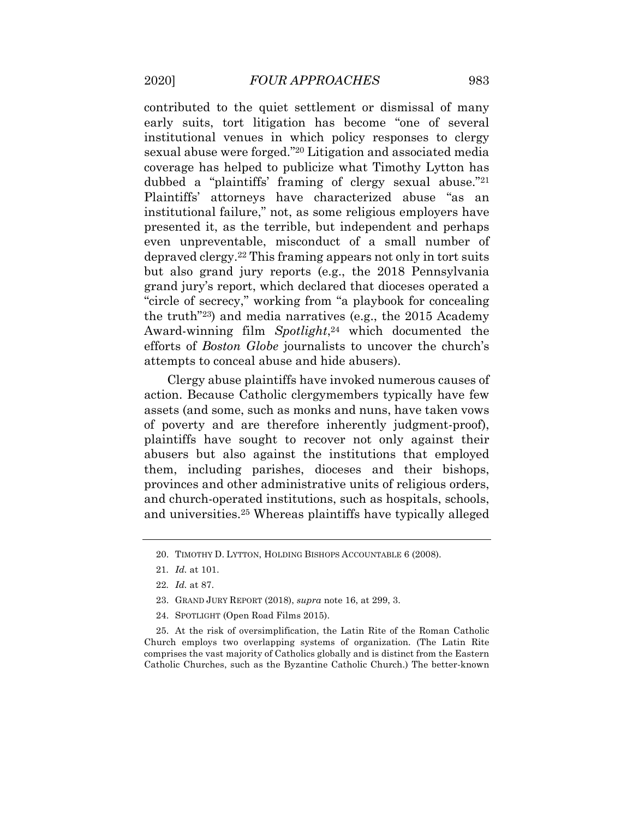contributed to the quiet settlement or dismissal of many early suits, tort litigation has become "one of several institutional venues in which policy responses to clergy sexual abuse were forged."20 Litigation and associated media coverage has helped to publicize what Timothy Lytton has dubbed a "plaintiffs' framing of clergy sexual abuse."21 Plaintiffs' attorneys have characterized abuse "as an institutional failure," not, as some religious employers have presented it, as the terrible, but independent and perhaps even unpreventable, misconduct of a small number of depraved [clergy.22](https://clergy.22) This framing appears not only in tort suits but also grand jury reports (e.g., the 2018 Pennsylvania grand jury's report, which declared that dioceses operated a "circle of secrecy," working from "a playbook for concealing the truth"23) and media narratives (e.g., the 2015 Academy Award-winning film *Spotlight*,24 which documented the attempts to conceal abuse and hide abusers). efforts of *Boston Globe* journalists to uncover the church's

 Clergy abuse plaintiffs have invoked numerous causes of action. Because Catholic clergymembers typically have few assets (and some, such as monks and nuns, have taken vows of poverty and are therefore inherently judgment-proof), plaintiffs have sought to recover not only against their abusers but also against the institutions that employed them, including parishes, dioceses and their bishops, provinces and other administrative units of religious orders, and church-operated institutions, such as hospitals, schools, and [universities.25](https://universities.25) Whereas plaintiffs have typically alleged

- 23. GRAND JURY REPORT (2018), *supra* note 16, at 299, 3.
- 24. SPOTLIGHT (Open Road Films 2015).

 Church employs two overlapping systems of organization. (The Latin Rite comprises the vast majority of Catholics globally and is distinct from the Eastern Catholic Churches, such as the Byzantine Catholic Church.) The better-known 25. At the risk of oversimplification, the Latin Rite of the Roman Catholic

<sup>20.</sup> TIMOTHY D. LYTTON, HOLDING BISHOPS ACCOUNTABLE 6 (2008).

<sup>21</sup>*. Id.* at 101.

<sup>22</sup>*. Id.* at 87.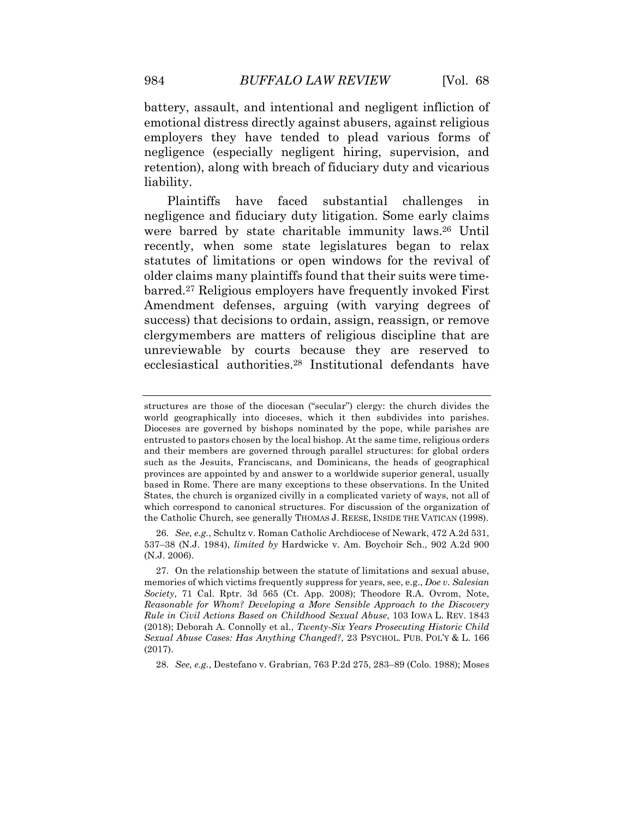battery, assault, and intentional and negligent infliction of emotional distress directly against abusers, against religious employers they have tended to plead various forms of negligence (especially negligent hiring, supervision, and retention), along with breach of fiduciary duty and vicarious liability.

challenges negligence and fiduciary duty litigation. Some early claims were barred by state charitable immunity laws.26 Until recently, when some state legislatures began to relax statutes of limitations or open windows for the revival of older claims many plaintiffs found that their suits were time- [barred.27](https://barred.27) Religious employers have frequently invoked First Amendment defenses, arguing (with varying degrees of success) that decisions to ordain, assign, reassign, or remove unreviewable by courts because they are reserved to Plaintiffs have faced substantial challenges in clergymembers are matters of religious discipline that are ecclesiastical [authorities.28](https://authorities.28) Institutional defendants have

 537–38 (N.J. 1984), *limited by* Hardwicke v. Am. Boychoir Sch., 902 A.2d 900 26*. See, e.g.*, Schultz v. Roman Catholic Archdiocese of Newark, 472 A.2d 531, (N.J. 2006).

28*. See, e.g.*, Destefano v. Grabrian, 763 P.2d 275, 283–89 (Colo. 1988); Moses

 structures are those of the diocesan ("secular") clergy: the church divides the world geographically into dioceses, which it then subdivides into parishes. Dioceses are governed by bishops nominated by the pope, while parishes are entrusted to pastors chosen by the local bishop. At the same time, religious orders and their members are governed through parallel structures: for global orders such as the Jesuits, Franciscans, and Dominicans, the heads of geographical provinces are appointed by and answer to a worldwide superior general, usually based in Rome. There are many exceptions to these observations. In the United States, the church is organized civilly in a complicated variety of ways, not all of which correspond to canonical structures. For discussion of the organization of the Catholic Church, see generally THOMAS J. REESE, INSIDE THE VATICAN (1998).

 memories of which victims frequently suppress for years, see, e.g., *Doe v. Salesian Society*, 71 Cal. Rptr. 3d 565 (Ct. App. 2008); Theodore R.A. Ovrom, Note,  *Reasonable for Whom? Developing a More Sensible Approach to the Discovery Rule in Civil Actions Based on Childhood Sexual Abuse*, 103 IOWA L. REV. 1843 (2018); Deborah A. Connolly et al., *Twenty-Six Years Prosecuting Historic Child Sexual Abuse Cases: Has Anything Changed?*, 23 PSYCHOL. PUB. POL'Y & L. 166 27. On the relationship between the statute of limitations and sexual abuse, (2017).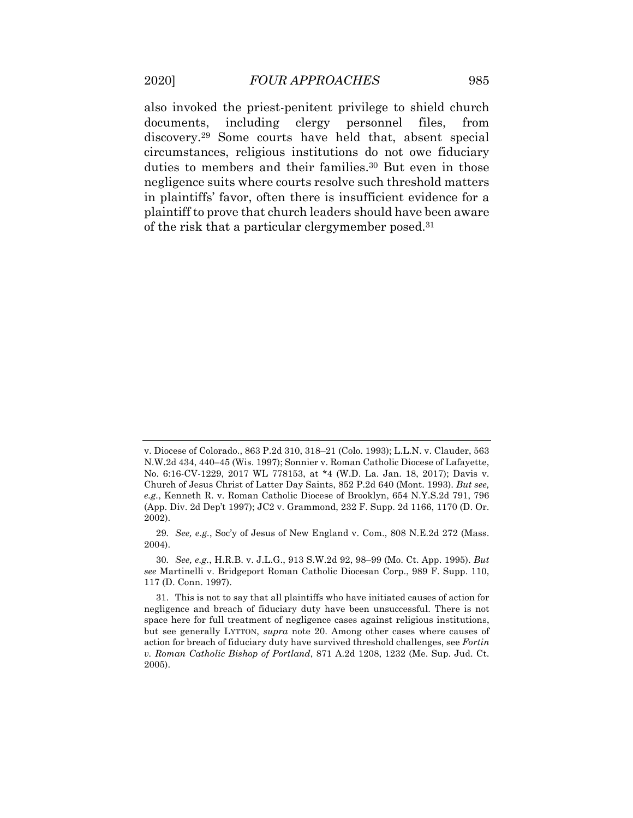also invoked the priest-penitent privilege to shield church including [discovery.29](https://discovery.29) Some courts have held that, absent special circumstances, religious institutions do not owe fiduciary duties to members and their [families.30](https://families.30) But even in those negligence suits where courts resolve such threshold matters in plaintiffs' favor, often there is insufficient evidence for a plaintiff to prove that church leaders should have been aware of the risk that a particular clergymember [posed.31](https://posed.31) documents, including clergy personnel files, from

 v. Diocese of Colorado., 863 P.2d 310, 318–21 (Colo. 1993); L.L.N. v. Clauder, 563 N.W.2d 434, 440–45 (Wis. 1997); Sonnier v. Roman Catholic Diocese of Lafayette, No. 6:16-CV-1229, 2017 WL 778153, at \*4 (W.D. La. Jan. 18, 2017); Davis v. Church of Jesus Christ of Latter Day Saints, 852 P.2d 640 (Mont. 1993). *But see, e.g.*, Kenneth R. v. Roman Catholic Diocese of Brooklyn, 654 [N.Y.S.2d](https://N.Y.S.2d) 791, 796 (App. Div. 2d Dep't 1997); JC2 v. Grammond, 232 F. Supp. 2d 1166, 1170 (D. Or. 2002).

<sup>29</sup>*. See, e.g.*, Soc'y of Jesus of New England v. Com., 808 N.E.2d 272 (Mass. 2004).

 *see* Martinelli v. Bridgeport Roman Catholic Diocesan Corp., 989 F. Supp. 110, 117 (D. Conn. 1997). 30*. See, e.g.*, H.R.B. v. J.L.G., 913 S.W.2d 92, 98–99 (Mo. Ct. App. 1995). *But* 

 negligence and breach of fiduciary duty have been unsuccessful. There is not space here for full treatment of negligence cases against religious institutions, but see generally LYTTON, *supra* note 20. Among other cases where causes of action for breach of fiduciary duty have survived threshold challenges, see *Fortin v. Roman Catholic Bishop of Portland*, 871 A.2d 1208, 1232 (Me. Sup. Jud. Ct. 31. This is not to say that all plaintiffs who have initiated causes of action for 2005).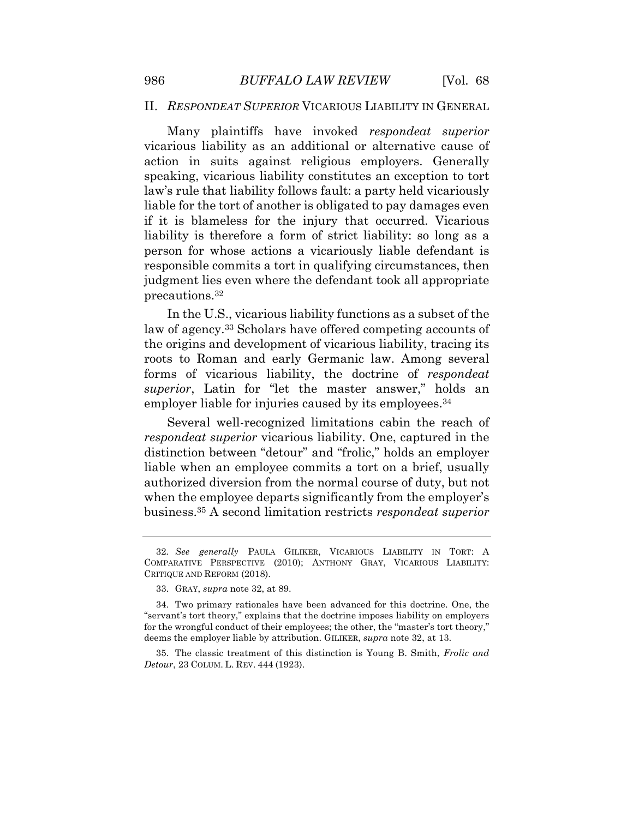#### <span id="page-12-0"></span>II. *RESPONDEAT SUPERIOR* VICARIOUS LIABILITY IN GENERAL

 vicarious liability as an additional or alternative cause of action in suits against religious employers. Generally speaking, vicarious liability constitutes an exception to tort law's rule that liability follows fault: a party held vicariously liable for the tort of another is obligated to pay damages even if it is blameless for the injury that occurred. Vicarious liability is therefore a form of strict liability: so long as a person for whose actions a vicariously liable defendant is responsible commits a tort in qualifying circumstances, then judgment lies even where the defendant took all appropriate Many plaintiffs have invoked *respondeat superior*  [precautions.32](https://precautions.32)

 In the U.S., vicarious liability functions as a subset of the law of [agency.33](https://agency.33) Scholars have offered competing accounts of the origins and development of vicarious liability, tracing its roots to Roman and early Germanic law. Among several forms of vicarious liability, the doctrine of *respondeat superior*, Latin for "let the master answer," holds an employer liable for injuries caused by its employees.<sup>34</sup>

 Several well-recognized limitations cabin the reach of *respondeat superior* vicarious liability. One, captured in the distinction between "detour" and "frolic," holds an employer liable when an employee commits a tort on a brief, usually authorized diversion from the normal course of duty, but not when the employee departs significantly from the employer's [business.35](https://business.35) A second limitation restricts *respondeat superior* 

 *Detour*, 23 COLUM. L. REV. 444 (1923). 35. The classic treatment of this distinction is Young B. Smith, *Frolic and* 

 CRITIQUE AND REFORM (2018). 32*. See generally* PAULA GILIKER, VICARIOUS LIABILITY IN TORT: A COMPARATIVE PERSPECTIVE (2010); ANTHONY GRAY, VICARIOUS LIABILITY:

<sup>33.</sup> GRAY, *supra* note 32, at 89.

 "servant's tort theory," explains that the doctrine imposes liability on employers for the wrongful conduct of their employees; the other, the "master's tort theory," deems the employer liable by attribution. GILIKER, *supra* note 32, at 13. 34. Two primary rationales have been advanced for this doctrine. One, the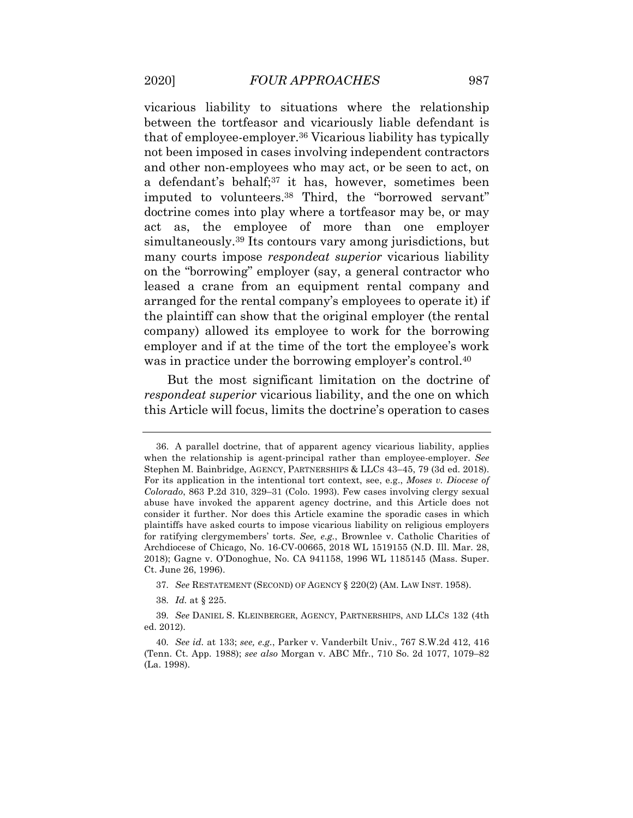vicarious liability to situations where the relationship between the tortfeasor and vicariously liable defendant is that of [employee-employer.36](https://employee-employer.36) Vicarious liability has typically not been imposed in cases involving independent contractors and other non-employees who may act, or be seen to act, on a defendant's behalf;<sup>37</sup> it has, however, sometimes been imputed to [volunteers.38](https://volunteers.38) Third, the "borrowed servant" doctrine comes into play where a tortfeasor may be, or may act as, the employee of more than one employer [simultaneously.39](https://simultaneously.39) Its contours vary among jurisdictions, but many courts impose *respondeat superior* vicarious liability on the "borrowing" employer (say, a general contractor who leased a crane from an equipment rental company and arranged for the rental company's employees to operate it) if the plaintiff can show that the original employer (the rental company) allowed its employee to work for the borrowing employer and if at the time of the tort the employee's work was in practice under the borrowing employer's control.<sup>40</sup>

 But the most significant limitation on the doctrine of *respondeat superior* vicarious liability, and the one on which this Article will focus, limits the doctrine's operation to cases

 when the relationship is agent-principal rather than employee-employer. *See*  Stephen M. Bainbridge, AGENCY, PARTNERSHIPS & LLCS 43–45, 79 (3d ed. 2018). For its application in the intentional tort context, see, e.g., *Moses v. Diocese of Colorado*, 863 P.2d 310, 329–31 (Colo. 1993). Few cases involving clergy sexual abuse have invoked the apparent agency doctrine, and this Article does not consider it further. Nor does this Article examine the sporadic cases in which plaintiffs have asked courts to impose vicarious liability on religious employers for ratifying clergymembers' torts. *See, e.g.*, Brownlee v. Catholic Charities of Archdiocese of Chicago, No. 16-CV-00665, 2018 WL 1519155 (N.D. Ill. Mar. 28, 2018); Gagne v. O'Donoghue, No. CA 941158, 1996 WL 1185145 (Mass. Super. Ct. June 26, 1996). 36. A parallel doctrine, that of apparent agency vicarious liability, applies

<sup>37</sup>*. See* RESTATEMENT (SECOND) OF AGENCY § 220(2) (AM. LAW INST. 1958).

<sup>38</sup>*. Id.* at § 225.

<sup>39</sup>*. See* DANIEL S. KLEINBERGER, AGENCY, PARTNERSHIPS, AND LLCS 132 (4th ed. 2012).

 (Tenn. Ct. App. 1988); *see also* Morgan v. ABC Mfr*.*, 710 So. 2d 1077, 1079–82 40*. See id.* at 133; *see, e.g.*, Parker v. Vanderbilt Univ., 767 S.W.2d 412, 416 (La. 1998).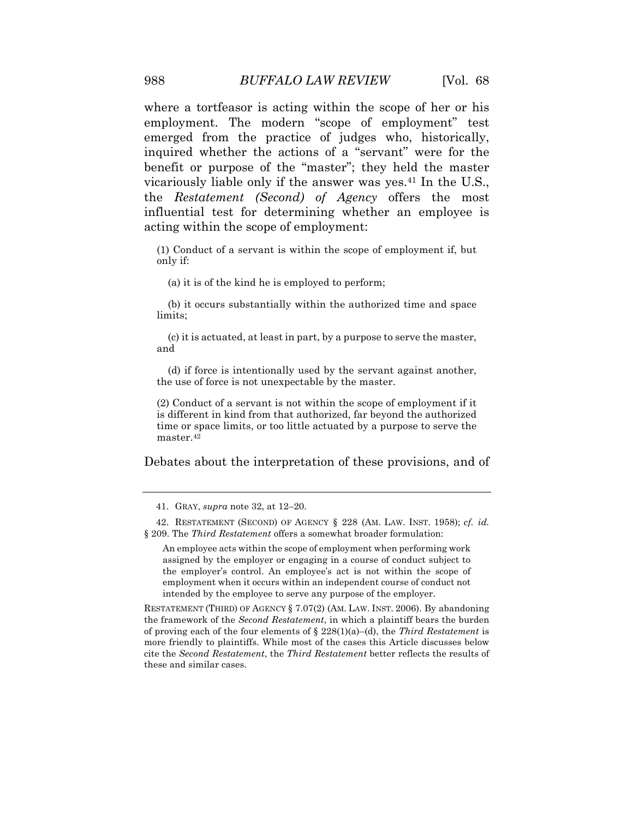where a tortfeasor is acting within the scope of her or his employment. The modern "scope of employment" test emerged from the practice of judges who, historically, inquired whether the actions of a "servant" were for the benefit or purpose of the "master"; they held the master vicariously liable only if the answer was yes.41 In the U.S., the *Restatement (Second) of Agency* offers the most influential test for determining whether an employee is acting within the scope of employment:

 (1) Conduct of a servant is within the scope of employment if, but only if:

(a) it is of the kind he is employed to perform;

 (b) it occurs substantially within the authorized time and space limits;

 (c) it is actuated, at least in part, by a purpose to serve the master, and

 (d) if force is intentionally used by the servant against another, the use of force is not unexpectable by the master.

 (2) Conduct of a servant is not within the scope of employment if it is different in kind from that authorized, far beyond the authorized time or space limits, or too little actuated by a purpose to serve the [master.42](https://master.42)

Debates about the interpretation of these provisions, and of

 § 209. The *Third Restatement* offers a somewhat broader formulation: 42. RESTATEMENT (SECOND) OF AGENCY § 228 (AM. LAW. INST. 1958); *cf. id.* 

 An employee acts within the scope of employment when performing work assigned by the employer or engaging in a course of conduct subject to the employer's control. An employee's act is not within the scope of employment when it occurs within an independent course of conduct not intended by the employee to serve any purpose of the employer.

 RESTATEMENT (THIRD) OF AGENCY § 7.07(2) (AM. LAW. INST. 2006). By abandoning the framework of the *Second Restatement*, in which a plaintiff bears the burden of proving each of the four elements of § 228(1)(a)–(d), the *Third Restatement* is more friendly to plaintiffs. While most of the cases this Article discusses below cite the *Second Restatement*, the *Third Restatement* better reflects the results of these and similar cases.

<sup>41.</sup> GRAY, *supra* note 32, at 12–20.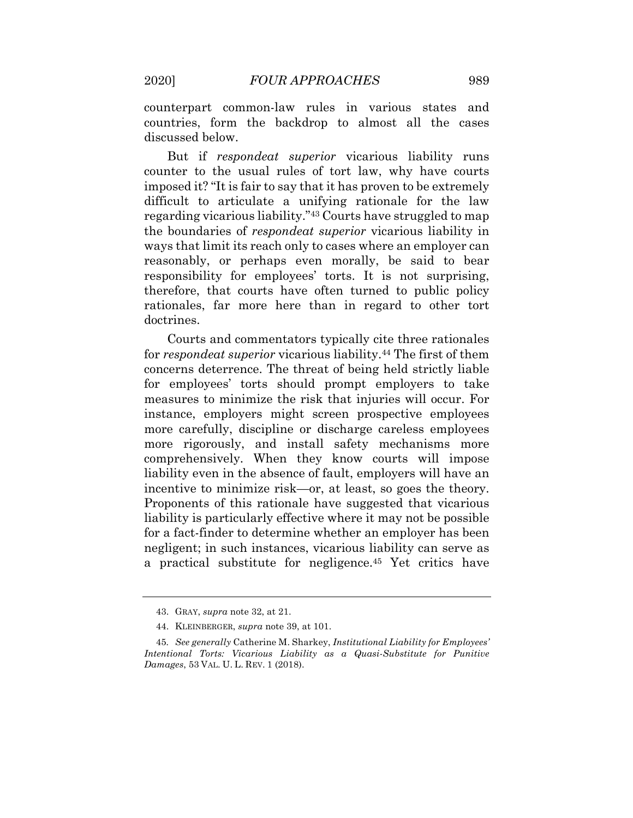counterpart common-law rules in various states and countries, form the backdrop to almost all the cases discussed below.

 But if *respondeat superior* vicarious liability runs counter to the usual rules of tort law, why have courts imposed it? "It is fair to say that it has proven to be extremely difficult to articulate a unifying rationale for the law regarding vicarious liability."43 Courts have struggled to map the boundaries of *respondeat superior* vicarious liability in ways that limit its reach only to cases where an employer can reasonably, or perhaps even morally, be said to bear responsibility for employees' torts. It is not surprising, therefore, that courts have often turned to public policy rationales, far more here than in regard to other tort doctrines.

 Courts and commentators typically cite three rationales for *respondeat superior* vicarious [liability.44](https://liability.44) The first of them concerns deterrence. The threat of being held strictly liable for employees' torts should prompt employers to take measures to minimize the risk that injuries will occur. For instance, employers might screen prospective employees more carefully, discipline or discharge careless employees more rigorously, and install safety mechanisms more comprehensively. When they know courts will impose liability even in the absence of fault, employers will have an incentive to minimize risk—or, at least, so goes the theory. Proponents of this rationale have suggested that vicarious liability is particularly effective where it may not be possible for a fact-finder to determine whether an employer has been negligent; in such instances, vicarious liability can serve as a practical substitute for [negligence.45](https://negligence.45) Yet critics have

<sup>43.</sup> GRAY, *supra* note 32, at 21.

<sup>44.</sup> KLEINBERGER, *supra* note 39, at 101.

*Intentional Torts: Vicarious Liability as a Quasi-Substitute for Punitive Damages*, 53 VAL. U. L. REV. 1 (2018). 45*. See generally* Catherine M. Sharkey, *Institutional Liability for Employees'*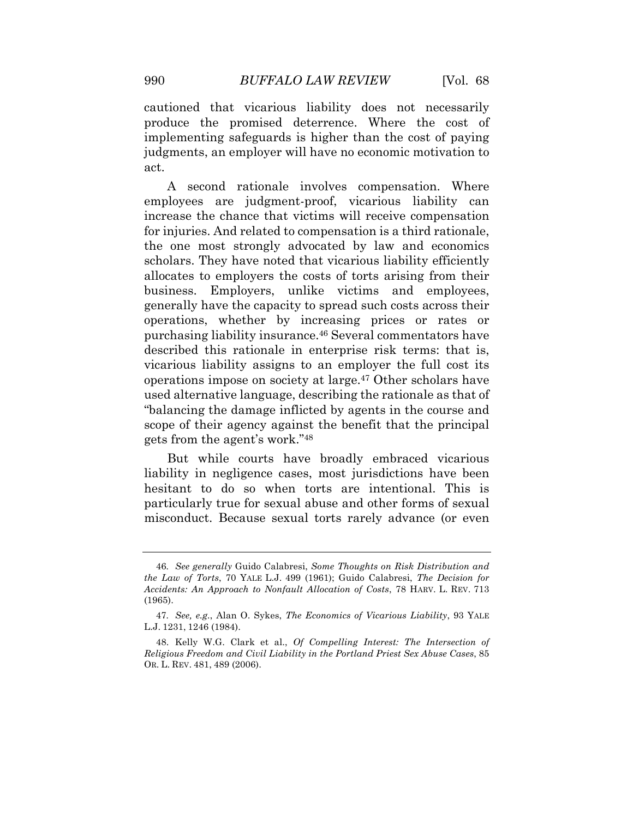cautioned that vicarious liability does not necessarily implementing safeguards is higher than the cost of paying judgments, an employer will have no economic motivation to produce the promised deterrence. Where the cost of act.

 A second rationale involves compensation. Where employees are judgment-proof, vicarious liability can increase the chance that victims will receive compensation for injuries. And related to compensation is a third rationale, the one most strongly advocated by law and economics scholars. They have noted that vicarious liability efficiently allocates to employers the costs of torts arising from their business. Employers, unlike victims and employees, generally have the capacity to spread such costs across their operations, whether by increasing prices or rates or purchasing liability [insurance.46](https://insurance.46) Several commentators have described this rationale in enterprise risk terms: that is, vicarious liability assigns to an employer the full cost its operations impose on society at [large.47](https://large.47) Other scholars have used alternative language, describing the rationale as that of "balancing the damage inflicted by agents in the course and scope of their agency against the benefit that the principal gets from the agent's work."48

 But while courts have broadly embraced vicarious liability in negligence cases, most jurisdictions have been hesitant to do so when torts are intentional. This is particularly true for sexual abuse and other forms of sexual misconduct. Because sexual torts rarely advance (or even

 *the Law of Torts*, 70 YALE L.J. 499 (1961); Guido Calabresi, *The Decision for Accidents: An Approach to Nonfault Allocation of Costs*, 78 HARV. L. REV. 713 46*. See generally* Guido Calabresi, *Some Thoughts on Risk Distribution and*  (1965).

 L.J. 1231, 1246 (1984). 47*. See, e.g.*, Alan O. Sykes, *The Economics of Vicarious Liability*, 93 YALE

 *Religious Freedom and Civil Liability in the Portland Priest Sex Abuse Cases*, 85 OR. L. REV. 481, 489 (2006). 48. Kelly W.G. Clark et al., *Of Compelling Interest: The Intersection of*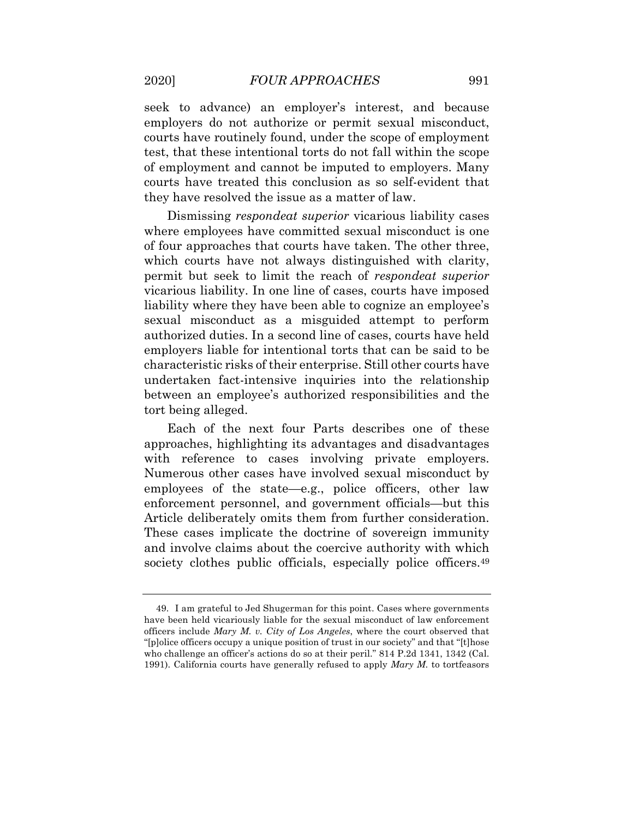seek to advance) an employer's interest, and because employers do not authorize or permit sexual misconduct, courts have routinely found, under the scope of employment test, that these intentional torts do not fall within the scope of employment and cannot be imputed to employers. Many courts have treated this conclusion as so self-evident that they have resolved the issue as a matter of law.

 Dismissing *respondeat superior* vicarious liability cases where employees have committed sexual misconduct is one of four approaches that courts have taken. The other three, which courts have not always distinguished with clarity, permit but seek to limit the reach of *respondeat superior*  vicarious liability. In one line of cases, courts have imposed liability where they have been able to cognize an employee's sexual misconduct as a misguided attempt to perform authorized duties. In a second line of cases, courts have held employers liable for intentional torts that can be said to be characteristic risks of their enterprise. Still other courts have between an employee's authorized responsibilities and the tort being alleged. undertaken fact-intensive inquiries into the relationship

 Each of the next four Parts describes one of these approaches, highlighting its advantages and disadvantages with reference to cases involving private employers. Numerous other cases have involved sexual misconduct by employees of the state—e.g., police officers, other law enforcement personnel, and government officials—but this Article deliberately omits them from further consideration. These cases implicate the doctrine of sovereign immunity and involve claims about the coercive authority with which society clothes public officials, especially police officers.<sup>49</sup>

 have been held vicariously liable for the sexual misconduct of law enforcement  officers include *Mary M. v. City of Los Angeles*, where the court observed that "[p]olice officers occupy a unique position of trust in our society" and that "[t]hose who challenge an officer's actions do so at their peril." 814 P.2d 1341, 1342 (Cal. 1991). California courts have generally refused to apply *Mary M.* to tortfeasors 49. I am grateful to Jed Shugerman for this point. Cases where governments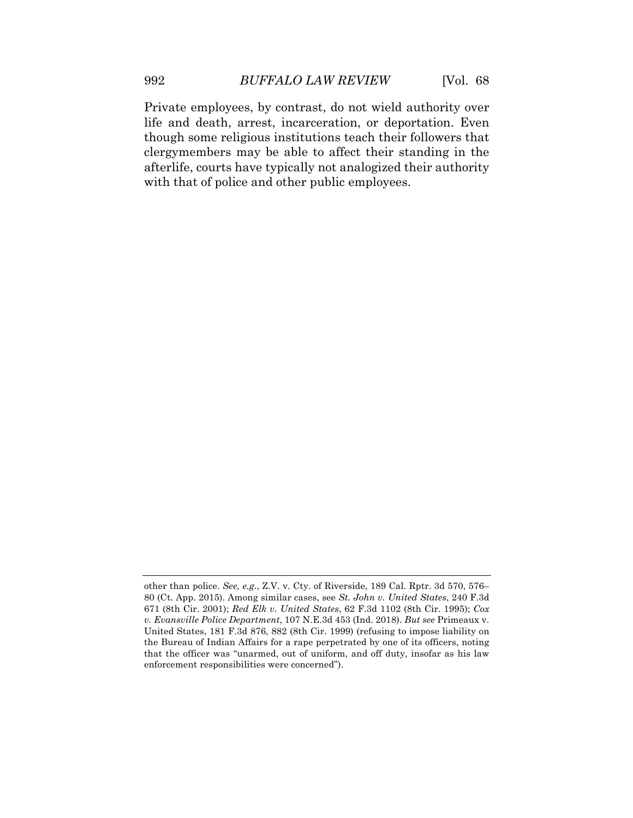Private employees, by contrast, do not wield authority over life and death, arrest, incarceration, or deportation. Even though some religious institutions teach their followers that clergymembers may be able to affect their standing in the afterlife, courts have typically not analogized their authority with that of police and other public employees.

 other than police. *See, e.g.*, Z.V. v. Cty. of Riverside, 189 Cal. Rptr. 3d 570, 576– 80 (Ct. App. 2015). Among similar cases, see *St. John v. United States*, 240 F.3d 671 (8th Cir. 2001); *Red Elk v. United States*, 62 F.3d 1102 (8th Cir. 1995); *Cox v. Evansville Police Department*, 107 N.E.3d 453 (Ind. 2018). *But see* Primeaux v. United States, 181 F.3d 876, 882 (8th Cir. 1999) (refusing to impose liability on the Bureau of Indian Affairs for a rape perpetrated by one of its officers, noting that the officer was "unarmed, out of uniform, and off duty, insofar as his law enforcement responsibilities were concerned").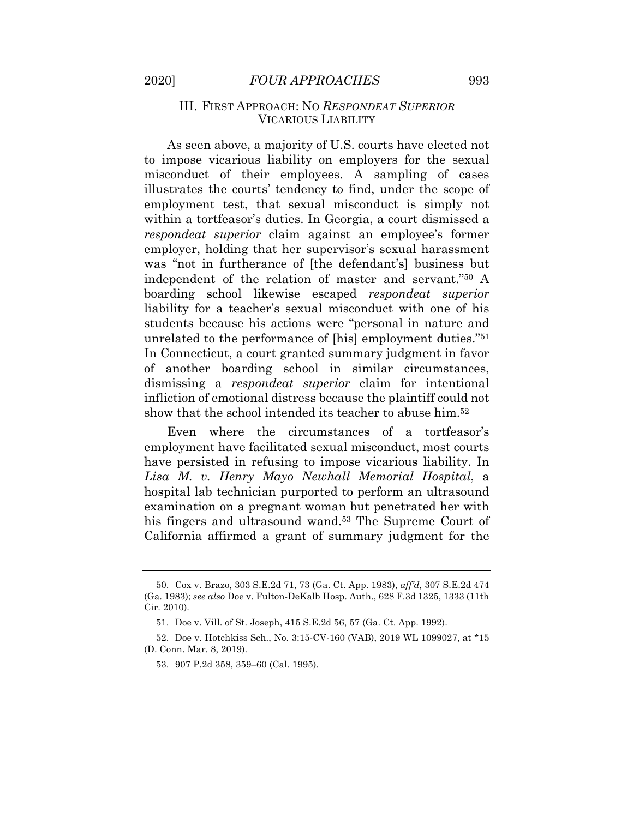#### III. FIRST APPROACH: NO *RESPONDEAT SUPERIOR*  VICARIOUS LIABILITY

 As seen above, a majority of U.S. courts have elected not to impose vicarious liability on employers for the sexual misconduct of their employees. A sampling of cases illustrates the courts' tendency to find, under the scope of employment test, that sexual misconduct is simply not within a tortfeasor's duties. In Georgia, a court dismissed a *respondeat superior* claim against an employee's former employer, holding that her supervisor's sexual harassment was "not in furtherance of [the defendant's] business but independent of the relation of master and servant."50 A boarding school likewise escaped *respondeat superior*  liability for a teacher's sexual misconduct with one of his students because his actions were "personal in nature and unrelated to the performance of [his] employment duties."51 In Connecticut, a court granted summary judgment in favor of another boarding school in similar circumstances, dismissing a *respondeat superior* claim for intentional infliction of emotional distress because the plaintiff could not show that the school intended its teacher to abuse him.52

 Even where the circumstances of a tortfeasor's employment have facilitated sexual misconduct, most courts have persisted in refusing to impose vicarious liability. In  *Lisa M. v. Henry Mayo Newhall Memorial Hospital*, a hospital lab technician purported to perform an ultrasound examination on a pregnant woman but penetrated her with his fingers and ultrasound wand.<sup>53</sup> The Supreme Court of California affirmed a grant of summary judgment for the

 (Ga. 1983); *see also* Doe v. Fulton-DeKalb Hosp. Auth., 628 F.3d 1325, 1333 (11th 50. Cox v. Brazo, 303 S.E.2d 71, 73 (Ga. Ct. App. 1983), *aff'd*, 307 S.E.2d 474 Cir. 2010).

<sup>51.</sup> Doe v. Vill. of St. Joseph, 415 S.E.2d 56, 57 (Ga. Ct. App. 1992).

 (D. Conn. Mar. 8, 2019). 52. Doe v. Hotchkiss Sch., No. 3:15-CV-160 (VAB), 2019 WL 1099027, at \*15

<sup>53. 907</sup> P.2d 358, 359–60 (Cal. 1995).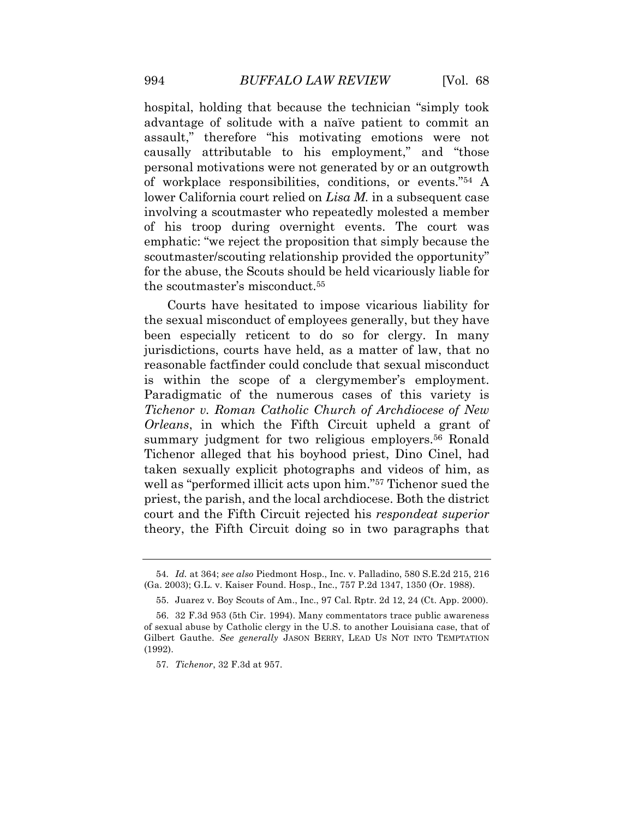hospital, holding that because the technician "simply took advantage of solitude with a naïve patient to commit an assault," therefore "his motivating emotions were not causally attributable to his employment," and "those personal motivations were not generated by or an outgrowth of workplace responsibilities, conditions, or events."54 A lower California court relied on *Lisa M.* in a subsequent case involving a scoutmaster who repeatedly molested a member of his troop during overnight events. The court was emphatic: "we reject the proposition that simply because the scoutmaster/scouting relationship provided the opportunity" for the abuse, the Scouts should be held vicariously liable for the scoutmaster's [misconduct.55](https://misconduct.55) 

 Courts have hesitated to impose vicarious liability for the sexual misconduct of employees generally, but they have been especially reticent to do so for clergy. In many jurisdictions, courts have held, as a matter of law, that no reasonable factfinder could conclude that sexual misconduct is within the scope of a clergymember's employment. Paradigmatic of the numerous cases of this variety is  *Tichenor v. Roman Catholic Church of Archdiocese of New Orleans*, in which the Fifth Circuit upheld a grant of summary judgment for two religious employers.<sup>56</sup> Ronald Tichenor alleged that his boyhood priest, Dino Cinel, had taken sexually explicit photographs and videos of him, as well as "performed illicit acts upon him."<sup>57</sup> Tichenor sued the priest, the parish, and the local archdiocese. Both the district court and the Fifth Circuit rejected his *respondeat superior*  theory, the Fifth Circuit doing so in two paragraphs that

 (Ga. 2003); G.L. v. Kaiser Found. Hosp., Inc., 757 P.2d 1347, 1350 (Or. 1988). 54*. Id.* at 364; *see also* Piedmont Hosp., Inc. v. Palladino, 580 S.E.2d 215, 216

<sup>55.</sup> Juarez v. Boy Scouts of Am., Inc., 97 Cal. Rptr. 2d 12, 24 (Ct. App. 2000).

 of sexual abuse by Catholic clergy in the U.S. to another Louisiana case, that of 56. 32 F.3d 953 (5th Cir. 1994). Many commentators trace public awareness Gilbert Gauthe. *See generally* JASON BERRY, LEAD US NOT INTO TEMPTATION (1992).

<sup>57</sup>*. Tichenor*, 32 F.3d at 957.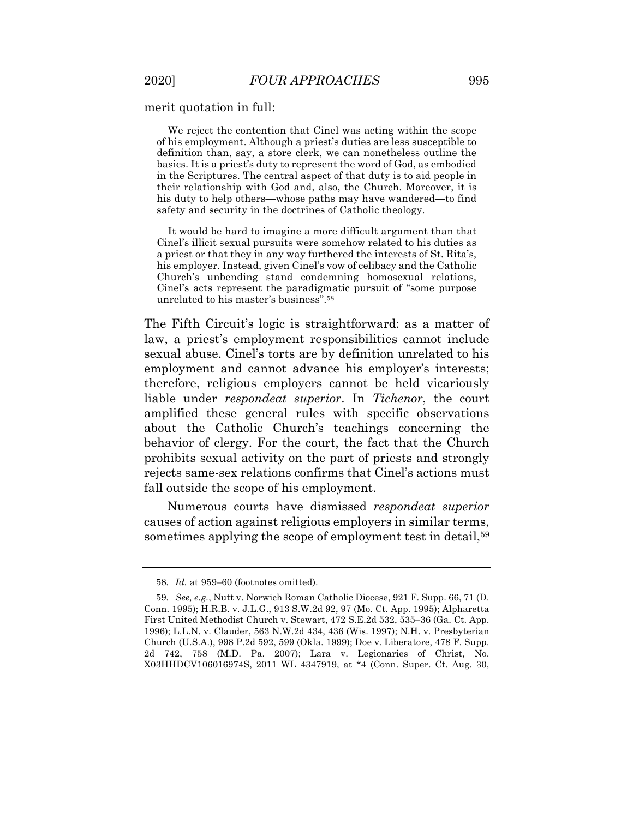#### merit quotation in full:

 We reject the contention that Cinel was acting within the scope of his employment. Although a priest's duties are less susceptible to definition than, say, a store clerk, we can nonetheless outline the basics. It is a priest's duty to represent the word of God, as embodied in the Scriptures. The central aspect of that duty is to aid people in their relationship with God and, also, the Church. Moreover, it is his duty to help others—whose paths may have wandered—to find safety and security in the doctrines of Catholic theology.

 It would be hard to imagine a more difficult argument than that Cinel's illicit sexual pursuits were somehow related to his duties as a priest or that they in any way furthered the interests of St. Rita's, his employer. Instead, given Cinel's vow of celibacy and the Catholic Church's unbending stand condemning homosexual relations, Cinel's acts represent the paradigmatic pursuit of "some purpose unrelated to his master's [business".58](https://business�.58)

 The Fifth Circuit's logic is straightforward: as a matter of law, a priest's employment responsibilities cannot include sexual abuse. Cinel's torts are by definition unrelated to his employment and cannot advance his employer's interests; therefore, religious employers cannot be held vicariously liable under *respondeat superior*. In *Tichenor*, the court amplified these general rules with specific observations about the Catholic Church's teachings concerning the behavior of clergy. For the court, the fact that the Church prohibits sexual activity on the part of priests and strongly rejects same-sex relations confirms that Cinel's actions must fall outside the scope of his employment.

 Numerous courts have dismissed *respondeat superior*  causes of action against religious employers in similar terms, sometimes applying the scope of employment test in detail,<sup>59</sup>

<sup>58</sup>*. Id.* at 959–60 (footnotes omitted).

 Conn. 1995); H.R.B. v. J.L.G., 913 S.W.2d 92, 97 (Mo. Ct. App. 1995); Alpharetta First United Methodist Church v. Stewart, 472 S.E.2d 532, 535–36 (Ga. Ct. App. 1996); L.L.N. v. Clauder, 563 N.W.2d 434, 436 (Wis. 1997); N.H. v. Presbyterian Church (U.S.A.), 998 P.2d 592, 599 (Okla. 1999); Doe v. Liberatore, 478 F. Supp. 2d 742, 758 (M.D. Pa. 2007); Lara v. Legionaries of Christ, No. X03HHDCV106016974S, 2011 WL 4347919, at \*4 (Conn. Super. Ct. Aug. 30, 59*. See, e.g.*, Nutt v. Norwich Roman Catholic Diocese, 921 F. Supp. 66, 71 (D.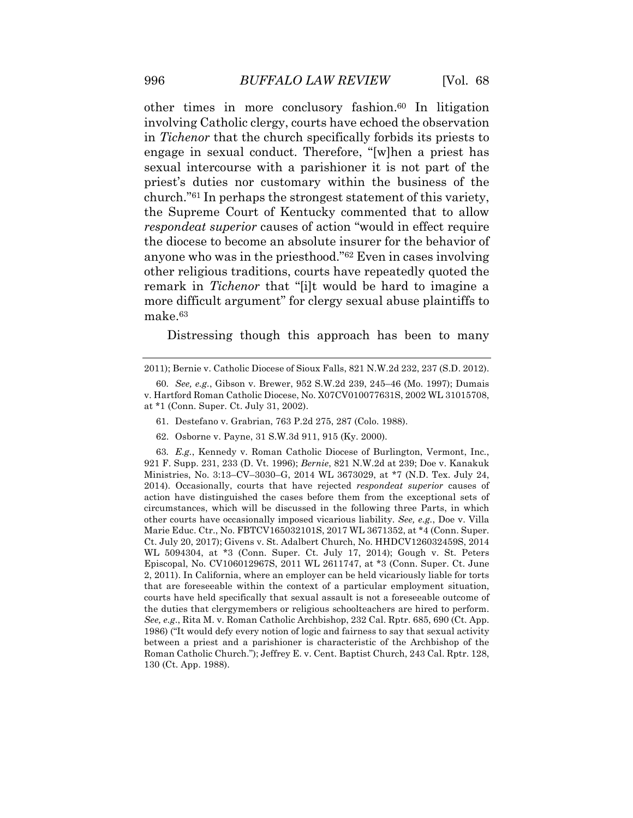other times in more conclusory fashion.<sup>60</sup> In litigation involving Catholic clergy, courts have echoed the observation in *Tichenor* that the church specifically forbids its priests to engage in sexual conduct. Therefore, "[w]hen a priest has sexual intercourse with a parishioner it is not part of the priest's duties nor customary within the business of the church."61 In perhaps the strongest statement of this variety, the Supreme Court of Kentucky commented that to allow *respondeat superior* causes of action "would in effect require the diocese to become an absolute insurer for the behavior of anyone who was in the priesthood."62 Even in cases involving other religious traditions, courts have repeatedly quoted the remark in *Tichenor* that "[i]t would be hard to imagine a more difficult argument" for clergy sexual abuse plaintiffs to make.63

Distressing though this approach has been to many

62. Osborne v. Payne, 31 S.W.3d 911, 915 (Ky. 2000).

 921 F. Supp. 231, 233 (D. Vt. 1996); *Bernie*, 821 N.W.2d at 239; Doe v. Kanakuk Ministries, No. 3:13–CV–3030–G, 2014 WL 3673029, at \*7 (N.D. Tex. July 24, 2014). Occasionally, courts that have rejected *respondeat superior* causes of action have distinguished the cases before them from the exceptional sets of circumstances, which will be discussed in the following three Parts, in which other courts have occasionally imposed vicarious liability. *See, e.g.*, Doe v. Villa Marie Educ. Ctr., No. FBTCV165032101S, 2017 WL 3671352, at \*4 (Conn. Super. Ct. July 20, 2017); Givens v. St. Adalbert Church, No. HHDCV126032459S, 2014 WL 5094304, at \*3 (Conn. Super. Ct. July 17, 2014); Gough v. St. Peters Episcopal, No. CV106012967S, 2011 WL 2611747, at \*3 (Conn. Super. Ct. June 2, 2011). In California, where an employer can be held vicariously liable for torts that are foreseeable within the context of a particular employment situation, courts have held specifically that sexual assault is not a foreseeable outcome of the duties that clergymembers or religious schoolteachers are hired to perform. *See, e.g*., Rita M. v. Roman Catholic Archbishop, 232 Cal. Rptr. 685, 690 (Ct. App. 1986) ("It would defy every notion of logic and fairness to say that sexual activity between a priest and a parishioner is characteristic of the Archbishop of the Roman Catholic Church."); Jeffrey E. v. Cent. Baptist Church, 243 Cal. Rptr. 128, 130 (Ct. App. 1988). 63*. E.g.*, Kennedy v. Roman Catholic Diocese of Burlington, Vermont, Inc*.*,

 2011); Bernie v. Catholic Diocese of Sioux Falls, 821 N.W.2d 232, 237 (S.D. 2012).

 v. Hartford Roman Catholic Diocese, No. X07CV010077631S, 2002 WL 31015708, at \*1 (Conn. Super. Ct. July 31, 2002). 60*. See, e.g.*, Gibson v. Brewer, 952 S.W.2d 239, 245–46 (Mo. 1997); Dumais

<sup>61.</sup> Destefano v. Grabrian, 763 P.2d 275, 287 (Colo. 1988).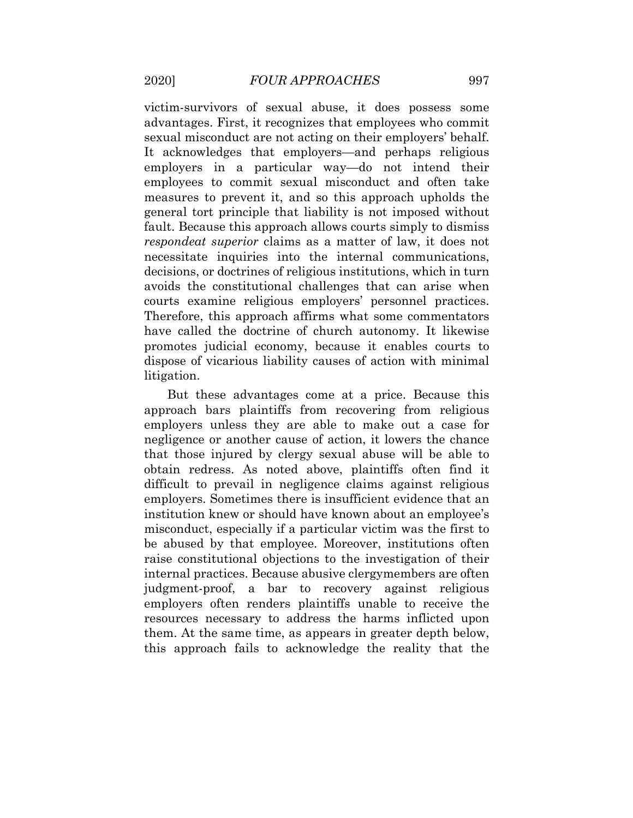victim-survivors of sexual abuse, it does possess some advantages. First, it recognizes that employees who commit sexual misconduct are not acting on their employers' behalf. It acknowledges that employers—and perhaps religious employers in a particular way—do not intend their employees to commit sexual misconduct and often take measures to prevent it, and so this approach upholds the general tort principle that liability is not imposed without fault. Because this approach allows courts simply to dismiss *respondeat superior* claims as a matter of law, it does not decisions, or doctrines of religious institutions, which in turn avoids the constitutional challenges that can arise when courts examine religious employers' personnel practices. Therefore, this approach affirms what some commentators have called the doctrine of church autonomy. It likewise promotes judicial economy, because it enables courts to dispose of vicarious liability causes of action with minimal necessitate inquiries into the internal communications, litigation.

 But these advantages come at a price. Because this approach bars plaintiffs from recovering from religious employers unless they are able to make out a case for negligence or another cause of action, it lowers the chance that those injured by clergy sexual abuse will be able to obtain redress. As noted above, plaintiffs often find it difficult to prevail in negligence claims against religious employers. Sometimes there is insufficient evidence that an institution knew or should have known about an employee's misconduct, especially if a particular victim was the first to be abused by that employee. Moreover, institutions often raise constitutional objections to the investigation of their internal practices. Because abusive clergymembers are often judgment-proof, a bar to recovery against religious employers often renders plaintiffs unable to receive the resources necessary to address the harms inflicted upon them. At the same time, as appears in greater depth below, this approach fails to acknowledge the reality that the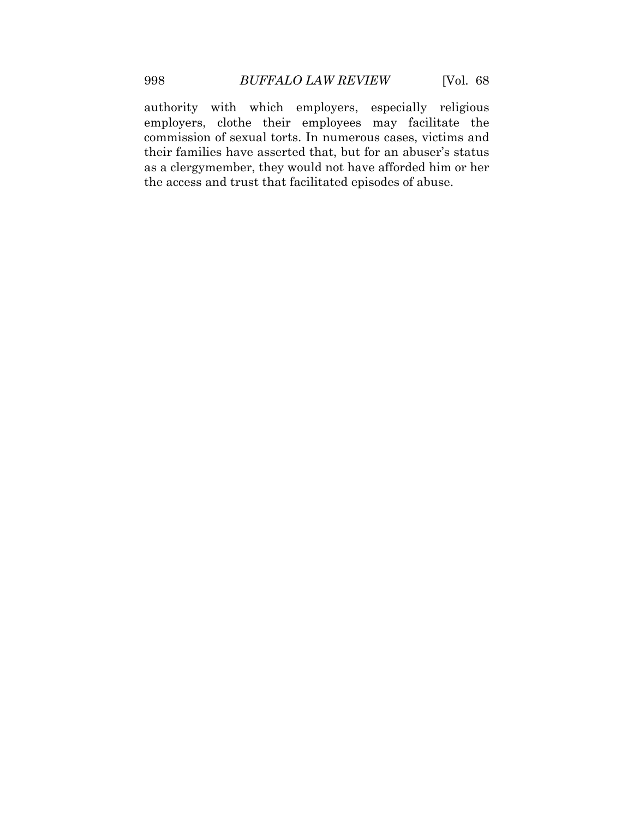authority with which employers, especially religious employers, clothe their employees may facilitate the commission of sexual torts. In numerous cases, victims and their families have asserted that, but for an abuser's status as a clergymember, they would not have afforded him or her the access and trust that facilitated episodes of abuse.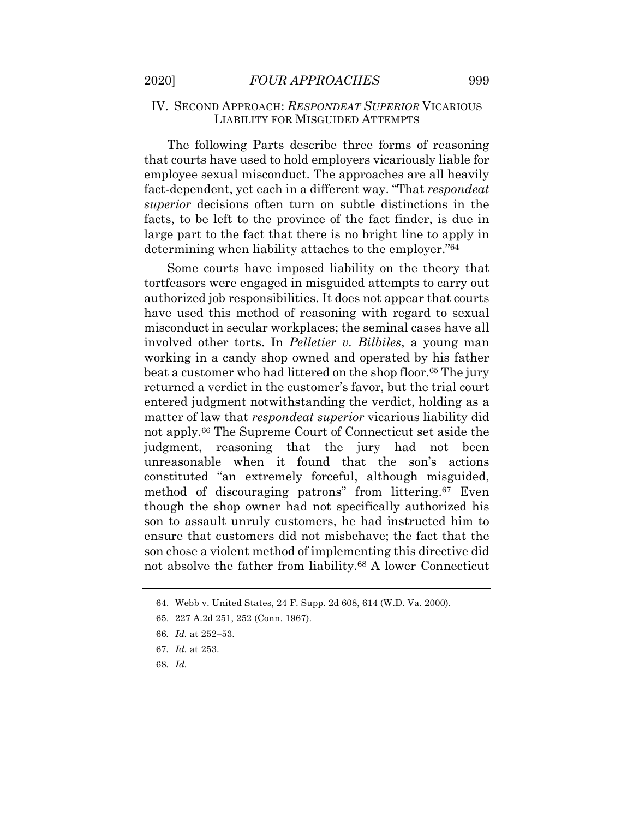#### IV. SECOND APPROACH: *RESPONDEAT SUPERIOR* VICARIOUS LIABILITY FOR MISGUIDED ATTEMPTS

 that courts have used to hold employers vicariously liable for employee sexual misconduct. The approaches are all heavily fact-dependent, yet each in a different way. "That *respondeat superior* decisions often turn on subtle distinctions in the facts, to be left to the province of the fact finder, is due in large part to the fact that there is no bright line to apply in determining when liability attaches to the employer."64 The following Parts describe three forms of reasoning

 Some courts have imposed liability on the theory that tortfeasors were engaged in misguided attempts to carry out authorized job responsibilities. It does not appear that courts have used this method of reasoning with regard to sexual misconduct in secular workplaces; the seminal cases have all involved other torts. In *Pelletier v. Bilbiles*, a young man working in a candy shop owned and operated by his father beat a customer who had littered on the shop floor.<sup>65</sup> The jury returned a verdict in the customer's favor, but the trial court entered judgment notwithstanding the verdict, holding as a matter of law that *respondeat superior* vicarious liability did not [apply.66](https://apply.66) The Supreme Court of Connecticut set aside the judgment, reasoning that the jury had not been unreasonable when it found that the son's actions constituted "an extremely forceful, although misguided, method of discouraging patrons" from littering.<sup>67</sup> Even though the shop owner had not specifically authorized his son to assault unruly customers, he had instructed him to ensure that customers did not misbehave; the fact that the son chose a violent method of implementing this directive did not absolve the father from liability.<sup>68</sup> A lower Connecticut

<sup>64.</sup> Webb v. United States, 24 F. Supp. 2d 608, 614 (W.D. Va. 2000).

<sup>65. 227</sup> A.2d 251, 252 (Conn. 1967).

<sup>66</sup>*. Id.* at 252–53.

<sup>67</sup>*. Id.* at 253.

<sup>68</sup>*. Id.*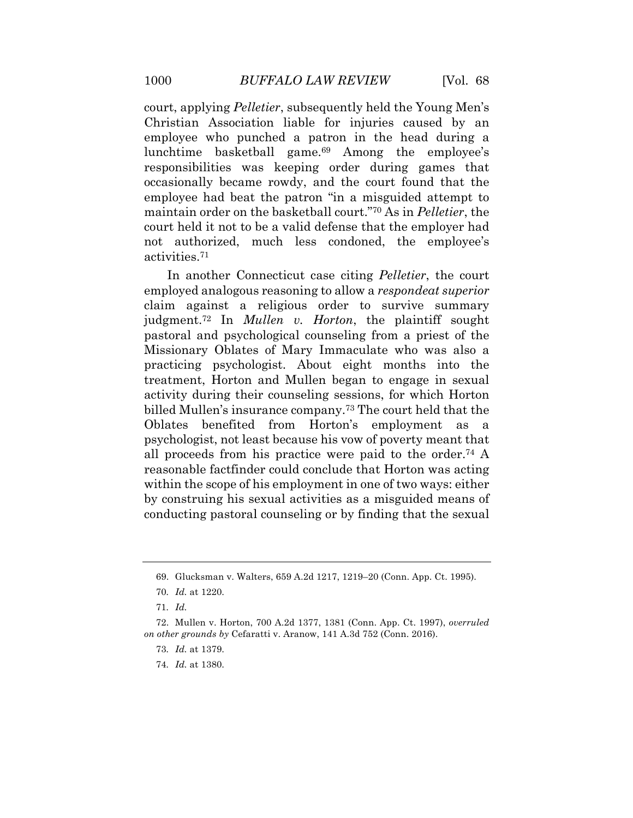court, applying *Pelletier*, subsequently held the Young Men's Christian Association liable for injuries caused by an employee who punched a patron in the head during a lunchtime basketball game.69 Among the employee's responsibilities was keeping order during games that occasionally became rowdy, and the court found that the employee had beat the patron "in a misguided attempt to maintain order on the basketball court."70 As in *Pelletier*, the court held it not to be a valid defense that the employer had not authorized, much less condoned, the employee's [activities.71](https://activities.71)

 In another Connecticut case citing *Pelletier*, the court employed analogous reasoning to allow a *respondeat superior*  claim against a religious order to survive summary  [judgment.72](https://judgment.72) In *Mullen v. Horton*, the plaintiff sought pastoral and psychological counseling from a priest of the Missionary Oblates of Mary Immaculate who was also a practicing psychologist. About eight months into the treatment, Horton and Mullen began to engage in sexual activity during their counseling sessions, for which Horton billed Mullen's insurance company.<sup>73</sup> The court held that the Oblates benefited from Horton's employment as a psychologist, not least because his vow of poverty meant that all proceeds from his practice were paid to the [order.74](https://order.74) A reasonable factfinder could conclude that Horton was acting within the scope of his employment in one of two ways: either by construing his sexual activities as a misguided means of conducting pastoral counseling or by finding that the sexual

<sup>69.</sup> Glucksman v. Walters, 659 A.2d 1217, 1219–20 (Conn. App. Ct. 1995).

<sup>70</sup>*. Id.* at 1220.

<sup>71</sup>*. Id.* 

 *on other grounds by* Cefaratti v. Aranow, 141 A.3d 752 (Conn. 2016). 72. Mullen v. Horton, 700 A.2d 1377, 1381 (Conn. App. Ct. 1997), *overruled* 

<sup>73</sup>*. Id.* at 1379.

<sup>74</sup>*. Id.* at 1380.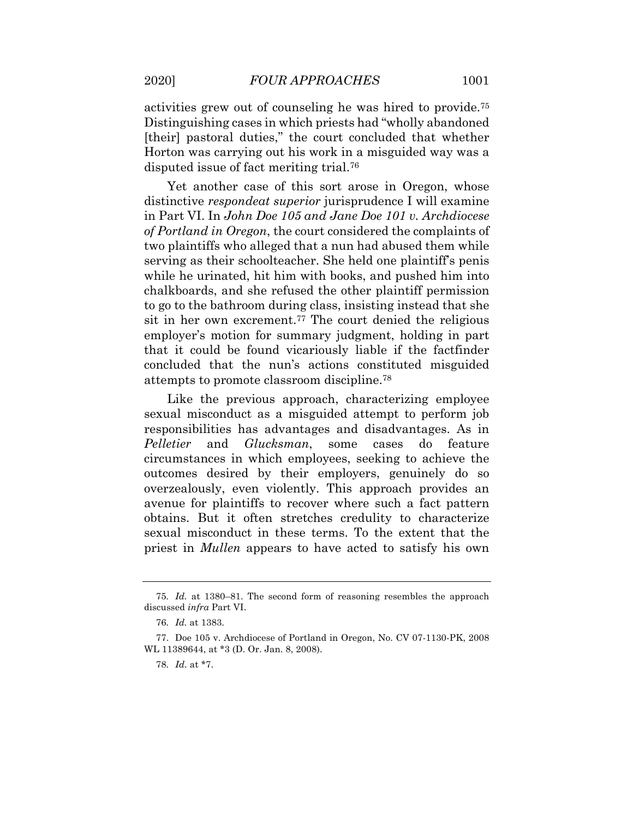activities grew out of counseling he was hired to [provide.75](https://provide.75)  Distinguishing cases in which priests had "wholly abandoned [their] pastoral duties," the court concluded that whether Horton was carrying out his work in a misguided way was a disputed issue of fact meriting [trial.76](https://trial.76)

 Yet another case of this sort arose in Oregon, whose distinctive *respondeat superior* jurisprudence I will examine in Part VI. In *John Doe 105 and Jane Doe 101 v. Archdiocese of Portland in Oregon*, the court considered the complaints of two plaintiffs who alleged that a nun had abused them while serving as their schoolteacher. She held one plaintiff's penis while he urinated, hit him with books, and pushed him into chalkboards, and she refused the other plaintiff permission to go to the bathroom during class, insisting instead that she sit in her own excrement.<sup>77</sup> The court denied the religious employer's motion for summary judgment, holding in part that it could be found vicariously liable if the factfinder concluded that the nun's actions constituted misguided attempts to promote classroom [discipline.78](https://discipline.78) 

 Like the previous approach, characterizing employee sexual misconduct as a misguided attempt to perform job responsibilities has advantages and disadvantages. As in circumstances in which employees, seeking to achieve the outcomes desired by their employers, genuinely do so overzealously, even violently. This approach provides an avenue for plaintiffs to recover where such a fact pattern obtains. But it often stretches credulity to characterize sexual misconduct in these terms. To the extent that the priest in *Mullen* appears to have acted to satisfy his own *Pelletier* and *Glucksman*, some cases do feature

<sup>75</sup>*. Id.* at 1380–81. The second form of reasoning resembles the approach discussed *infra* Part VI.

<sup>76</sup>*. Id.* at 1383.

<sup>77.</sup> Doe 105 v. Archdiocese of Portland in Oregon, No. CV 07-1130-PK, 2008 WL 11389644, at \*3 (D. Or. Jan. 8, 2008).

<sup>78</sup>*. Id.* at \*7.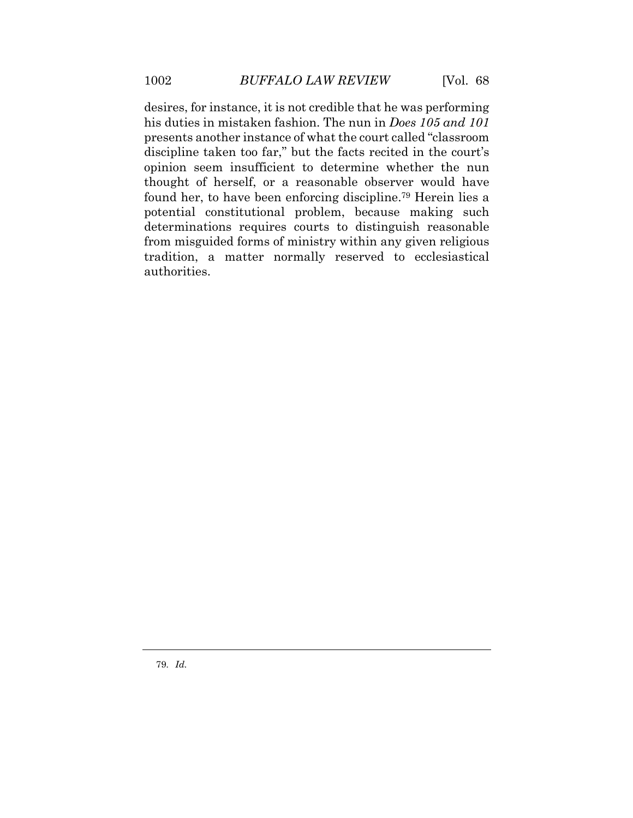desires, for instance, it is not credible that he was performing his duties in mistaken fashion. The nun in *Does 105 and 101*  presents another instance of what the court called "classroom discipline taken too far," but the facts recited in the court's opinion seem insufficient to determine whether the nun thought of herself, or a reasonable observer would have found her, to have been enforcing [discipline.79](https://discipline.79) Herein lies a potential constitutional problem, because making such determinations requires courts to distinguish reasonable from misguided forms of ministry within any given religious tradition, a matter normally reserved to ecclesiastical authorities.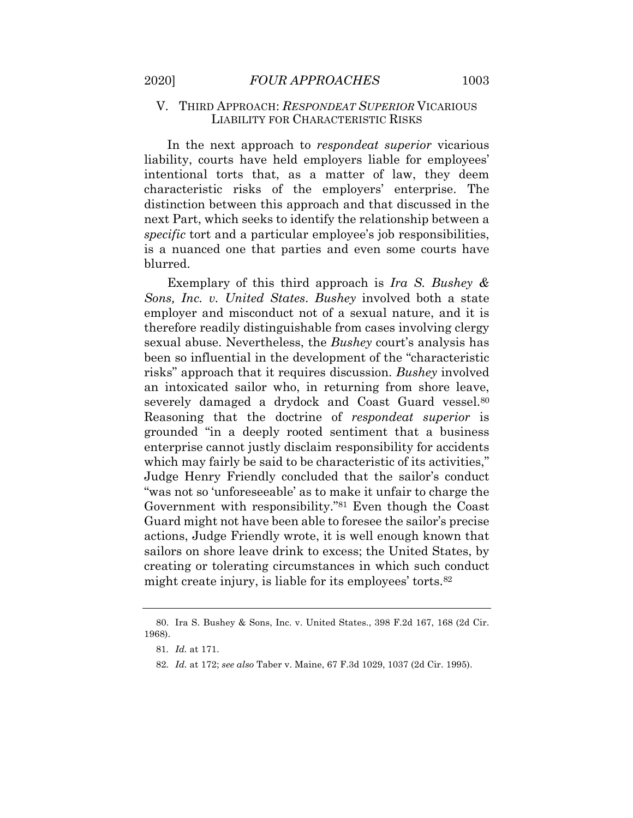#### V. THIRD APPROACH: *RESPONDEAT SUPERIOR* VICARIOUS LIABILITY FOR CHARACTERISTIC RISKS

 In the next approach to *respondeat superior* vicarious liability, courts have held employers liable for employees' intentional torts that, as a matter of law, they deem characteristic risks of the employers' enterprise. The distinction between this approach and that discussed in the next Part, which seeks to identify the relationship between a *specific* tort and a particular employee's job responsibilities, is a nuanced one that parties and even some courts have blurred.

 Exemplary of this third approach is *Ira S. Bushey & Sons, Inc. v. United States*. *Bushey* involved both a state employer and misconduct not of a sexual nature, and it is therefore readily distinguishable from cases involving clergy sexual abuse. Nevertheless, the *Bushey* court's analysis has been so influential in the development of the "characteristic risks" approach that it requires discussion. *Bushey* involved an intoxicated sailor who, in returning from shore leave, severely damaged a drydock and Coast Guard vessel.<sup>80</sup> Reasoning that the doctrine of *respondeat superior* is grounded "in a deeply rooted sentiment that a business enterprise cannot justly disclaim responsibility for accidents which may fairly be said to be characteristic of its activities," Judge Henry Friendly concluded that the sailor's conduct "was not so 'unforeseeable' as to make it unfair to charge the Government with responsibility."81 Even though the Coast Guard might not have been able to foresee the sailor's precise actions, Judge Friendly wrote, it is well enough known that sailors on shore leave drink to excess; the United States, by creating or tolerating circumstances in which such conduct might create injury, is liable for its employees' torts.<sup>82</sup>

<span id="page-29-0"></span>

<sup>80.</sup> Ira S. Bushey & Sons, Inc. v. United States., 398 F.2d 167, 168 (2d Cir. 1968).

<sup>81</sup>*. Id.* at 171.

<sup>82</sup>*. Id.* at 172; *see also* Taber v. Maine, 67 F.3d 1029, 1037 (2d Cir. 1995).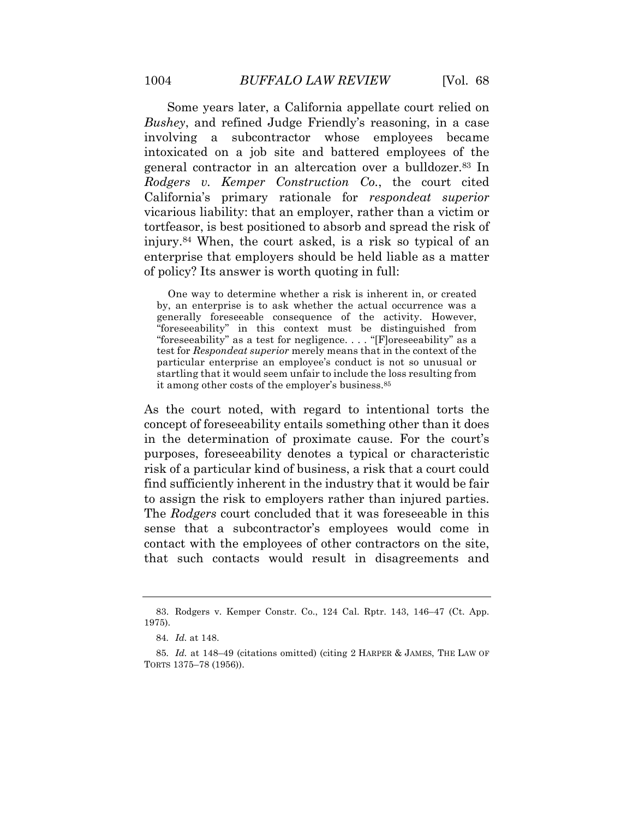Some years later, a California appellate court relied on *Bushey*, and refined Judge Friendly's reasoning, in a case involving a subcontractor whose employees became intoxicated on a job site and battered employees of the general contractor in an altercation over a [bulldozer.83](https://bulldozer.83) In  *Rodgers v. Kemper Construction Co.*, the court cited California's primary rationale for *respondeat superior* vicarious liability: that an employer, rather than a victim or tortfeasor, is best positioned to absorb and spread the risk of [injury.84](https://injury.84) When, the court asked, is a risk so typical of an enterprise that employers should be held liable as a matter of policy? Its answer is worth quoting in full:

 One way to determine whether a risk is inherent in, or created by, an enterprise is to ask whether the actual occurrence was a generally foreseeable consequence of the activity. However, "foreseeability" in this context must be distinguished from "foreseeability" as a test for negligence. . . . "[F]oreseeability" as a test for *Respondeat superior* merely means that in the context of the particular enterprise an employee's conduct is not so unusual or startling that it would seem unfair to include the loss resulting from it among other costs of the employer's [business.85](https://business.85)

 As the court noted, with regard to intentional torts the concept of foreseeability entails something other than it does in the determination of proximate cause. For the court's purposes, foreseeability denotes a typical or characteristic risk of a particular kind of business, a risk that a court could find sufficiently inherent in the industry that it would be fair to assign the risk to employers rather than injured parties. The *Rodgers* court concluded that it was foreseeable in this sense that a subcontractor's employees would come in contact with the employees of other contractors on the site, that such contacts would result in disagreements and

<sup>83.</sup> Rodgers v. Kemper Constr. Co., 124 Cal. Rptr. 143, 146–47 (Ct. App. 1975).

<sup>84</sup>*. Id.* at 148.

<sup>85</sup>*. Id.* at 148–49 (citations omitted) (citing 2 HARPER & JAMES, THE LAW OF TORTS 1375–78 (1956)).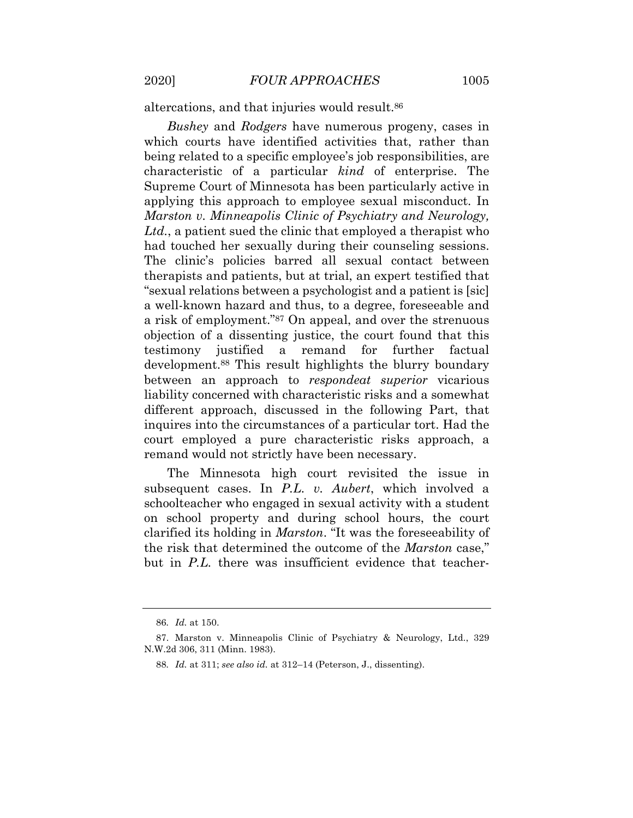altercations, and that injuries would result.<sup>86</sup>

 *Bushey* and *Rodgers* have numerous progeny, cases in which courts have identified activities that, rather than being related to a specific employee's job responsibilities, are characteristic of a particular *kind* of enterprise. The Supreme Court of Minnesota has been particularly active in applying this approach to employee sexual misconduct. In  *Marston v. Minneapolis Clinic of Psychiatry and Neurology, Ltd.*, a patient sued the clinic that employed a therapist who had touched her sexually during their counseling sessions. The clinic's policies barred all sexual contact between therapists and patients, but at trial, an expert testified that "sexual relations between a psychologist and a patient is [sic] a well-known hazard and thus, to a degree, foreseeable and a risk of employment."87 On appeal, and over the strenuous objection of a dissenting justice, the court found that this testimony justified a remand for further factual [development.88](https://development.88) This result highlights the blurry boundary between an approach to *respondeat superior* vicarious liability concerned with characteristic risks and a somewhat different approach, discussed in the following Part, that inquires into the circumstances of a particular tort. Had the court employed a pure characteristic risks approach, a remand would not strictly have been necessary.

 The Minnesota high court revisited the issue in subsequent cases. In *P.L. v. Aubert*, which involved a schoolteacher who engaged in sexual activity with a student on school property and during school hours, the court clarified its holding in *Marston*. "It was the foreseeability of the risk that determined the outcome of the *Marston* case," but in *P.L.* there was insufficient evidence that teacher-

<sup>86</sup>*. Id.* at 150.

 N.W.2d 306, 311 (Minn. 1983). 87. Marston v. Minneapolis Clinic of Psychiatry & Neurology, Ltd., 329

<sup>88</sup>*. Id.* at 311; *see also id.* at 312–14 (Peterson, J., dissenting).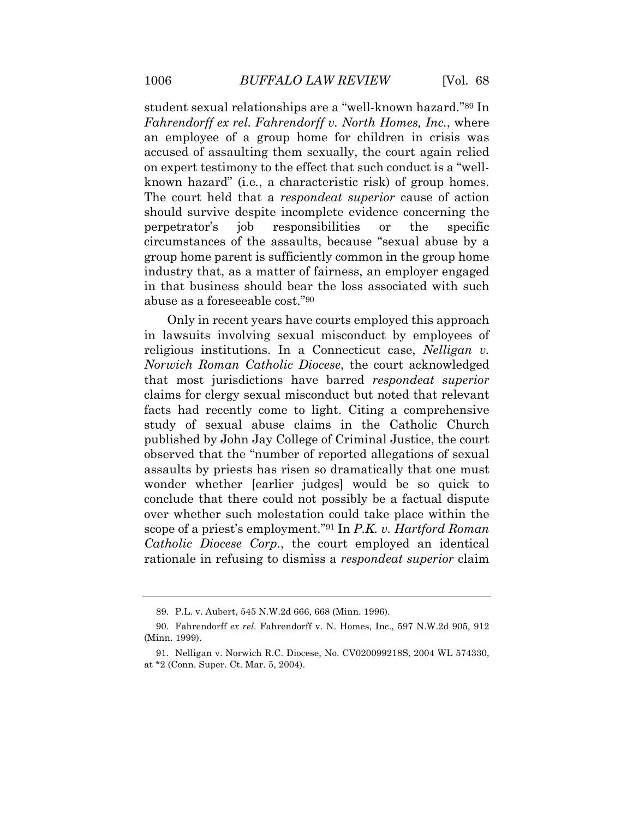student sexual relationships are a "well-known hazard."89 In  *Fahrendorff ex rel. Fahrendorff v. North Homes, Inc.*, where an employee of a group home for children in crisis was accused of assaulting them sexually, the court again relied on expert testimony to the effect that such conduct is a "well- known hazard" (i.e*.*, a characteristic risk) of group homes. The court held that a *respondeat superior* cause of action perpetrator's circumstances of the assaults, because "sexual abuse by a group home parent is sufficiently common in the group home industry that, as a matter of fairness, an employer engaged in that business should bear the loss associated with such abuse as a foreseeable cost."90 should survive despite incomplete evidence concerning the job responsibilities or the specific

 Only in recent years have courts employed this approach in lawsuits involving sexual misconduct by employees of religious institutions. In a Connecticut case, *Nelligan v. Norwich Roman Catholic Diocese*, the court acknowledged that most jurisdictions have barred *respondeat superior*  claims for clergy sexual misconduct but noted that relevant facts had recently come to light. Citing a comprehensive study of sexual abuse claims in the Catholic Church published by John Jay College of Criminal Justice, the court observed that the "number of reported allegations of sexual assaults by priests has risen so dramatically that one must wonder whether [earlier judges] would be so quick to conclude that there could not possibly be a factual dispute over whether such molestation could take place within the scope of a priest's employment."91 In *P.K. v. Hartford Roman Catholic Diocese Corp.*, the court employed an identical rationale in refusing to dismiss a *respondeat superior* claim

<sup>89.</sup> P.L. v. Aubert, 545 N.W.2d 666, 668 (Minn. 1996).

<sup>90.</sup> Fahrendorff *ex rel.* Fahrendorff v. N. Homes, Inc., 597 N.W.2d 905, 912 (Minn. 1999).

 at \*2 (Conn. Super. Ct. Mar. 5, 2004). 91. Nelligan v. Norwich R.C. Diocese, No. CV020099218S, 2004 WL 574330,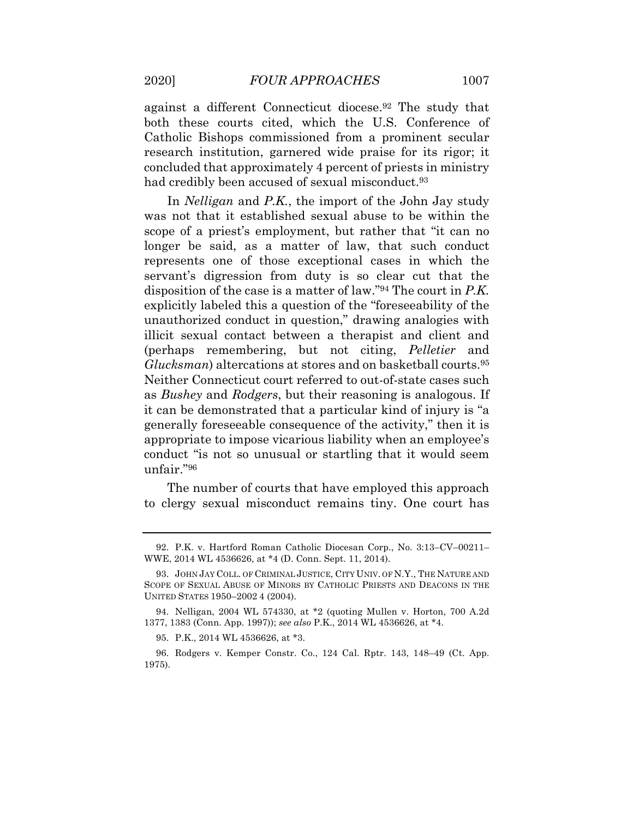against a different Connecticut [diocese.92](https://diocese.92) The study that both these courts cited, which the U.S. Conference of Catholic Bishops commissioned from a prominent secular research institution, garnered wide praise for its rigor; it concluded that approximately 4 percent of priests in ministry had credibly been accused of sexual misconduct.<sup>93</sup>

 In *Nelligan* and *P.K.*, the import of the John Jay study was not that it established sexual abuse to be within the scope of a priest's employment, but rather that "it can no longer be said, as a matter of law, that such conduct represents one of those exceptional cases in which the servant's digression from duty is so clear cut that the disposition of the case is a matter of law."94 The court in *P.K.*  explicitly labeled this a question of the "foreseeability of the unauthorized conduct in question," drawing analogies with illicit sexual contact between a therapist and client and (perhaps remembering, but not citing, *Pelletier* and *Glucksman*) altercations at stores and on basketball [courts.95](https://courts.95)  Neither Connecticut court referred to out-of-state cases such as *Bushey* and *Rodgers*, but their reasoning is analogous. If it can be demonstrated that a particular kind of injury is "a generally foreseeable consequence of the activity," then it is appropriate to impose vicarious liability when an employee's conduct "is not so unusual or startling that it would seem unfair."96

 The number of courts that have employed this approach to clergy sexual misconduct remains tiny. One court has

 WWE, 2014 WL 4536626, at \*4 (D. Conn. Sept. 11, 2014). 92. P.K. v. Hartford Roman Catholic Diocesan Corp., No. 3:13–CV–00211–

 SCOPE OF SEXUAL ABUSE OF MINORS BY CATHOLIC PRIESTS AND DEACONS IN THE UNITED STATES 1950–2002 4 (2004). 93. JOHN JAY COLL. OF CRIMINAL JUSTICE, CITY UNIV. OF N.Y., THE NATURE AND

 1377, 1383 (Conn. App. 1997)); *see also* P.K., 2014 WL 4536626, at \*4. 94. Nelligan, 2004 WL 574330, at \*2 (quoting Mullen v. Horton, 700 A.2d

<sup>95.</sup> P.K., 2014 WL 4536626, at \*3.

<sup>96.</sup> Rodgers v. Kemper Constr. Co., 124 Cal. Rptr. 143, 148–49 (Ct. App. 1975).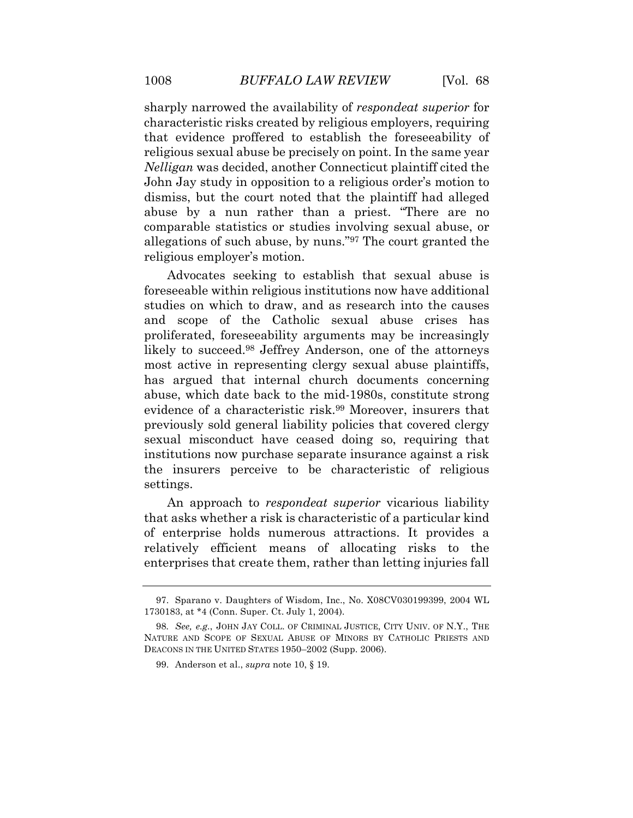sharply narrowed the availability of *respondeat superior* for characteristic risks created by religious employers, requiring religious sexual abuse be precisely on point. In the same year *Nelligan* was decided, another Connecticut plaintiff cited the John Jay study in opposition to a religious order's motion to dismiss, but the court noted that the plaintiff had alleged abuse by a nun rather than a priest. "There are no comparable statistics or studies involving sexual abuse, or allegations of such abuse, by nuns."97 The court granted the religious employer's motion. that evidence proffered to establish the foreseeability of

 Advocates seeking to establish that sexual abuse is foreseeable within religious institutions now have additional studies on which to draw, and as research into the causes and scope of the Catholic sexual abuse crises has proliferated, foreseeability arguments may be increasingly likely to succeed.<sup>98</sup> Jeffrey Anderson, one of the attorneys most active in representing clergy sexual abuse plaintiffs, has argued that internal church documents concerning abuse, which date back to the mid-1980s, constitute strong evidence of a characteristic risk.<sup>99</sup> Moreover, insurers that previously sold general liability policies that covered clergy sexual misconduct have ceased doing so, requiring that institutions now purchase separate insurance against a risk the insurers perceive to be characteristic of religious settings.

 An approach to *respondeat superior* vicarious liability that asks whether a risk is characteristic of a particular kind of enterprise holds numerous attractions. It provides a relatively efficient means of allocating risks to the enterprises that create them, rather than letting injuries fall

<sup>97.</sup> Sparano v. Daughters of Wisdom, Inc., No. X08CV030199399, 2004 WL 1730183, at \*4 (Conn. Super. Ct. July 1, 2004).

<sup>98</sup>*. See, e.g.*, JOHN JAY COLL. OF CRIMINAL JUSTICE, CITY UNIV. OF N.Y., THE NATURE AND SCOPE OF SEXUAL ABUSE OF MINORS BY CATHOLIC PRIESTS AND DEACONS IN THE UNITED STATES 1950–2002 (Supp. 2006).

<sup>99.</sup> Anderson et al., *supra* note 10, § 19.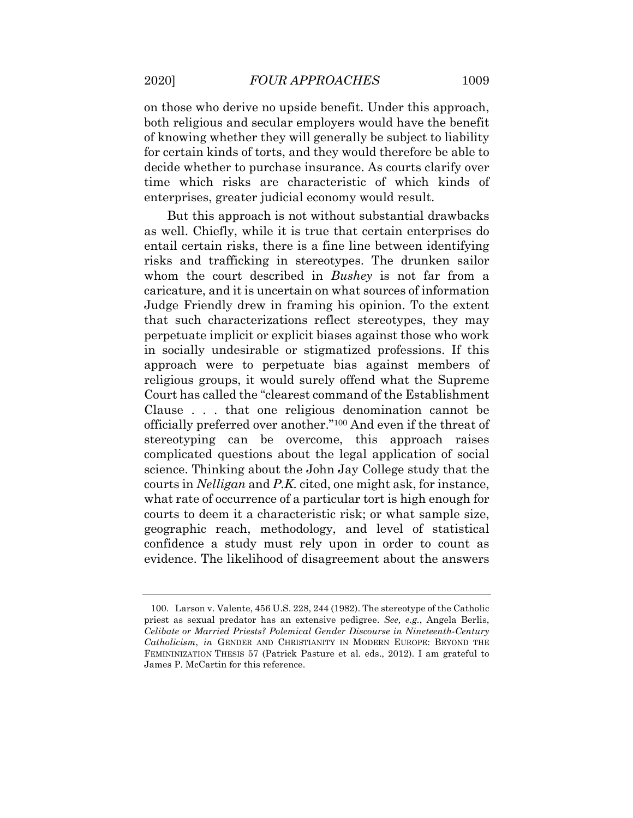on those who derive no upside benefit. Under this approach, both religious and secular employers would have the benefit of knowing whether they will generally be subject to liability for certain kinds of torts, and they would therefore be able to decide whether to purchase insurance. As courts clarify over time which risks are characteristic of which kinds of enterprises, greater judicial economy would result.

 But this approach is not without substantial drawbacks as well. Chiefly, while it is true that certain enterprises do entail certain risks, there is a fine line between identifying risks and trafficking in stereotypes. The drunken sailor whom the court described in *Bushey* is not far from a caricature, and it is uncertain on what sources of information Judge Friendly drew in framing his opinion. To the extent that such characterizations reflect stereotypes, they may perpetuate implicit or explicit biases against those who work in socially undesirable or stigmatized professions. If this approach were to perpetuate bias against members of religious groups, it would surely offend what the Supreme Court has called the "clearest command of the Establishment Clause . . . that one religious denomination cannot be officially preferred over another."100 And even if the threat of stereotyping can be overcome, this approach raises complicated questions about the legal application of social science. Thinking about the John Jay College study that the courts in *Nelligan* and *P.K.* cited, one might ask, for instance, what rate of occurrence of a particular tort is high enough for courts to deem it a characteristic risk; or what sample size, geographic reach, methodology, and level of statistical confidence a study must rely upon in order to count as evidence. The likelihood of disagreement about the answers

 priest as sexual predator has an extensive pedigree. *See, e.g.*, Angela Berlis,  *Celibate or Married Priests? Polemical Gender Discourse in Nineteenth-Century*  FEMININIZATION THESIS 57 (Patrick Pasture et al. eds., 2012). I am grateful to James P. McCartin for this reference. 100. Larson v. Valente, 456 U.S. 228, 244 (1982). The stereotype of the Catholic *Catholicism*, *in* GENDER AND CHRISTIANITY IN MODERN EUROPE: BEYOND THE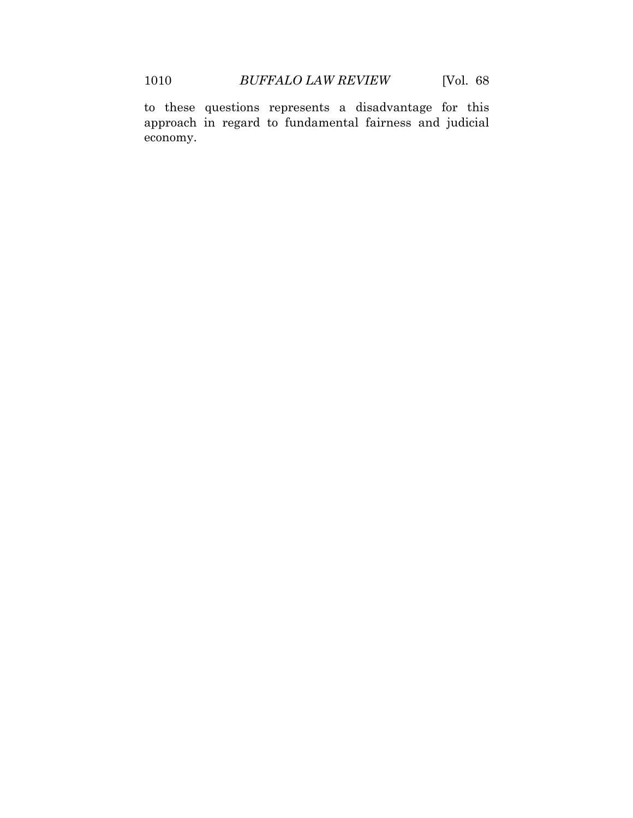to these questions represents a disadvantage for this approach in regard to fundamental fairness and judicial economy.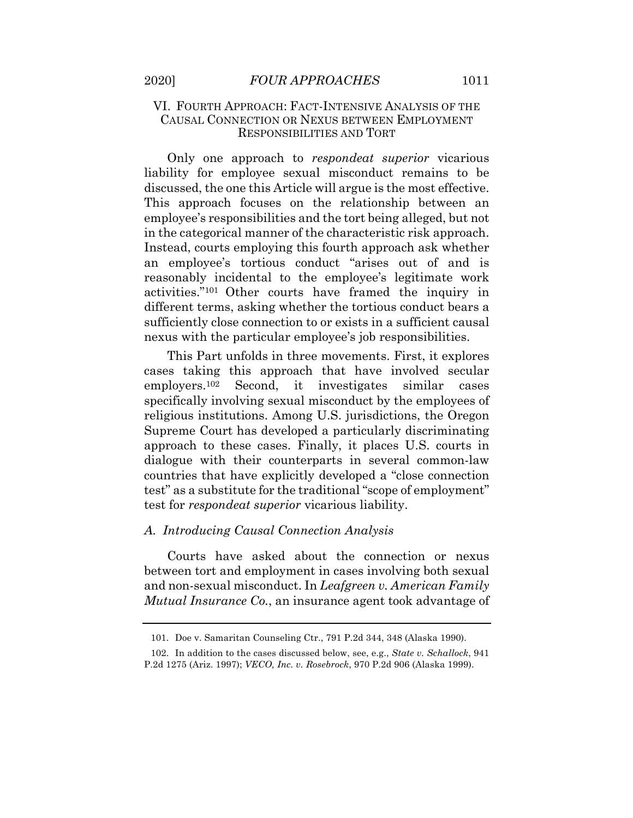#### <span id="page-37-0"></span>VI. FOURTH APPROACH: FACT-INTENSIVE ANALYSIS OF THE CAUSAL CONNECTION OR NEXUS BETWEEN EMPLOYMENT RESPONSIBILITIES AND TORT

 liability for employee sexual misconduct remains to be discussed, the one this Article will argue is the most effective. This approach focuses on the relationship between an employee's responsibilities and the tort being alleged, but not in the categorical manner of the characteristic risk approach. Instead, courts employing this fourth approach ask whether an employee's tortious conduct "arises out of and is reasonably incidental to the employee's legitimate work activities."101 Other courts have framed the inquiry in different terms, asking whether the tortious conduct bears a sufficiently close connection to or exists in a sufficient causal nexus with the particular employee's job responsibilities. Only one approach to *respondeat superior* vicarious

 This Part unfolds in three movements. First, it explores cases taking this approach that have involved secular employers. $102$  specifically involving sexual misconduct by the employees of religious institutions. Among U.S. jurisdictions, the Oregon Supreme Court has developed a particularly discriminating approach to these cases. Finally, it places U.S. courts in dialogue with their counterparts in several common-law countries that have explicitly developed a "close connection test" as a substitute for the traditional "scope of employment" test for *respondeat superior* vicarious liability. Second, it investigates similar cases

#### *A. Introducing Causal Connection Analysis*

 Courts have asked about the connection or nexus between tort and employment in cases involving both sexual and non-sexual misconduct. In *Leafgreen v. American Family Mutual Insurance Co.*, an insurance agent took advantage of

<sup>101.</sup> Doe v. Samaritan Counseling Ctr., 791 P.2d 344, 348 (Alaska 1990).

 P.2d 1275 (Ariz. 1997); *VECO, Inc. v. Rosebrock*, 970 P.2d 906 (Alaska 1999). 102. In addition to the cases discussed below, see, e.g., *State v. Schallock*, 941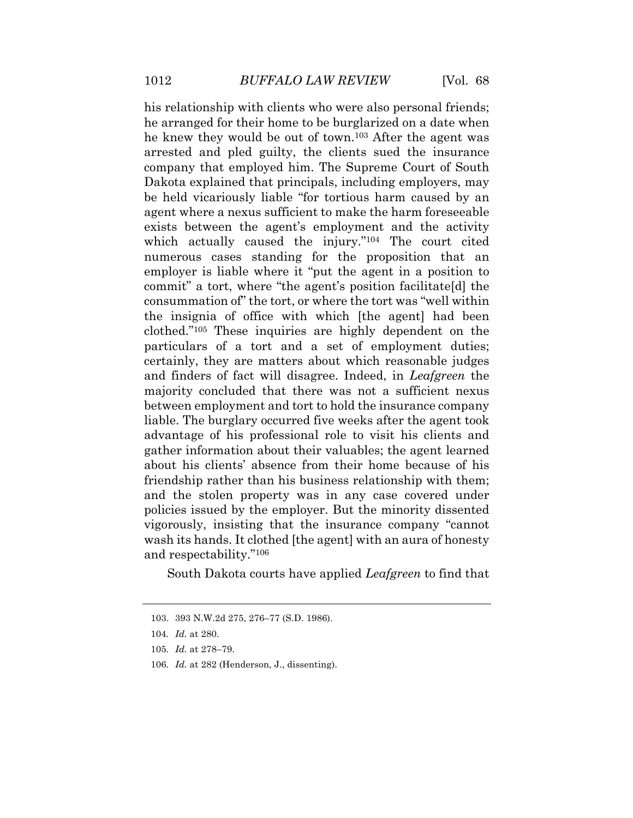his relationship with clients who were also personal friends; he arranged for their home to be burglarized on a date when he knew they would be out of town.103 After the agent was arrested and pled guilty, the clients sued the insurance company that employed him. The Supreme Court of South Dakota explained that principals, including employers, may be held vicariously liable "for tortious harm caused by an agent where a nexus sufficient to make the harm foreseeable exists between the agent's employment and the activity which actually caused the injury."104 The court cited numerous cases standing for the proposition that an employer is liable where it "put the agent in a position to commit" a tort, where "the agent's position facilitate[d] the consummation of" the tort, or where the tort was "well within the insignia of office with which [the agent] had been clothed."105 These inquiries are highly dependent on the particulars of a tort and a set of employment duties; certainly, they are matters about which reasonable judges and finders of fact will disagree. Indeed, in *Leafgreen* the majority concluded that there was not a sufficient nexus between employment and tort to hold the insurance company liable. The burglary occurred five weeks after the agent took advantage of his professional role to visit his clients and gather information about their valuables; the agent learned about his clients' absence from their home because of his friendship rather than his business relationship with them; and the stolen property was in any case covered under policies issued by the employer. But the minority dissented vigorously, insisting that the insurance company "cannot wash its hands. It clothed [the agent] with an aura of honesty and respectability."106

South Dakota courts have applied *Leafgreen* to find that

<sup>103. 393</sup> N.W.2d 275, 276–77 (S.D. 1986).

<sup>104</sup>*. Id.* at 280.

<sup>105</sup>*. Id.* at 278–79.

<sup>106</sup>*. Id.* at 282 (Henderson, J., dissenting).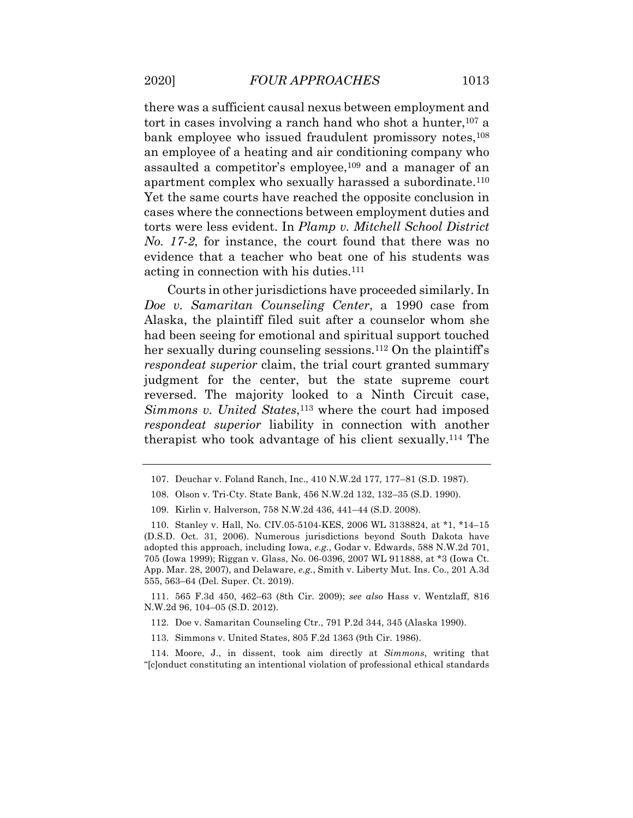there was a sufficient causal nexus between employment and tort in cases involving a ranch hand who shot a hunter,<sup>107</sup> a bank employee who issued fraudulent promissory notes,<sup>108</sup> an employee of a heating and air conditioning company who assaulted a competitor's employee,<sup>109</sup> and a manager of an apartment complex who sexually harassed a subordinate.110 Yet the same courts have reached the opposite conclusion in

 cases where the connections between employment duties and torts were less evident. In *Plamp v. Mitchell School District No. 17-2*, for instance, the court found that there was no evidence that a teacher who beat one of his students was acting in connection with his duties.111

 Courts in other jurisdictions have proceeded similarly. In  *Doe v. Samaritan Counseling Center*, a 1990 case from Alaska, the plaintiff filed suit after a counselor whom she had been seeing for emotional and spiritual support touched her sexually during counseling sessions.<sup>112</sup> On the plaintiff's *respondeat superior* claim, the trial court granted summary judgment for the center, but the state supreme court reversed. The majority looked to a Ninth Circuit case, Simmons v. United States,<sup>113</sup> where the court had imposed *respondeat superior* liability in connection with another therapist who took advantage of his client sexually.114 The

 N.W.2d 96, 104–05 (S.D. 2012). 111. 565 F.3d 450, 462–63 (8th Cir. 2009); *see also* Hass v. Wentzlaff, 816

112. Doe v. Samaritan Counseling Ctr., 791 P.2d 344, 345 (Alaska 1990).

113. Simmons v. United States, 805 F.2d 1363 (9th Cir. 1986).

 "[c]onduct constituting an intentional violation of professional ethical standards 114. Moore, J., in dissent, took aim directly at *Simmons*, writing that

<sup>107.</sup> Deuchar v. Foland Ranch, Inc., 410 N.W.2d 177, 177–81 (S.D. 1987).

<sup>108.</sup> Olson v. Tri-Cty. State Bank, 456 N.W.2d 132, 132–35 (S.D. 1990).

<sup>109.</sup> Kirlin v. Halverson, 758 N.W.2d 436, 441–44 (S.D. 2008).

 (D.S.D. Oct. 31, 2006). Numerous jurisdictions beyond South Dakota have adopted this approach, including Iowa, *e.g.*, Godar v. Edwards, 588 N.W.2d 701, 705 (Iowa 1999); Riggan v. Glass, No. 06-0396, 2007 WL 911888, at \*3 (Iowa Ct. App. Mar. 28, 2007), and Delaware, *e.g.*, Smith v. Liberty Mut. Ins. Co., 201 A.3d 555, 563–64 (Del. Super. Ct. 2019). 110. Stanley v. Hall, No. CIV.05-5104-KES, 2006 WL 3138824, at \*1, \*14–15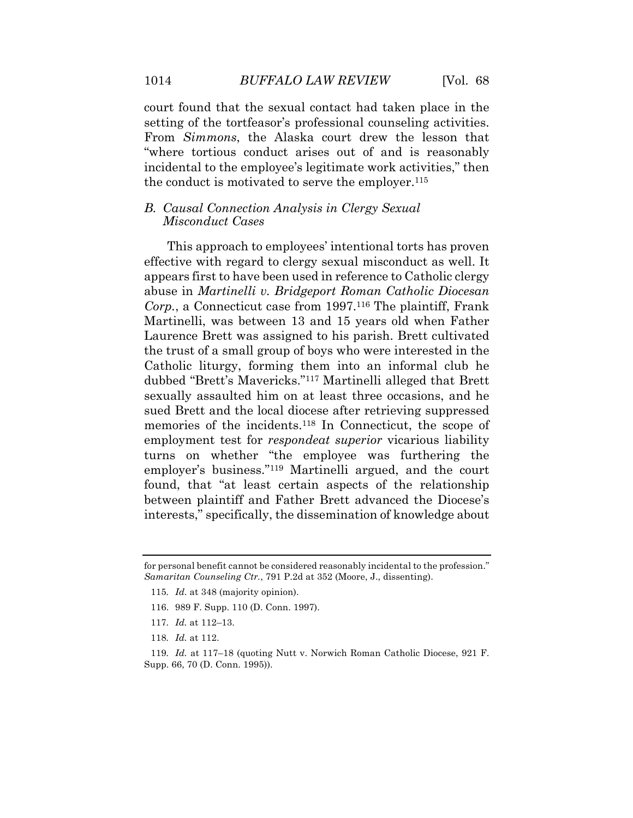court found that the sexual contact had taken place in the setting of the tortfeasor's professional counseling activities. From *Simmons*, the Alaska court drew the lesson that "where tortious conduct arises out of and is reasonably incidental to the employee's legitimate work activities," then the conduct is motivated to serve the employer.115

#### *B. Causal Connection Analysis in Clergy Sexual Misconduct Cases*

 This approach to employees' intentional torts has proven effective with regard to clergy sexual misconduct as well. It appears first to have been used in reference to Catholic clergy  abuse in *Martinelli v. Bridgeport Roman Catholic Diocesan Corp.*, a Connecticut case from 1997.116 The plaintiff, Frank Martinelli, was between 13 and 15 years old when Father Laurence Brett was assigned to his parish. Brett cultivated the trust of a small group of boys who were interested in the Catholic liturgy, forming them into an informal club he dubbed "Brett's Mavericks."117 Martinelli alleged that Brett sexually assaulted him on at least three occasions, and he sued Brett and the local diocese after retrieving suppressed memories of the incidents.118 In Connecticut, the scope of employment test for *respondeat superior* vicarious liability turns on whether "the employee was furthering the employer's business."119 Martinelli argued, and the court found, that "at least certain aspects of the relationship between plaintiff and Father Brett advanced the Diocese's interests," specifically, the dissemination of knowledge about

- 115*. Id.* at 348 (majority opinion).
- 116. 989 F. Supp. 110 (D. Conn. 1997).
- 117*. Id.* at 112–13.
- 118*. Id.* at 112.

<span id="page-40-0"></span>

 for personal benefit cannot be considered reasonably incidental to the profession." *Samaritan Counseling Ctr.*, 791 P.2d at 352 (Moore, J., dissenting).

 Supp. 66, 70 (D. Conn. 1995)). 119*. Id.* at 117–18 (quoting Nutt v. Norwich Roman Catholic Diocese, 921 F.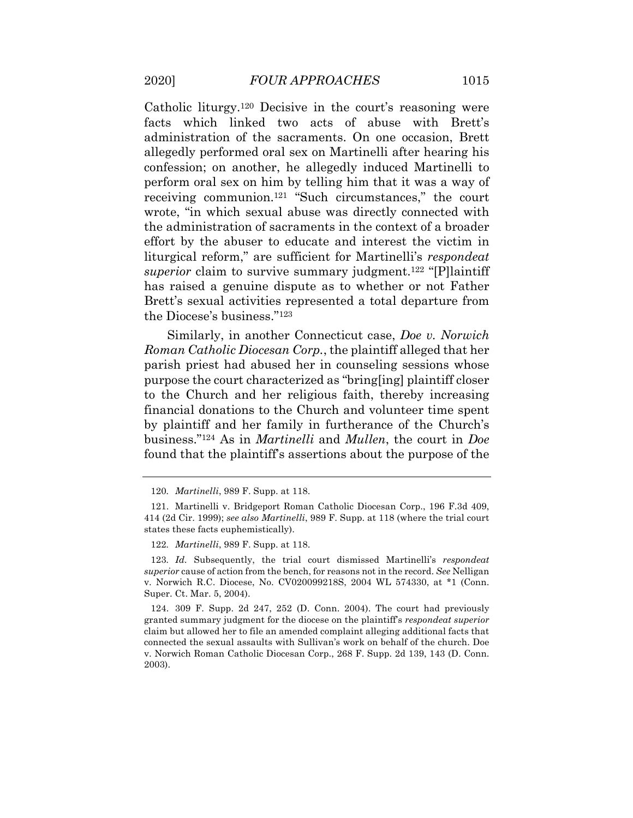Catholic liturgy.120 Decisive in the court's reasoning were facts which linked two acts of abuse with Brett's administration of the sacraments. On one occasion, Brett allegedly performed oral sex on Martinelli after hearing his confession; on another, he allegedly induced Martinelli to perform oral sex on him by telling him that it was a way of receiving communion.121 "Such circumstances," the court wrote, "in which sexual abuse was directly connected with the administration of sacraments in the context of a broader effort by the abuser to educate and interest the victim in liturgical reform," are sufficient for Martinelli's *respondeat*  superior claim to survive summary judgment.<sup>122</sup> "[P]laintiff has raised a genuine dispute as to whether or not Father Brett's sexual activities represented a total departure from the Diocese's business."123

 Similarly, in another Connecticut case, *Doe v. Norwich Roman Catholic Diocesan Corp.*, the plaintiff alleged that her parish priest had abused her in counseling sessions whose purpose the court characterized as "bring[ing] plaintiff closer to the Church and her religious faith, thereby increasing financial donations to the Church and volunteer time spent by plaintiff and her family in furtherance of the Church's business."124 As in *Martinelli* and *Mullen*, the court in *Doe*  found that the plaintiff's assertions about the purpose of the

122*. Martinelli*, 989 F. Supp. at 118.

 *superior* cause of action from the bench, for reasons not in the record. *See* Nelligan v. Norwich R.C. Diocese, No. CV020099218S, 2004 WL 574330, at \*1 (Conn. Super. Ct. Mar. 5, 2004). 123*. Id.* Subsequently, the trial court dismissed Martinelli's *respondeat* 

 granted summary judgment for the diocese on the plaintiff's *respondeat superior*  claim but allowed her to file an amended complaint alleging additional facts that connected the sexual assaults with Sullivan's work on behalf of the church. Doe v. Norwich Roman Catholic Diocesan Corp., 268 F. Supp. 2d 139, 143 (D. Conn. 124. 309 F. Supp. 2d 247, 252 (D. Conn. 2004). The court had previously 2003).

<sup>120</sup>*. Martinelli*, 989 F. Supp. at 118.

 414 (2d Cir. 1999); *see also Martinelli*, 989 F. Supp. at 118 (where the trial court 121. Martinelli v. Bridgeport Roman Catholic Diocesan Corp., 196 F.3d 409, states these facts euphemistically).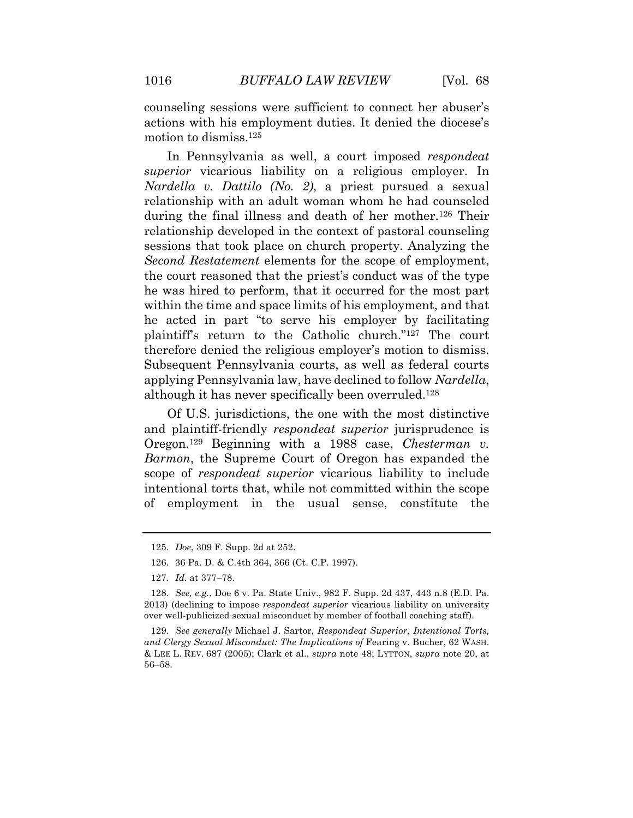counseling sessions were sufficient to connect her abuser's actions with his employment duties. It denied the diocese's motion to dismiss.125

 In Pennsylvania as well, a court imposed *respondeat superior* vicarious liability on a religious employer. In  *Nardella v. Dattilo (No. 2)*, a priest pursued a sexual relationship with an adult woman whom he had counseled during the final illness and death of her mother.126 Their relationship developed in the context of pastoral counseling sessions that took place on church property. Analyzing the *Second Restatement* elements for the scope of employment, the court reasoned that the priest's conduct was of the type he was hired to perform, that it occurred for the most part within the time and space limits of his employment, and that he acted in part "to serve his employer by facilitating plaintiff's return to the Catholic church."127 The court therefore denied the religious employer's motion to dismiss. Subsequent Pennsylvania courts, as well as federal courts applying Pennsylvania law, have declined to follow *Nardella*, although it has never specifically been overruled.128

 Of U.S. jurisdictions, the one with the most distinctive Oregon.129 Beginning with a 1988 case, *Chesterman v. Barmon*, the Supreme Court of Oregon has expanded the scope of *respondeat superior* vicarious liability to include intentional torts that, while not committed within the scope of employment in the usual sense, constitute the and plaintiff-friendly *respondeat superior* jurisprudence is

<sup>125</sup>*. Doe*, 309 F. Supp. 2d at 252.

<sup>126. 36</sup> Pa. D. & C.4th 364, 366 (Ct. C.P. 1997).

<sup>127</sup>*. Id.* at 377–78.

 2013) (declining to impose *respondeat superior* vicarious liability on university over well-publicized sexual misconduct by member of football coaching staff). 128*. See, e.g.*, Doe 6 v. Pa. State Univ., 982 F. Supp. 2d 437, 443 n.8 (E.D. Pa.

 *and Clergy Sexual Misconduct: The Implications of* Fearing v. Bucher, 62 WASH. & LEE L. REV. 687 (2005); Clark et al., *supra* note 48; LYTTON, *supra* note 20, at 129*. See generally* Michael J. Sartor, *Respondeat Superior, Intentional Torts,*  56–58.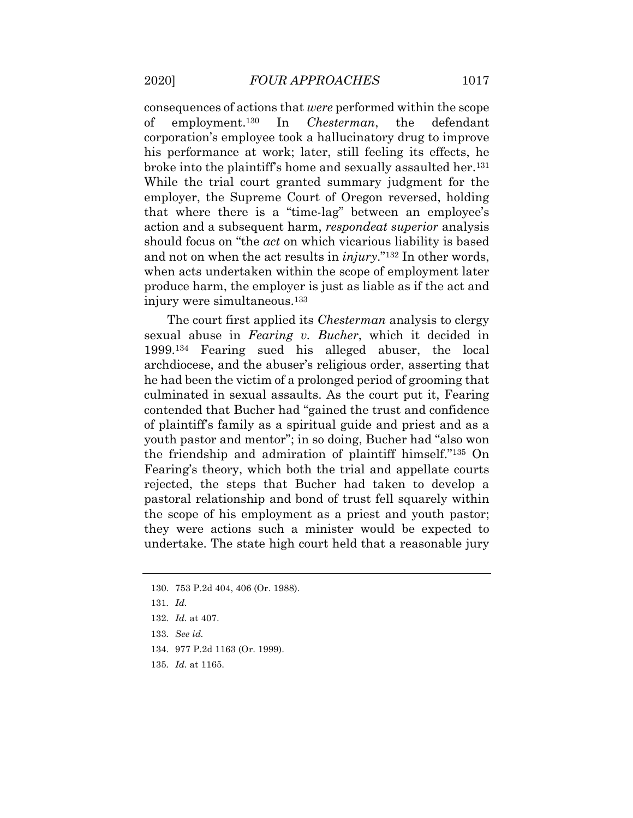consequences of actions that *were* performed within the scope corporation's employee took a hallucinatory drug to improve his performance at work; later, still feeling its effects, he broke into the plaintiff's home and sexually assaulted her.<sup>131</sup> While the trial court granted summary judgment for the employer, the Supreme Court of Oregon reversed, holding that where there is a "time-lag" between an employee's action and a subsequent harm, *respondeat superior* analysis should focus on "the *act* on which vicarious liability is based and not on when the act results in *injury*."132 In other words, when acts undertaken within the scope of employment later produce harm, the employer is just as liable as if the act and of employment.130 In *Chesterman*, the defendant injury were simultaneous.133

 The court first applied its *Chesterman* analysis to clergy sexual abuse in *Fearing v. Bucher*, which it decided in 1999.134 Fearing sued his alleged abuser, the local archdiocese, and the abuser's religious order, asserting that he had been the victim of a prolonged period of grooming that culminated in sexual assaults. As the court put it, Fearing contended that Bucher had "gained the trust and confidence of plaintiff's family as a spiritual guide and priest and as a youth pastor and mentor"; in so doing, Bucher had "also won the friendship and admiration of plaintiff himself."135 On Fearing's theory, which both the trial and appellate courts rejected, the steps that Bucher had taken to develop a pastoral relationship and bond of trust fell squarely within the scope of his employment as a priest and youth pastor; they were actions such a minister would be expected to undertake. The state high court held that a reasonable jury

131*. Id.* 

135*. Id.* at 1165.

<sup>130. 753</sup> P.2d 404, 406 (Or. 1988).

<sup>132</sup>*. Id.* at 407.

<sup>133</sup>*. See id.* 

<sup>134. 977</sup> P.2d 1163 (Or. 1999).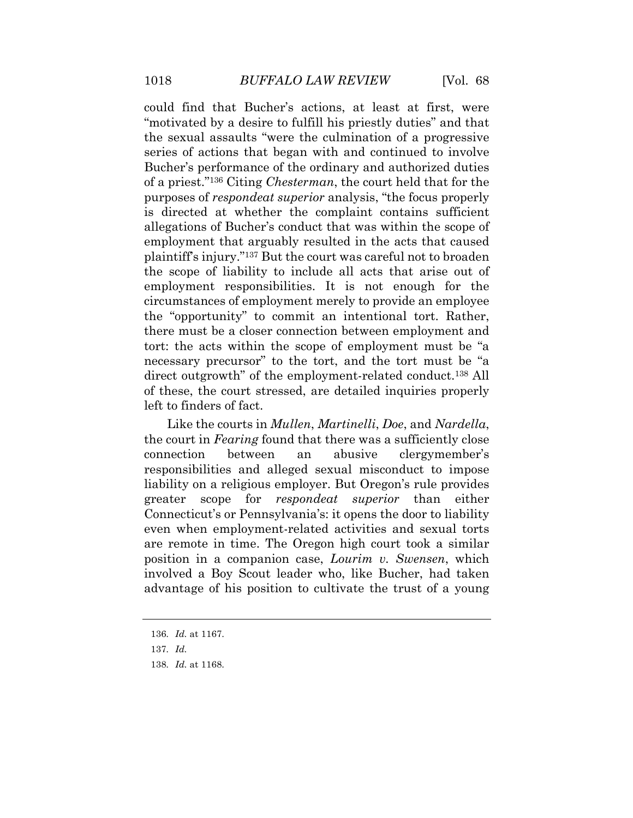could find that Bucher's actions, at least at first, were "motivated by a desire to fulfill his priestly duties" and that the sexual assaults "were the culmination of a progressive series of actions that began with and continued to involve Bucher's performance of the ordinary and authorized duties of a priest."136 Citing *Chesterman*, the court held that for the purposes of *respondeat superior* analysis, "the focus properly is directed at whether the complaint contains sufficient allegations of Bucher's conduct that was within the scope of employment that arguably resulted in the acts that caused plaintiff's injury."137 But the court was careful not to broaden the scope of liability to include all acts that arise out of employment responsibilities. It is not enough for the circumstances of employment merely to provide an employee the "opportunity" to commit an intentional tort. Rather, there must be a closer connection between employment and tort: the acts within the scope of employment must be "a necessary precursor" to the tort, and the tort must be "a of these, the court stressed, are detailed inquiries properly left to finders of fact. direct outgrowth" of the employment-related conduct.138 All

 Like the courts in *Mullen*, *Martinelli*, *Doe*, and *Nardella*, the court in *Fearing* found that there was a sufficiently close between responsibilities and alleged sexual misconduct to impose liability on a religious employer. But Oregon's rule provides  greater scope for *respondeat superior* than either Connecticut's or Pennsylvania's: it opens the door to liability even when employment-related activities and sexual torts are remote in time. The Oregon high court took a similar position in a companion case, *Lourim v. Swensen*, which involved a Boy Scout leader who, like Bucher, had taken advantage of his position to cultivate the trust of a young connection between an abusive clergymember's

<sup>136</sup>*. Id.* at 1167.

<sup>137</sup>*. Id.* 

<sup>138</sup>*. Id.* at 1168.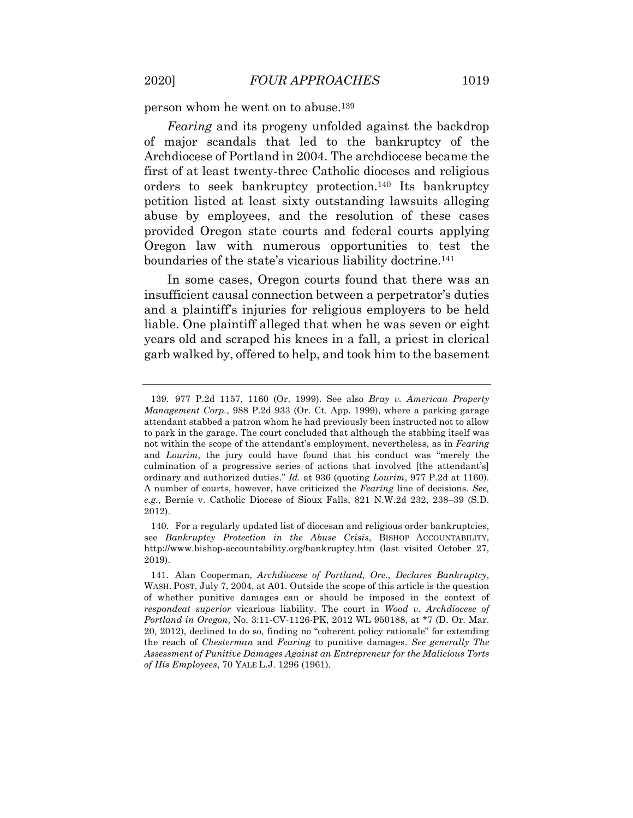person whom he went on to abuse.<sup>139</sup>

 *Fearing* and its progeny unfolded against the backdrop of major scandals that led to the bankruptcy of the Archdiocese of Portland in 2004. The archdiocese became the first of at least twenty-three Catholic dioceses and religious orders to seek bankruptcy protection.140 Its bankruptcy petition listed at least sixty outstanding lawsuits alleging abuse by employees, and the resolution of these cases provided Oregon state courts and federal courts applying Oregon law with numerous opportunities to test the boundaries of the state's vicarious liability doctrine.<sup>141</sup>

 In some cases, Oregon courts found that there was an insufficient causal connection between a perpetrator's duties and a plaintiff's injuries for religious employers to be held liable. One plaintiff alleged that when he was seven or eight years old and scraped his knees in a fall, a priest in clerical garb walked by, offered to help, and took him to the basement

 *Management Corp.*, 988 P.2d 933 (Or. Ct. App. 1999), where a parking garage attendant stabbed a patron whom he had previously been instructed not to allow to park in the garage. The court concluded that although the stabbing itself was not within the scope of the attendant's employment, nevertheless, as in *Fearing*  and *Lourim*, the jury could have found that his conduct was "merely the culmination of a progressive series of actions that involved [the attendant's] ordinary and authorized duties." *Id.* at 936 (quoting *Lourim*, 977 P.2d at 1160). A number of courts, however, have criticized the *Fearing* line of decisions. *See, e.g.*, Bernie v. Catholic Diocese of Sioux Falls, 821 N.W.2d 232, 238–39 (S.D. 139. 977 P.2d 1157, 1160 (Or. 1999). See also *Bray v. American Property*  2012).

 see *Bankruptcy Protection in the Abuse Crisis*, BISHOP ACCOUNTABILITY, <http://www.bishop-accountability.org/bankruptcy.htm>(last visited October 27, 140. For a regularly updated list of diocesan and religious order bankruptcies, 2019).

 WASH. POST, July 7, 2004, at A01. Outside the scope of this article is the question of whether punitive damages can or should be imposed in the context of *respondeat superior* vicarious liability. The court in *Wood v. Archdiocese of Portland in Oregon*, No. 3:11-CV-1126-PK, 2012 WL 950188, at \*7 (D. Or. Mar. 20, 2012), declined to do so, finding no "coherent policy rationale" for extending the reach of *Chesterman* and *Fearing* to punitive damages. *See generally The Assessment of Punitive Damages Against an Entrepreneur for the Malicious Torts of His Employees*, 70 YALE L.J. 1296 (1961). 141. Alan Cooperman, *Archdiocese of Portland, Ore., Declares Bankruptcy*,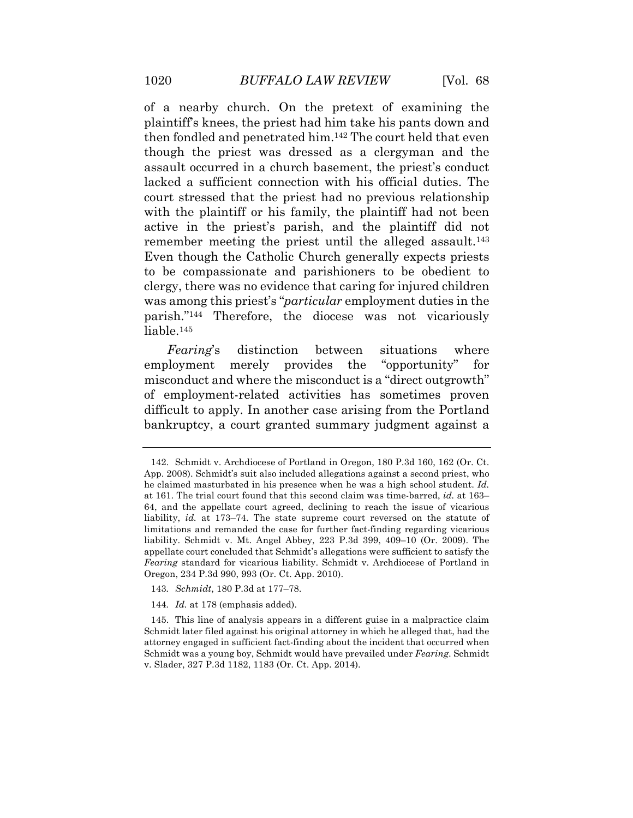of a nearby church. On the pretext of examining the plaintiff's knees, the priest had him take his pants down and then fondled and penetrated him.142 The court held that even though the priest was dressed as a clergyman and the assault occurred in a church basement, the priest's conduct lacked a sufficient connection with his official duties. The court stressed that the priest had no previous relationship with the plaintiff or his family, the plaintiff had not been active in the priest's parish, and the plaintiff did not remember meeting the priest until the alleged assault.<sup>143</sup> Even though the Catholic Church generally expects priests clergy, there was no evidence that caring for injured children was among this priest's "*particular* employment duties in the parish."144 Therefore, the diocese was not vicariously to be compassionate and parishioners to be obedient to liable.145

 *Fearing*'s distinction between situations where employment merely provides the "opportunity" for misconduct and where the misconduct is a "direct outgrowth" of employment-related activities has sometimes proven difficult to apply. In another case arising from the Portland bankruptcy, a court granted summary judgment against a

- 143*. Schmidt*, 180 P.3d at 177–78.
- 144*. Id.* at 178 (emphasis added).

 App. 2008). Schmidt's suit also included allegations against a second priest, who he claimed masturbated in his presence when he was a high school student. *Id.*  at 161. The trial court found that this second claim was time-barred, *id.* at 163– 64, and the appellate court agreed, declining to reach the issue of vicarious liability, *id.* at 173–74. The state supreme court reversed on the statute of limitations and remanded the case for further fact-finding regarding vicarious liability. Schmidt v. Mt. Angel Abbey, 223 P.3d 399, 409–10 (Or. 2009). The appellate court concluded that Schmidt's allegations were sufficient to satisfy the *Fearing* standard for vicarious liability. Schmidt v. Archdiocese of Portland in Oregon, 234 P.3d 990, 993 (Or. Ct. App. 2010). 142. Schmidt v. Archdiocese of Portland in Oregon, 180 P.3d 160, 162 (Or. Ct.

 Schmidt later filed against his original attorney in which he alleged that, had the attorney engaged in sufficient fact-finding about the incident that occurred when Schmidt was a young boy, Schmidt would have prevailed under *Fearing*. Schmidt v. Slader, 327 P.3d 1182, 1183 (Or. Ct. App. 2014). 145. This line of analysis appears in a different guise in a malpractice claim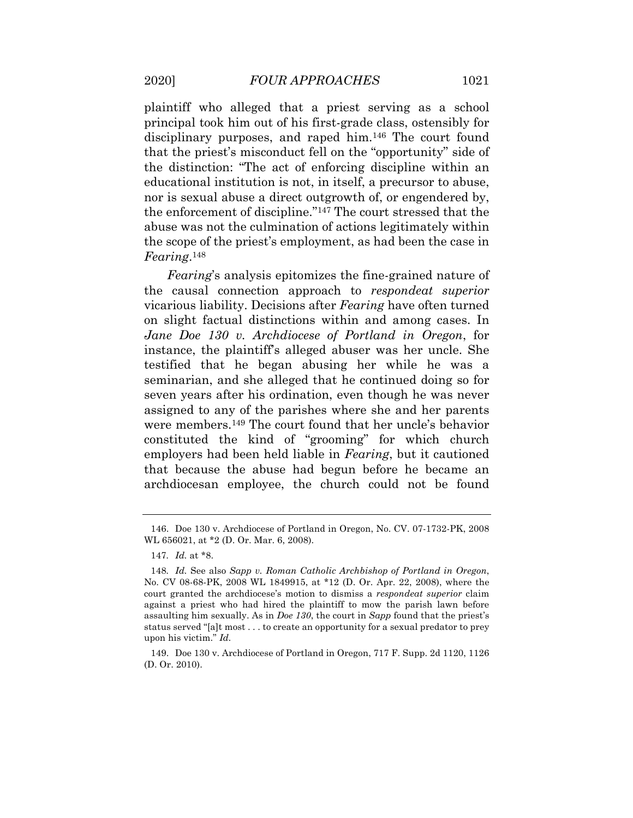plaintiff who alleged that a priest serving as a school principal took him out of his first-grade class, ostensibly for disciplinary purposes, and raped him.146 The court found that the priest's misconduct fell on the "opportunity" side of the distinction: "The act of enforcing discipline within an educational institution is not, in itself, a precursor to abuse, nor is sexual abuse a direct outgrowth of, or engendered by, the enforcement of discipline."147 The court stressed that the abuse was not the culmination of actions legitimately within the scope of the priest's employment, as had been the case in *Fearing*.148

 *Fearing*'s analysis epitomizes the fine-grained nature of the causal connection approach to *respondeat superior*  vicarious liability. Decisions after *Fearing* have often turned on slight factual distinctions within and among cases. In  *Jane Doe 130 v. Archdiocese of Portland in Oregon*, for instance, the plaintiff's alleged abuser was her uncle. She testified that he began abusing her while he was a seminarian, and she alleged that he continued doing so for seven years after his ordination, even though he was never assigned to any of the parishes where she and her parents were members.149 The court found that her uncle's behavior constituted the kind of "grooming" for which church employers had been held liable in *Fearing*, but it cautioned that because the abuse had begun before he became an archdiocesan employee, the church could not be found

 WL 656021, at \*2 (D. Or. Mar. 6, 2008). 146. Doe 130 v. Archdiocese of Portland in Oregon, No. CV. 07-1732-PK, 2008

<sup>147</sup>*. Id.* at \*8.

 No. CV 08-68-PK, 2008 WL 1849915, at \*12 (D. Or. Apr. 22, 2008), where the court granted the archdiocese's motion to dismiss a *respondeat superior* claim against a priest who had hired the plaintiff to mow the parish lawn before assaulting him sexually. As in *Doe 130*, the court in *Sapp* found that the priest's status served "[a]t most . . . to create an opportunity for a sexual predator to prey upon his victim." *Id.*  148*. Id.* See also *Sapp v. Roman Catholic Archbishop of Portland in Oregon*,

 (D. Or. 2010). 149. Doe 130 v. Archdiocese of Portland in Oregon, 717 F. Supp. 2d 1120, 1126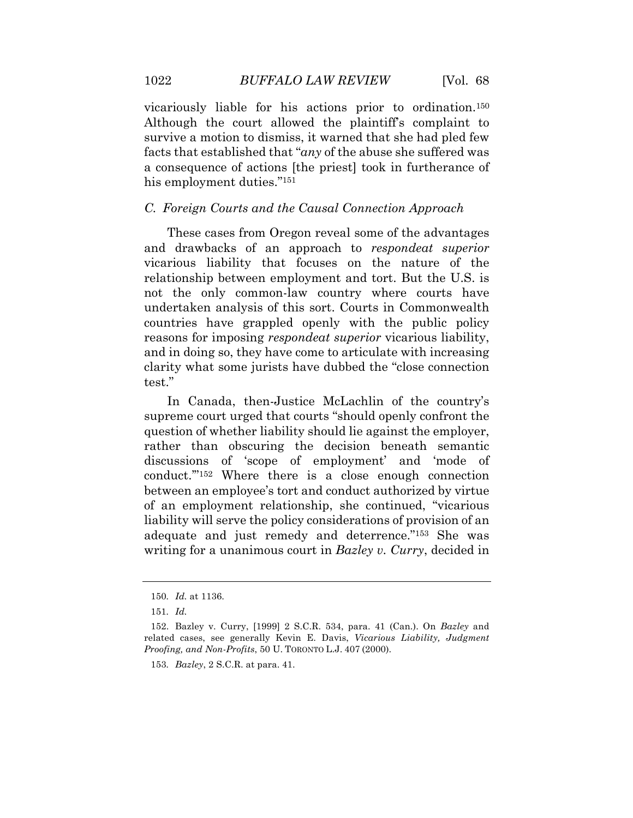vicariously liable for his actions prior to ordination.150 Although the court allowed the plaintiff's complaint to survive a motion to dismiss, it warned that she had pled few facts that established that "*any* of the abuse she suffered was a consequence of actions [the priest] took in furtherance of his employment duties."<sup>151</sup>

#### *C. Foreign Courts and the Causal Connection Approach*

 These cases from Oregon reveal some of the advantages and drawbacks of an approach to *respondeat superior*  vicarious liability that focuses on the nature of the relationship between employment and tort. But the U.S. is not the only common-law country where courts have undertaken analysis of this sort. Courts in Commonwealth countries have grappled openly with the public policy reasons for imposing *respondeat superior* vicarious liability, and in doing so, they have come to articulate with increasing clarity what some jurists have dubbed the "close connection test."

 In Canada, then-Justice McLachlin of the country's supreme court urged that courts "should openly confront the question of whether liability should lie against the employer, rather than obscuring the decision beneath semantic discussions of 'scope of employment' and 'mode of conduct.'"152 Where there is a close enough connection between an employee's tort and conduct authorized by virtue of an employment relationship, she continued, "vicarious liability will serve the policy considerations of provision of an adequate and just remedy and deterrence."153 She was writing for a unanimous court in *Bazley v. Curry*, decided in

<span id="page-48-0"></span>

<sup>150</sup>*. Id.* at 1136.

<sup>151</sup>*. Id.* 

 related cases, see generally Kevin E. Davis, *Vicarious Liability, Judgment Proofing, and Non-Profits*, 50 U. TORONTO L.J. 407 (2000). 152. Bazley v. Curry, [1999] 2 S.C.R. 534, para. 41 (Can.). On *Bazley* and

<sup>153</sup>*. Bazley*, 2 S.C.R. at para. 41.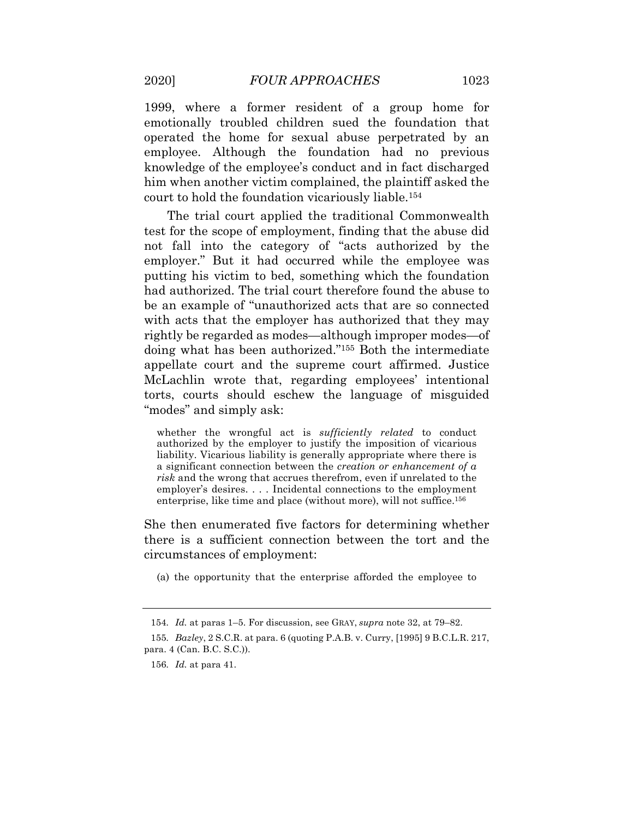1999, where a former resident of a group home for emotionally troubled children sued the foundation that operated the home for sexual abuse perpetrated by an employee. Although the foundation had no previous knowledge of the employee's conduct and in fact discharged him when another victim complained, the plaintiff asked the court to hold the foundation vicariously liable.154

 The trial court applied the traditional Commonwealth test for the scope of employment, finding that the abuse did not fall into the category of "acts authorized by the employer." But it had occurred while the employee was putting his victim to bed, something which the foundation had authorized. The trial court therefore found the abuse to be an example of "unauthorized acts that are so connected with acts that the employer has authorized that they may rightly be regarded as modes—although improper modes—of doing what has been authorized."155 Both the intermediate appellate court and the supreme court affirmed. Justice McLachlin wrote that, regarding employees' intentional torts, courts should eschew the language of misguided "modes" and simply ask:

 whether the wrongful act is *sufficiently related* to conduct authorized by the employer to justify the imposition of vicarious liability. Vicarious liability is generally appropriate where there is a significant connection between the *creation or enhancement of a risk* and the wrong that accrues therefrom, even if unrelated to the employer's desires. . . . Incidental connections to the employment enterprise, like time and place (without more), will not suffice.<sup>156</sup>

 She then enumerated five factors for determining whether there is a sufficient connection between the tort and the circumstances of employment: circumstances of employment: (a) the opportunity that the enterprise afforded the employee to

<sup>154</sup>*. Id.* at paras 1–5. For discussion, see GRAY, *supra* note 32, at 79–82.

 para. 4 (Can. B.C. S.C.)). 155*. Bazley*, 2 S.C.R. at para. 6 (quoting P.A.B. v. Curry, [1995] 9 B.C.L.R. 217,

<sup>156</sup>*. Id.* at para 41.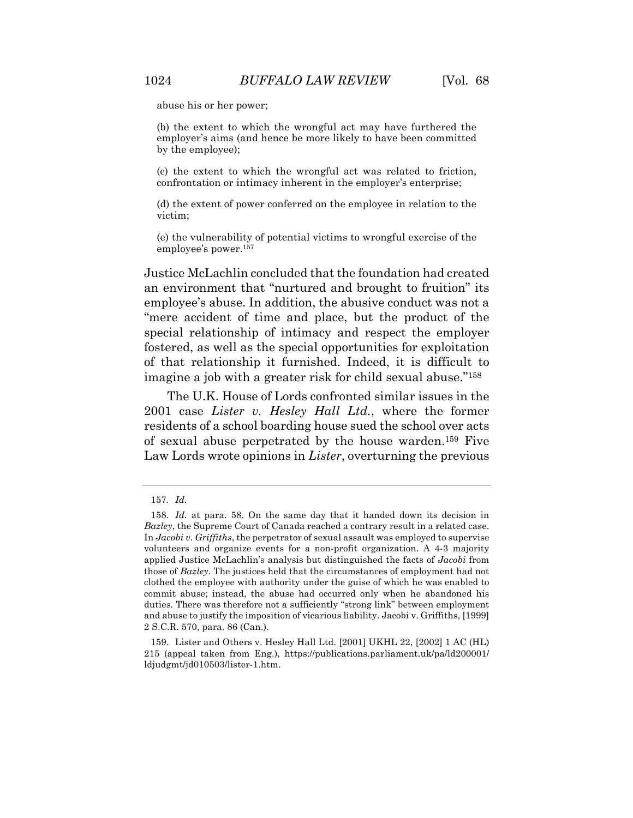abuse his or her power;

 (b) the extent to which the wrongful act may have furthered the employer's aims (and hence be more likely to have been committed by the employee);

 (c) the extent to which the wrongful act was related to friction, confrontation or intimacy inherent in the employer's enterprise;

 (d) the extent of power conferred on the employee in relation to the victim;

 (e) the vulnerability of potential victims to wrongful exercise of the employee's power.157

 Justice McLachlin concluded that the foundation had created an environment that "nurtured and brought to fruition" its employee's abuse. In addition, the abusive conduct was not a "mere accident of time and place, but the product of the special relationship of intimacy and respect the employer fostered, as well as the special opportunities for exploitation of that relationship it furnished. Indeed, it is difficult to imagine a job with a greater risk for child sexual abuse."158

 The U.K. House of Lords confronted similar issues in the  2001 case *Lister v. Hesley Hall Ltd.*, where the former residents of a school boarding house sued the school over acts of sexual abuse perpetrated by the house warden.159 Five Law Lords wrote opinions in *Lister*, overturning the previous

<sup>157</sup>*. Id.* 

 *Bazley*, the Supreme Court of Canada reached a contrary result in a related case.  In *Jacobi v. Griffiths*, the perpetrator of sexual assault was employed to supervise volunteers and organize events for a non-profit organization. A 4-3 majority applied Justice McLachlin's analysis but distinguished the facts of *Jacobi* from those of *Bazley*. The justices held that the circumstances of employment had not clothed the employee with authority under the guise of which he was enabled to commit abuse; instead, the abuse had occurred only when he abandoned his duties. There was therefore not a sufficiently "strong link" between employment and abuse to justify the imposition of vicarious liability. Jacobi v. Griffiths, [1999] 2 S.C.R. 570, para. 86 (Can.). 158*. Id.* at para. 58. On the same day that it handed down its decision in

 215 (appeal taken from Eng.), [https://publications.parliament.uk/pa/ld200001/](https://publications.parliament.uk/pa/ld200001) 159. Lister and Others v. Hesley Hall Ltd. [2001] UKHL 22, [2002] 1 AC (HL) ldjudgmt/jd010503/lister-1.htm.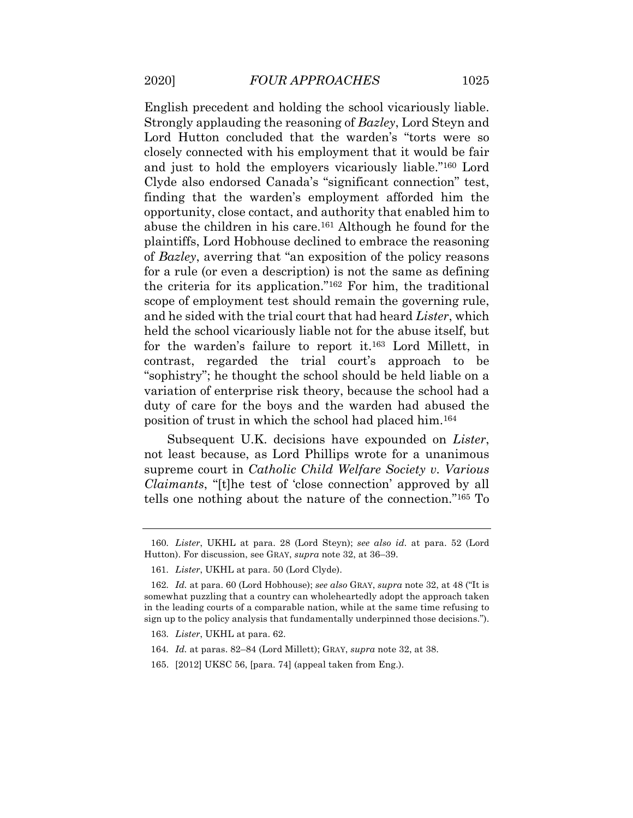English precedent and holding the school vicariously liable. Strongly applauding the reasoning of *Bazley*, Lord Steyn and Lord Hutton concluded that the warden's "torts were so closely connected with his employment that it would be fair and just to hold the employers vicariously liable."160 Lord Clyde also endorsed Canada's "significant connection" test, finding that the warden's employment afforded him the opportunity, close contact, and authority that enabled him to abuse the children in his care.<sup>161</sup> Although he found for the plaintiffs, Lord Hobhouse declined to embrace the reasoning of *Bazley*, averring that "an exposition of the policy reasons for a rule (or even a description) is not the same as defining the criteria for its application."162 For him, the traditional scope of employment test should remain the governing rule, and he sided with the trial court that had heard *Lister*, which held the school vicariously liable not for the abuse itself, but for the warden's failure to report it.163 Lord Millett, in contrast, regarded the trial court's approach to be "sophistry"; he thought the school should be held liable on a variation of enterprise risk theory, because the school had a duty of care for the boys and the warden had abused the position of trust in which the school had placed him.164

 Subsequent U.K. decisions have expounded on *Lister*, not least because, as Lord Phillips wrote for a unanimous supreme court in *Catholic Child Welfare Society v. Various Claimants*, "[t]he test of 'close connection' approved by all tells one nothing about the nature of the connection."165 To

 Hutton). For discussion, see GRAY, *supra* note 32, at 36–39. 160*. Lister*, UKHL at para. 28 (Lord Steyn); *see also id.* at para. 52 (Lord

<sup>161</sup>*. Lister*, UKHL at para. 50 (Lord Clyde).

 somewhat puzzling that a country can wholeheartedly adopt the approach taken in the leading courts of a comparable nation, while at the same time refusing to sign up to the policy analysis that fundamentally underpinned those decisions."). 162*. Id.* at para. 60 (Lord Hobhouse); *see also* GRAY, *supra* note 32, at 48 ("It is

<sup>163</sup>*. Lister*, UKHL at para. 62.

<sup>164</sup>*. Id.* at paras. 82–84 (Lord Millett); GRAY, *supra* note 32, at 38.

<sup>165. [2012]</sup> UKSC 56, [para. 74] (appeal taken from Eng.).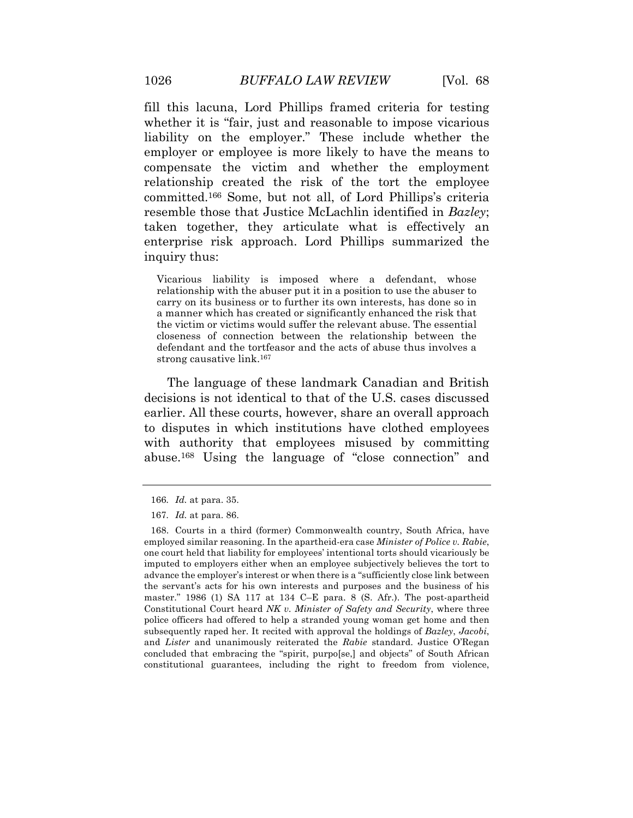fill this lacuna, Lord Phillips framed criteria for testing whether it is "fair, just and reasonable to impose vicarious liability on the employer." These include whether the employer or employee is more likely to have the means to compensate the victim and whether the employment relationship created the risk of the tort the employee committed.166 Some, but not all, of Lord Phillips's criteria resemble those that Justice McLachlin identified in *Bazley*; taken together, they articulate what is effectively an enterprise risk approach. Lord Phillips summarized the inquiry thus:

 Vicarious liability is imposed where a defendant, whose relationship with the abuser put it in a position to use the abuser to carry on its business or to further its own interests, has done so in a manner which has created or significantly enhanced the risk that the victim or victims would suffer the relevant abuse. The essential closeness of connection between the relationship between the defendant and the tortfeasor and the acts of abuse thus involves a strong causative link.167

 The language of these landmark Canadian and British decisions is not identical to that of the U.S. cases discussed earlier. All these courts, however, share an overall approach to disputes in which institutions have clothed employees with authority that employees misused by committing abuse.168 Using the language of "close connection" and

<sup>166</sup>*. Id.* at para. 35.

<sup>167</sup>*. Id.* at para. 86.

 employed similar reasoning. In the apartheid-era case *Minister of Police v. Rabie*, one court held that liability for employees' intentional torts should vicariously be imputed to employers either when an employee subjectively believes the tort to advance the employer's interest or when there is a "sufficiently close link between the servant's acts for his own interests and purposes and the business of his master." 1986 (1) SA 117 at 134 C–E para. 8 (S. Afr.). The post-apartheid Constitutional Court heard *NK v. Minister of Safety and Security*, where three police officers had offered to help a stranded young woman get home and then subsequently raped her. It recited with approval the holdings of *Bazley*, *Jacobi*, and *Lister* and unanimously reiterated the *Rabie* standard. Justice O'Regan concluded that embracing the "spirit, purpo[se,] and objects" of South African constitutional guarantees, including the right to freedom from violence, 168. Courts in a third (former) Commonwealth country, South Africa, have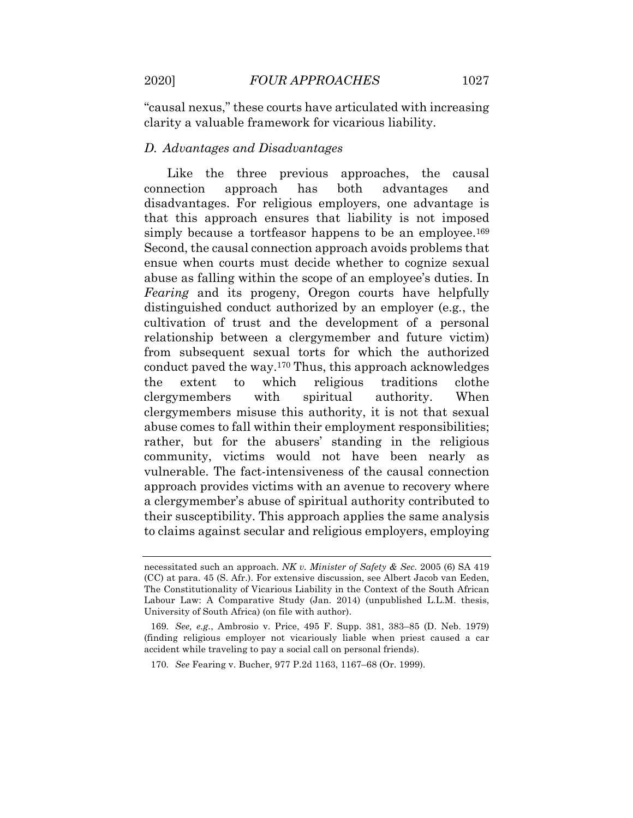"causal nexus," these courts have articulated with increasing clarity a valuable framework for vicarious liability.

#### *D. Advantages and Disadvantages*

approach disadvantages. For religious employers, one advantage is that this approach ensures that liability is not imposed simply because a tortfeasor happens to be an employee.<sup>169</sup> Second, the causal connection approach avoids problems that ensue when courts must decide whether to cognize sexual abuse as falling within the scope of an employee's duties. In *Fearing* and its progeny, Oregon courts have helpfully distinguished conduct authorized by an employer (e.g*.*, the cultivation of trust and the development of a personal relationship between a clergymember and future victim) from subsequent sexual torts for which the authorized conduct paved the way.170 Thus, this approach acknowledges clergymembers with spiritual authority. When clergymembers misuse this authority, it is not that sexual abuse comes to fall within their employment responsibilities; rather, but for the abusers' standing in the religious community, victims would not have been nearly as approach provides victims with an avenue to recovery where a clergymember's abuse of spiritual authority contributed to their susceptibility. This approach applies the same analysis to claims against secular and religious employers, employing Like the three previous approaches, the causal connection approach has both advantages and the extent to which religious traditions clothe vulnerable. The fact-intensiveness of the causal connection

 necessitated such an approach. *NK v. Minister of Safety & Sec.* 2005 (6) SA 419 (CC) at para. 45 (S. Afr.). For extensive discussion, see Albert Jacob van Eeden, The Constitutionality of Vicarious Liability in the Context of the South African Labour Law: A Comparative Study (Jan. 2014) (unpublished L.L.M. thesis, University of South Africa) (on file with author).

 (finding religious employer not vicariously liable when priest caused a car accident while traveling to pay a social call on personal friends). 169*. See, e.g.*, Ambrosio v. Price, 495 F. Supp. 381, 383–85 (D. Neb. 1979)

<sup>170</sup>*. See* Fearing v. Bucher, 977 P.2d 1163, 1167–68 (Or. 1999).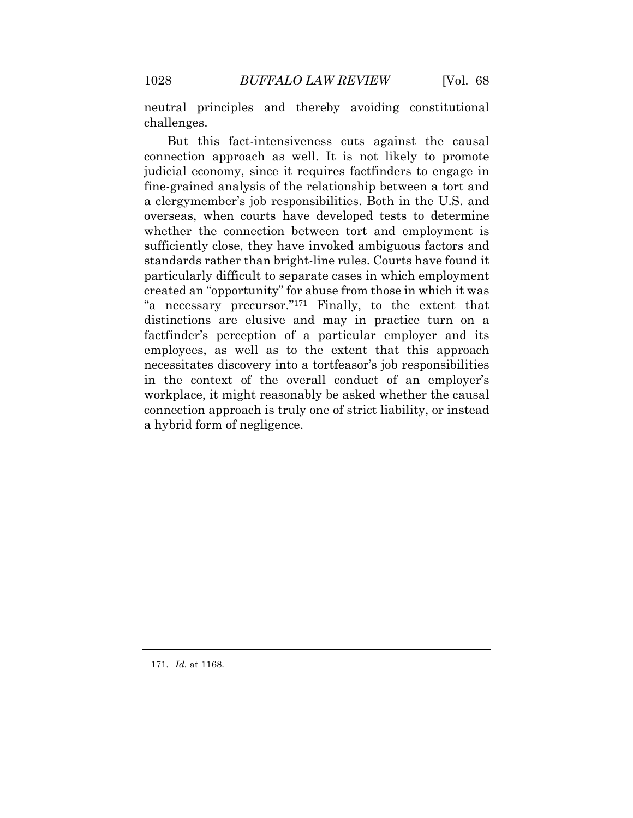neutral principles and thereby avoiding constitutional challenges.

 But this fact-intensiveness cuts against the causal connection approach as well. It is not likely to promote judicial economy, since it requires factfinders to engage in fine-grained analysis of the relationship between a tort and a clergymember's job responsibilities. Both in the U.S. and overseas, when courts have developed tests to determine whether the connection between tort and employment is sufficiently close, they have invoked ambiguous factors and standards rather than bright-line rules. Courts have found it particularly difficult to separate cases in which employment created an "opportunity" for abuse from those in which it was "a necessary precursor."171 Finally, to the extent that distinctions are elusive and may in practice turn on a factfinder's perception of a particular employer and its employees, as well as to the extent that this approach necessitates discovery into a tortfeasor's job responsibilities in the context of the overall conduct of an employer's workplace, it might reasonably be asked whether the causal connection approach is truly one of strict liability, or instead a hybrid form of negligence.

171*. Id.* at 1168.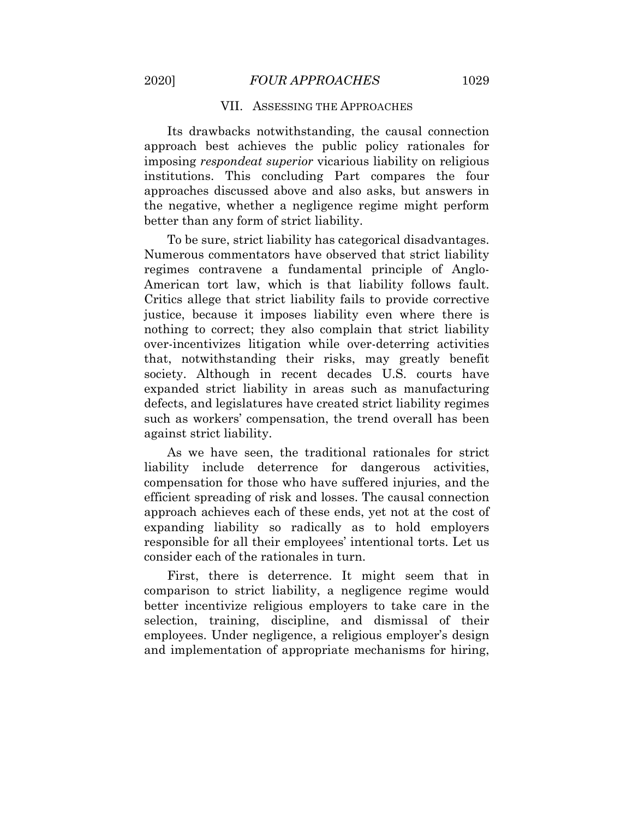#### VII. ASSESSING THE APPROACHES

 approach best achieves the public policy rationales for imposing *respondeat superior* vicarious liability on religious institutions. This concluding Part compares the four approaches discussed above and also asks, but answers in the negative, whether a negligence regime might perform better than any form of strict liability. Its drawbacks notwithstanding, the causal connection

 To be sure, strict liability has categorical disadvantages. Numerous commentators have observed that strict liability American tort law, which is that liability follows fault. Critics allege that strict liability fails to provide corrective justice, because it imposes liability even where there is nothing to correct; they also complain that strict liability over-incentivizes litigation while over-deterring activities that, notwithstanding their risks, may greatly benefit society. Although in recent decades U.S. courts have expanded strict liability in areas such as manufacturing defects, and legislatures have created strict liability regimes such as workers' compensation, the trend overall has been regimes contravene a fundamental principle of Angloagainst strict liability.

 As we have seen, the traditional rationales for strict compensation for those who have suffered injuries, and the efficient spreading of risk and losses. The causal connection approach achieves each of these ends, yet not at the cost of expanding liability so radically as to hold employers responsible for all their employees' intentional torts. Let us consider each of the rationales in turn. liability include deterrence for dangerous activities,

 First, there is deterrence. It might seem that in comparison to strict liability, a negligence regime would better incentivize religious employers to take care in the selection, training, discipline, and dismissal of their employees. Under negligence, a religious employer's design and implementation of appropriate mechanisms for hiring,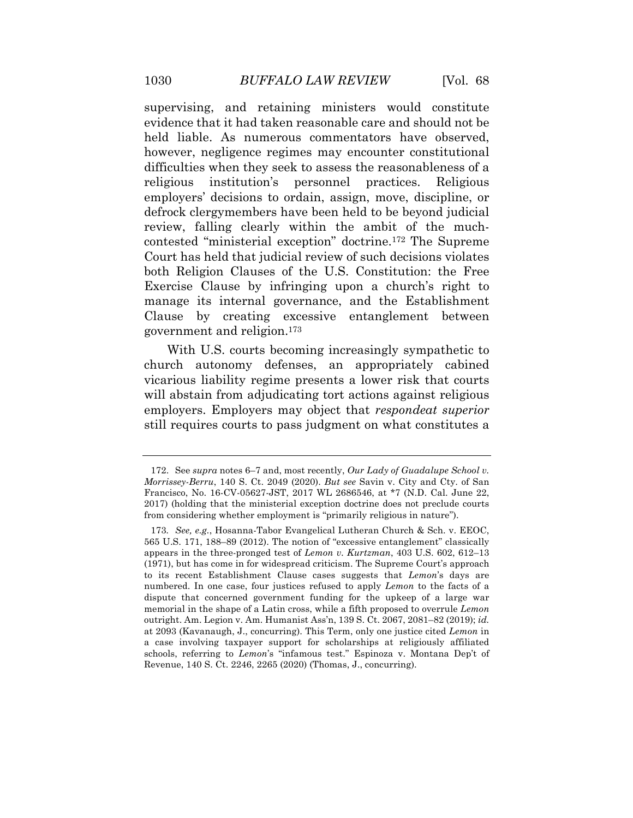supervising, and retaining ministers would constitute evidence that it had taken reasonable care and should not be held liable. As numerous commentators have observed, however, negligence regimes may encounter constitutional difficulties when they seek to assess the reasonableness of a employers' decisions to ordain, assign, move, discipline, or defrock clergymembers have been held to be beyond judicial review, falling clearly within the ambit of the much- contested "ministerial exception" doctrine.172 The Supreme Court has held that judicial review of such decisions violates both Religion Clauses of the U.S. Constitution: the Free Exercise Clause by infringing upon a church's right to manage its internal governance, and the Establishment Clause by creating excessive entanglement between government and religion.173 religious institution's personnel practices. Religious

 With U.S. courts becoming increasingly sympathetic to church autonomy defenses, an appropriately cabined vicarious liability regime presents a lower risk that courts will abstain from adjudicating tort actions against religious employers. Employers may object that *respondeat superior*  still requires courts to pass judgment on what constitutes a

 *Morrissey-Berru*, 140 S. Ct. 2049 (2020). *But see* Savin v. City and Cty. of San Francisco, No. 16-CV-05627-JST, 2017 WL 2686546, at \*7 (N.D. Cal. June 22, 2017) (holding that the ministerial exception doctrine does not preclude courts from considering whether employment is "primarily religious in nature"). 172. See *supra* notes 6–7 and, most recently, *Our Lady of Guadalupe School v.* 

 565 U.S. 171, 188–89 (2012). The notion of "excessive entanglement" classically appears in the three-pronged test of *Lemon v. Kurtzman*, 403 U.S. 602, 612–13 (1971), but has come in for widespread criticism. The Supreme Court's approach to its recent Establishment Clause cases suggests that *Lemon*'s days are numbered. In one case, four justices refused to apply *Lemon* to the facts of a dispute that concerned government funding for the upkeep of a large war memorial in the shape of a Latin cross, while a fifth proposed to overrule *Lemon*  outright. Am. Legion v. Am. Humanist Ass'n, 139 S. Ct. 2067, 2081–82 (2019); *id.*  at 2093 (Kavanaugh, J., concurring). This Term, only one justice cited *Lemon* in a case involving taxpayer support for scholarships at religiously affiliated schools, referring to *Lemon*'s "infamous test." Espinoza v. Montana Dep't of Revenue, 140 S. Ct. 2246, 2265 (2020) (Thomas, J., concurring). 173*. See, e.g.*, Hosanna-Tabor Evangelical Lutheran Church & Sch. v. EEOC,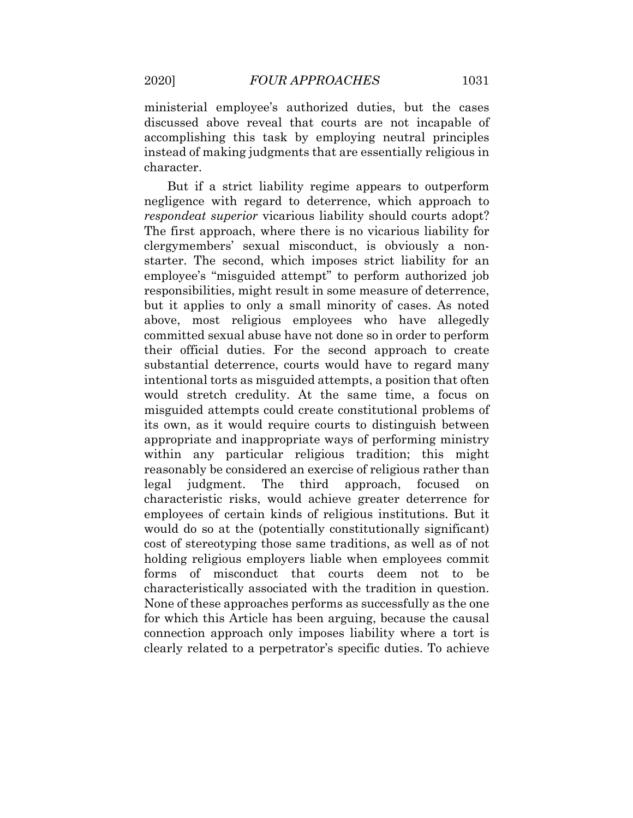ministerial employee's authorized duties, but the cases discussed above reveal that courts are not incapable of accomplishing this task by employing neutral principles instead of making judgments that are essentially religious in character.

 But if a strict liability regime appears to outperform negligence with regard to deterrence, which approach to *respondeat superior* vicarious liability should courts adopt? The first approach, where there is no vicarious liability for clergymembers' sexual misconduct, is obviously a non- starter. The second, which imposes strict liability for an employee's "misguided attempt" to perform authorized job responsibilities, might result in some measure of deterrence, but it applies to only a small minority of cases. As noted above, most religious employees who have allegedly committed sexual abuse have not done so in order to perform their official duties. For the second approach to create substantial deterrence, courts would have to regard many intentional torts as misguided attempts, a position that often would stretch credulity. At the same time, a focus on misguided attempts could create constitutional problems of its own, as it would require courts to distinguish between appropriate and inappropriate ways of performing ministry within any particular religious tradition; this might reasonably be considered an exercise of religious rather than approach, characteristic risks, would achieve greater deterrence for employees of certain kinds of religious institutions. But it would do so at the (potentially constitutionally significant) cost of stereotyping those same traditions, as well as of not holding religious employers liable when employees commit forms of misconduct that courts deem not to be characteristically associated with the tradition in question. None of these approaches performs as successfully as the one for which this Article has been arguing, because the causal connection approach only imposes liability where a tort is clearly related to a perpetrator's specific duties. To achieve legal judgment. The third approach, focused on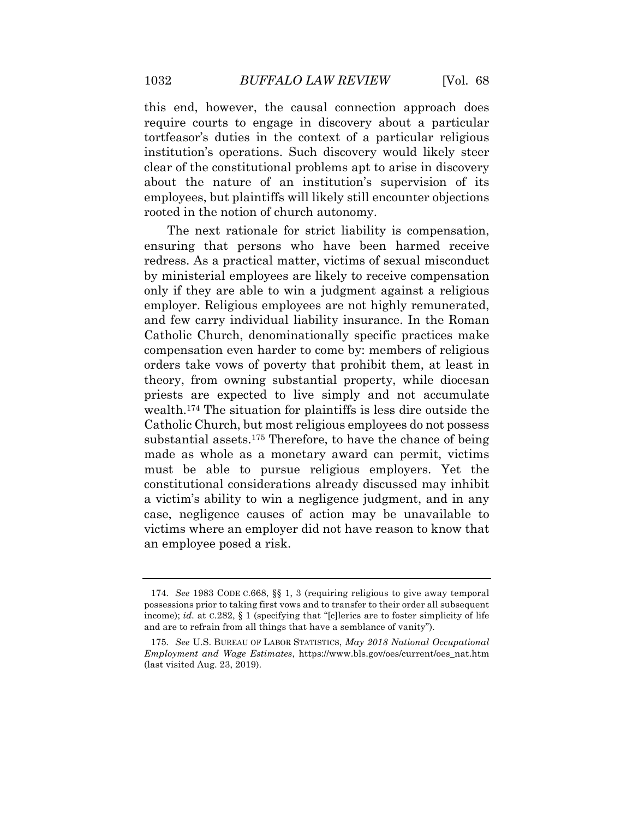this end, however, the causal connection approach does require courts to engage in discovery about a particular tortfeasor's duties in the context of a particular religious institution's operations. Such discovery would likely steer clear of the constitutional problems apt to arise in discovery about the nature of an institution's supervision of its employees, but plaintiffs will likely still encounter objections rooted in the notion of church autonomy.

 The next rationale for strict liability is compensation, ensuring that persons who have been harmed receive redress. As a practical matter, victims of sexual misconduct by ministerial employees are likely to receive compensation only if they are able to win a judgment against a religious employer. Religious employees are not highly remunerated, and few carry individual liability insurance. In the Roman Catholic Church, denominationally specific practices make compensation even harder to come by: members of religious orders take vows of poverty that prohibit them, at least in theory, from owning substantial property, while diocesan priests are expected to live simply and not accumulate wealth.174 The situation for plaintiffs is less dire outside the Catholic Church, but most religious employees do not possess substantial assets.<sup>175</sup> Therefore, to have the chance of being made as whole as a monetary award can permit, victims must be able to pursue religious employers. Yet the constitutional considerations already discussed may inhibit a victim's ability to win a negligence judgment, and in any case, negligence causes of action may be unavailable to victims where an employer did not have reason to know that an employee posed a risk.

 possessions prior to taking first vows and to transfer to their order all subsequent income); *id.* at C.282, § 1 (specifying that "[c]lerics are to foster simplicity of life and are to refrain from all things that have a semblance of vanity"). 174*. See* 1983 CODE C.668, §§ 1, 3 (requiring religious to give away temporal

 *Employment and Wage Estimates*, [https://www.bls.gov/oes/current/oes\\_nat.htm](https://www.bls.gov/oes/current/oes_nat.htm) (last visited Aug. 23, 2019). 175*. See* U.S. BUREAU OF LABOR STATISTICS, *May 2018 National Occupational*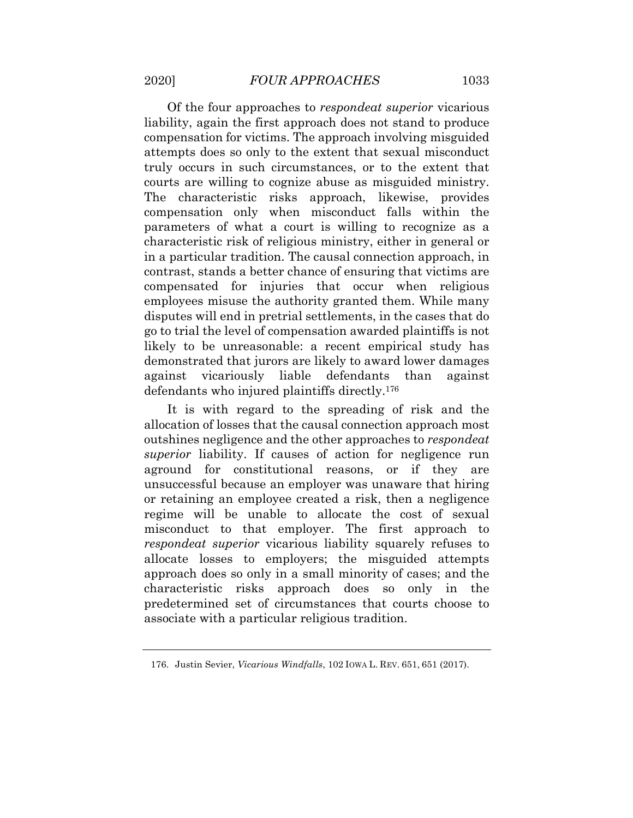Of the four approaches to *respondeat superior* vicarious liability, again the first approach does not stand to produce compensation for victims. The approach involving misguided attempts does so only to the extent that sexual misconduct truly occurs in such circumstances, or to the extent that courts are willing to cognize abuse as misguided ministry. The characteristic risks approach, likewise, provides compensation only when misconduct falls within the parameters of what a court is willing to recognize as a characteristic risk of religious ministry, either in general or in a particular tradition. The causal connection approach, in contrast, stands a better chance of ensuring that victims are compensated for injuries that occur when religious employees misuse the authority granted them. While many disputes will end in pretrial settlements, in the cases that do go to trial the level of compensation awarded plaintiffs is not likely to be unreasonable: a recent empirical study has demonstrated that jurors are likely to award lower damages defendants defendants who injured plaintiffs directly.176 against vicariously liable defendants than against

 It is with regard to the spreading of risk and the allocation of losses that the causal connection approach most outshines negligence and the other approaches to *respondeat superior* liability. If causes of action for negligence run aground for constitutional reasons, or if they are unsuccessful because an employer was unaware that hiring or retaining an employee created a risk, then a negligence misconduct to that employer. The first approach to *respondeat superior* vicarious liability squarely refuses to allocate losses to employers; the misguided attempts approach does so only in a small minority of cases; and the characteristic risks approach does so only in the predetermined set of circumstances that courts choose to associate with a particular religious tradition. regime will be unable to allocate the cost of sexual

<sup>176.</sup> Justin Sevier, *Vicarious Windfalls*, 102 IOWA L. REV. 651, 651 (2017).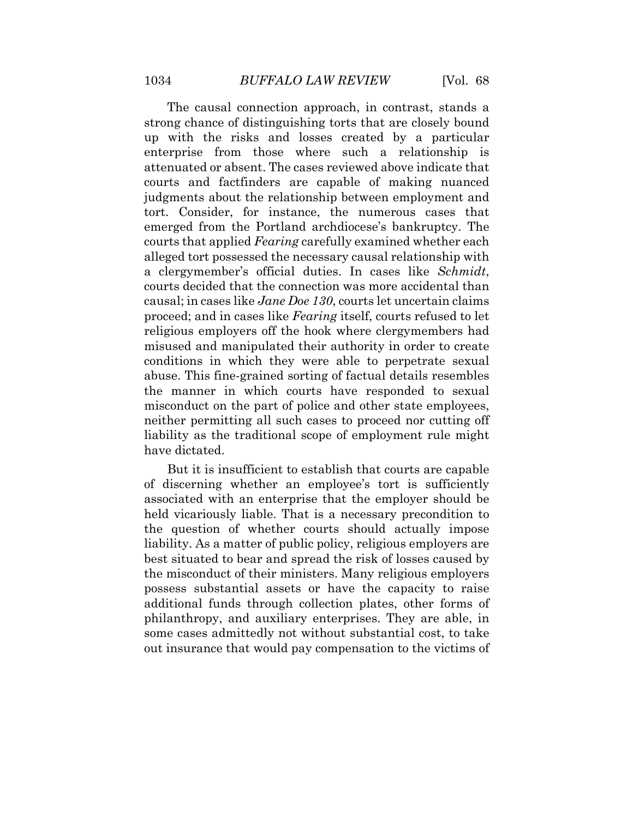The causal connection approach, in contrast, stands a strong chance of distinguishing torts that are closely bound up with the risks and losses created by a particular enterprise from those where such a relationship is attenuated or absent. The cases reviewed above indicate that courts and factfinders are capable of making nuanced judgments about the relationship between employment and tort. Consider, for instance, the numerous cases that emerged from the Portland archdiocese's bankruptcy. The courts that applied *Fearing* carefully examined whether each alleged tort possessed the necessary causal relationship with a clergymember's official duties. In cases like *Schmidt*, courts decided that the connection was more accidental than causal; in cases like *Jane Doe 130*, courts let uncertain claims proceed; and in cases like *Fearing* itself, courts refused to let religious employers off the hook where clergymembers had misused and manipulated their authority in order to create conditions in which they were able to perpetrate sexual abuse. This fine-grained sorting of factual details resembles the manner in which courts have responded to sexual misconduct on the part of police and other state employees, neither permitting all such cases to proceed nor cutting off liability as the traditional scope of employment rule might have dictated.

 But it is insufficient to establish that courts are capable of discerning whether an employee's tort is sufficiently associated with an enterprise that the employer should be held vicariously liable. That is a necessary precondition to the question of whether courts should actually impose liability. As a matter of public policy, religious employers are best situated to bear and spread the risk of losses caused by the misconduct of their ministers. Many religious employers possess substantial assets or have the capacity to raise additional funds through collection plates, other forms of philanthropy, and auxiliary enterprises. They are able, in some cases admittedly not without substantial cost, to take out insurance that would pay compensation to the victims of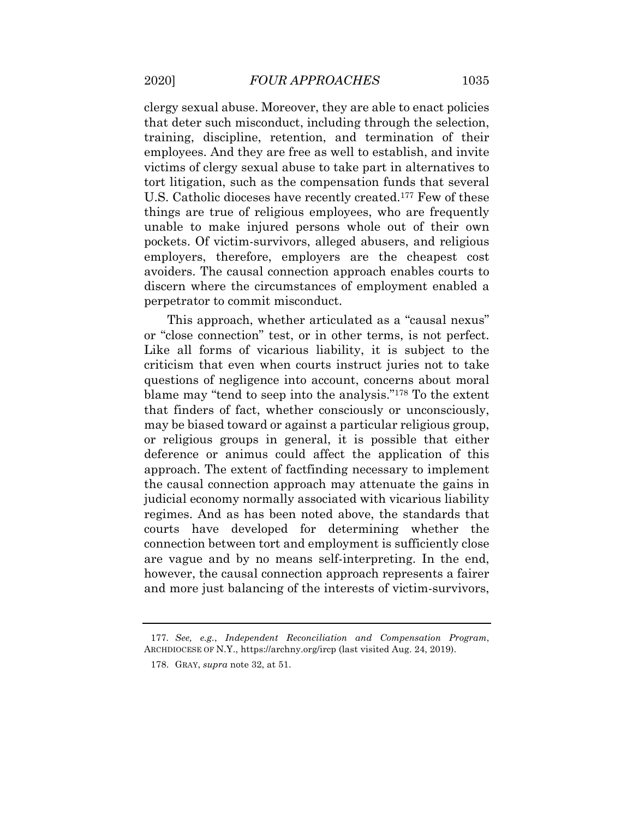clergy sexual abuse. Moreover, they are able to enact policies that deter such misconduct, including through the selection, training, discipline, retention, and termination of their employees. And they are free as well to establish, and invite victims of clergy sexual abuse to take part in alternatives to tort litigation, such as the compensation funds that several U.S. Catholic dioceses have recently created.<sup>177</sup> Few of these unable to make injured persons whole out of their own pockets. Of victim-survivors, alleged abusers, and religious employers, therefore, employers are the cheapest cost avoiders. The causal connection approach enables courts to discern where the circumstances of employment enabled a perpetrator to commit misconduct. things are true of religious employees, who are frequently

 This approach, whether articulated as a "causal nexus" or "close connection" test, or in other terms, is not perfect. Like all forms of vicarious liability, it is subject to the criticism that even when courts instruct juries not to take questions of negligence into account, concerns about moral blame may "tend to seep into the analysis."178 To the extent that finders of fact, whether consciously or unconsciously, may be biased toward or against a particular religious group, or religious groups in general, it is possible that either deference or animus could affect the application of this approach. The extent of factfinding necessary to implement the causal connection approach may attenuate the gains in judicial economy normally associated with vicarious liability regimes. And as has been noted above, the standards that courts have developed for determining whether the connection between tort and employment is sufficiently close are vague and by no means self-interpreting. In the end, however, the causal connection approach represents a fairer and more just balancing of the interests of victim-survivors,

<sup>177</sup>*. See, e.g.*, *Independent Reconciliation and Compensation Program*, ARCHDIOCESE OF N.Y., <https://archny.org/ircp> (last visited Aug. 24, 2019).

<sup>178.</sup> GRAY, *supra* note 32, at 51.